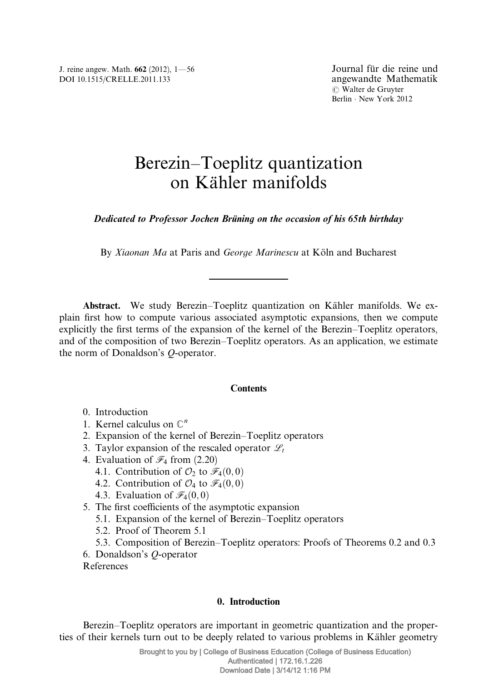J. reine angew. Math. 662 (2012), 1—56 DOI 10.1515/CRELLE.2011.133

# Berezin–Toeplitz quantization on Kähler manifolds

Dedicated to Professor Jochen Brüning on the occasion of his 65th birthday

By Xiaonan Ma at Paris and George Marinescu at Köln and Bucharest

Abstract. We study Berezin–Toeplitz quantization on Kähler manifolds. We explain first how to compute various associated asymptotic expansions, then we compute explicitly the first terms of the expansion of the kernel of the Berezin–Toeplitz operators, and of the composition of two Berezin–Toeplitz operators. As an application, we estimate the norm of Donaldson's Q-operator.

## **Contents**

- 0. Introduction
- 1. Kernel calculus on  $\mathbb{C}^n$
- 2. Expansion of the kernel of Berezin–Toeplitz operators
- 3. Taylor expansion of the rescaled operator  $\mathscr{L}_t$
- 4. Evaluation of  $\mathcal{F}_4$  from (2.20)
	- 4.1. Contribution of  $\mathcal{O}_2$  to  $\mathcal{F}_4(0,0)$
	- 4.2. Contribution of  $\mathcal{O}_4$  to  $\mathcal{F}_4(0,0)$
	- 4.3. Evaluation of  $\mathcal{F}_4(0,0)$
- 5. The first coefficients of the asymptotic expansion
	- 5.1. Expansion of the kernel of Berezin–Toeplitz operators
	- 5.2. Proof of Theorem 5.1
	- 5.3. Composition of Berezin–Toeplitz operators: Proofs of Theorems 0.2 and 0.3
- 6. Donaldson's Q-operator
- References

## 0. Introduction

Berezin–Toeplitz operators are important in geometric quantization and the properties of their kernels turn out to be deeply related to various problems in Kähler geometry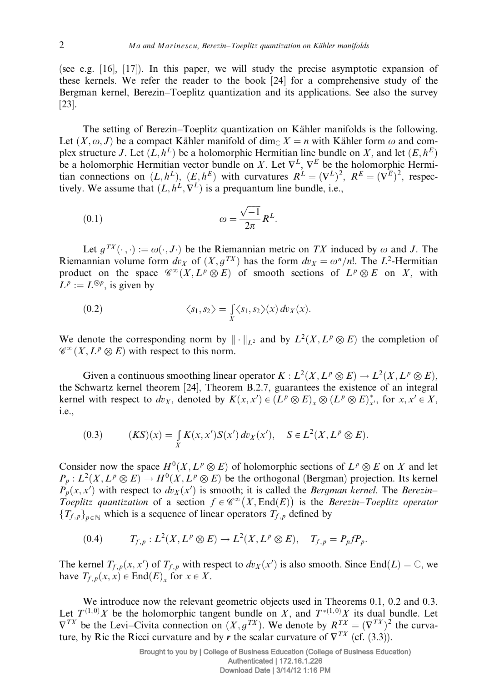(see e.g. [16], [17]). In this paper, we will study the precise asymptotic expansion of these kernels. We refer the reader to the book [24] for a comprehensive study of the Bergman kernel, Berezin–Toeplitz quantization and its applications. See also the survey [23].

The setting of Berezin–Toeplitz quantization on Kähler manifolds is the following. Let  $(X, \omega, J)$  be a compact Kähler manifold of dim<sub>C</sub>  $X = n$  with Kähler form  $\omega$  and complex structure J. Let  $(L, h^L)$  be a holomorphic Hermitian line bundle on X, and let  $(E, h^E)$ be a holomorphic Hermitian vector bundle on X. Let  $\nabla^L$ ,  $\nabla^E$  be the holomorphic Hermitian connections on  $(L, h^L)$ ,  $(E, h^E)$  with curvatures  $R^L = (\nabla^L)^2$ ,  $R^E = (\nabla^E)^2$ , respectively. We assume that  $(L, h^{\mathcal{L}}, \nabla^{\mathcal{L}})$  is a prequantum line bundle, i.e.,

$$
\omega = \frac{\sqrt{-1}}{2\pi} R^L.
$$

Let  $g^{TX}(\cdot, \cdot) := \omega(\cdot, J \cdot)$  be the Riemannian metric on TX induced by  $\omega$  and J. The Riemannian volume form  $dv_X$  of  $(X, g^{TX})$  has the form  $dv_X = \omega^n/n!$ . The  $L^2$ -Hermitian product on the space  $\mathscr{C}^{\infty}(X, L^p \otimes E)$  of smooth sections of  $L^p \otimes E$  on X, with  $L^p := L^{\otimes p}$ , is given by

(0.2) 
$$
\langle s_1, s_2 \rangle = \int_X \langle s_1, s_2 \rangle(x) dv_X(x).
$$

We denote the corresponding norm by  $\|\cdot\|_{L^2}$  and by  $L^2(X, L^p \otimes E)$  the completion of  $\mathscr{C}^{\infty}(X, L^p \otimes E)$  with respect to this norm.

Given a continuous smoothing linear operator  $K : L^2(X, L^p \otimes E) \to L^2(X, L^p \otimes E)$ , the Schwartz kernel theorem [24], Theorem B.2.7, guarantees the existence of an integral kernel with respect to  $dv_X$ , denoted by  $K(x, x') \in (L^p \otimes E)_x \otimes (L^p \otimes E)_x^*$ , for  $x, x' \in X$ , i.e.,

(0.3) 
$$
(KS)(x) = \int_{X} K(x, x') S(x') dv_X(x'), \quad S \in L^{2}(X, L^{p} \otimes E).
$$

Consider now the space  $H^0(X, L^p \otimes E)$  of holomorphic sections of  $L^p \otimes E$  on X and let  $P_p: L^2(X, L^p \otimes E) \to H^0(X, L^p \otimes E)$  be the orthogonal (Bergman) projection. Its kernel  $P_p(x, x')$  with respect to  $dv_x(x')$  is smooth; it is called the *Bergman kernel*. The *Berezin*– Toeplitz quantization of a section  $f \in \mathcal{C}^{\infty}(X, \text{End}(E))$  is the Berezin–Toeplitz operator  ${T_{f,p}}_{n \in \mathbb{N}}$  which is a sequence of linear operators  $T_{f,p}$  defined by

$$
(0.4) \tT_{f,p}: L^2(X,L^p\otimes E)\to L^2(X,L^p\otimes E),\tT_{f,p}=P_p f P_p.
$$

The kernel  $T_{f,p}(x, x')$  of  $T_{f,p}$  with respect to  $dv_x(x')$  is also smooth. Since End $(L) = \mathbb{C}$ , we have  $T_{f, p}(x, x) \in \text{End}(E)_{x}$  for  $x \in X$ .

We introduce now the relevant geometric objects used in Theorems 0.1, 0.2 and 0.3. Let  $T^{(1,0)}X$  be the holomorphic tangent bundle on X, and  $T^{*(1,0)}X$  its dual bundle. Let  $\nabla^{TX}$  be the Levi–Civita connection on  $(X, g^{TX})$ . We denote by  $R^{TX} = (\nabla^{TX})^2$  the curvature, by Ric the Ricci curvature and by r the scalar curvature of  $\nabla^{TX}$  (cf. (3.3)).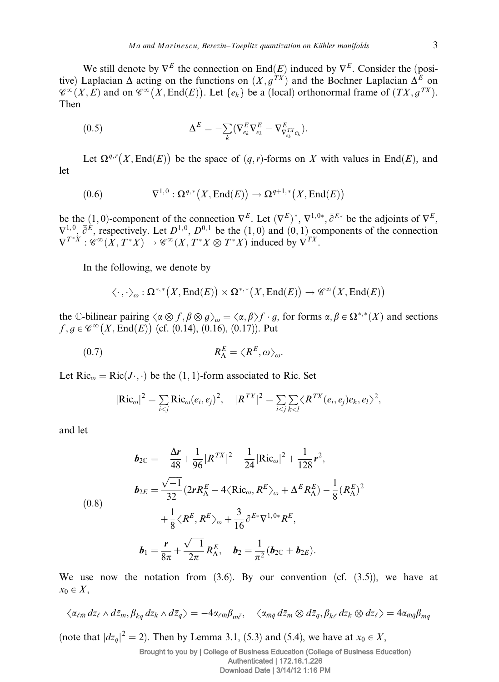We still denote by  $\nabla^E$  the connection on End $(E)$  induced by  $\nabla^E$ . Consider the (positive) Laplacian  $\Delta$  acting on the functions on  $(X, g^{TX})$  and the Bochner Laplacian  $\Delta^E$  on  $\mathscr{C}^{\infty}(X,E)$  and on  $\mathscr{C}^{\infty}(X,\text{End}(E))$ . Let  $\{e_k\}$  be a (local) orthonormal frame of  $(TX,g^{TX})$ . Then

(0.5) 
$$
\Delta^{E} = -\sum_{k} (\nabla_{e_k}^{E} \nabla_{e_k}^{E} - \nabla_{\nabla_{e_k}^{TX} e_k}^{E}).
$$

Let  $\Omega^{q,r}(X, \text{End}(E))$  be the space of  $(q, r)$ -forms on X with values in End $(E)$ , and let

(0.6) 
$$
\nabla^{1,0} : \Omega^{q,*}(X,\text{End}(E)) \to \Omega^{q+1,*}(X,\text{End}(E))
$$

be the (1,0)-component of the connection  $\nabla^{E}$ . Let  $(\nabla^{E})^*, \nabla^{1,0*}, \overline{\partial}^{E*}$  be the adjoints of  $\nabla^{E}$ ,  $\nabla^{1,0}$ ,  $\overline{\partial}^E$ , respectively. Let  $D^{1,0}$ ,  $D^{0,1}$  be the  $(1,0)$  and  $(0,1)$  components of the connection  $\nabla^{T^*X}: \mathscr{C}^{\infty}(X,T^*X) \to \mathscr{C}^{\infty}(X,T^*X \otimes T^*X)$  induced by  $\nabla^{TX}$ .

In the following, we denote by

$$
\langle \cdot \, , \cdot \rangle_{\omega} : \Omega^{*,*}\big(X, \mathrm{End}(E)\big) \times \Omega^{*,*}\big(X, \mathrm{End}(E)\big) \to \mathscr{C}^{\infty}\big(X, \mathrm{End}(E)\big)
$$

the C-bilinear pairing  $\langle \alpha \otimes f, \beta \otimes g \rangle_{\omega} = \langle \alpha, \beta \rangle f \cdot g$ , for forms  $\alpha, \beta \in \Omega^{*,*}(X)$  and sections  $f, g \in \mathscr{C}^{\infty}(X, \text{End}(E))$  (cf. (0.14), (0.16), (0.17)). Put

$$
R_{\Lambda}^{E} = \langle R^{E}, \omega \rangle_{\omega}.
$$

Let  $Ric_{\omega} = Ric(J \cdot, \cdot)$  be the  $(1, 1)$ -form associated to Ric. Set

$$
|\text{Ric}_{\omega}|^2 = \sum_{i < j} \text{Ric}_{\omega}(e_i, e_j)^2, \quad |R^{TX}|^2 = \sum_{i < j} \sum_{k < l} \langle R^{TX}(e_i, e_j) e_k, e_l \rangle^2,
$$

and let

$$
b_{2\mathbb{C}} = -\frac{\Delta r}{48} + \frac{1}{96} |R^{TX}|^2 - \frac{1}{24} |\text{Ric}_{\omega}|^2 + \frac{1}{128} r^2,
$$
  
\n
$$
b_{2E} = \frac{\sqrt{-1}}{32} (2rR_{\Lambda}^E - 4\langle \text{Ric}_{\omega}, R^E \rangle_{\omega} + \Delta^E R_{\Lambda}^E) - \frac{1}{8} (R_{\Lambda}^E)^2
$$
  
\n
$$
+ \frac{1}{8} \langle R^E, R^E \rangle_{\omega} + \frac{3}{16} \overline{\partial}^{E*} \nabla^{1,0*} R^E,
$$
  
\n
$$
b_1 = \frac{r}{8\pi} + \frac{\sqrt{-1}}{2\pi} R_{\Lambda}^E, \quad b_2 = \frac{1}{\pi^2} (b_{2\mathbb{C}} + b_{2E}).
$$

We use now the notation from  $(3.6)$ . By our convention  $(cf. (3.5))$ , we have at  $x_0 \in X$ ,

$$
\langle \alpha_{\ell \bar{m}} \, dz_{\ell} \wedge d\bar{z}_m, \beta_{k \bar{q}} \, dz_k \wedge d\bar{z}_q \rangle = -4 \alpha_{\ell \bar{m}} \beta_{m \bar{\ell}}, \quad \langle \alpha_{\bar{m} \bar{q}} \, d\bar{z}_m \otimes d\bar{z}_q, \beta_{k \ell} \, dz_k \otimes dz_{\ell} \rangle = 4 \alpha_{\bar{m} \bar{q}} \beta_{mq}
$$

(note that  $|dz_q|^2 = 2$ ). Then by Lemma 3.1, (5.3) and (5.4), we have at  $x_0 \in X$ ,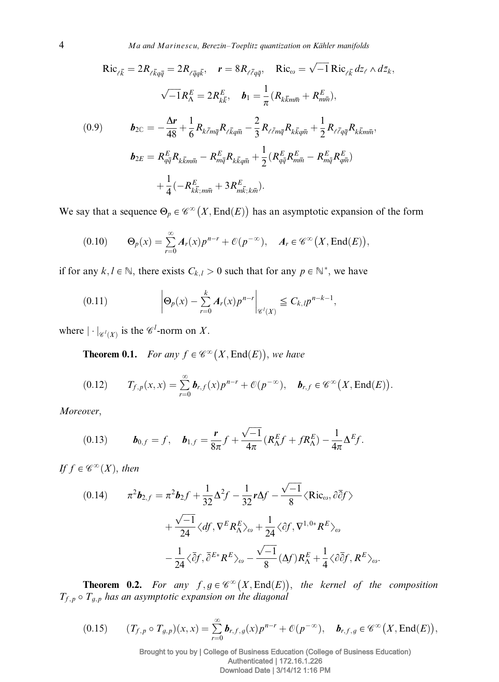4 Ma and Marinescu, Berezin–Toeplitz quantization on Kähler manifolds

$$
\text{Ric}_{\ell\bar{k}} = 2R_{\ell\bar{k}q\bar{q}} = 2R_{\ell\bar{q}q\bar{k}}, \quad \mathbf{r} = 8R_{\ell\bar{\ell}q\bar{q}}, \quad \text{Ric}_{\omega} = \sqrt{-1} \text{Ric}_{\ell\bar{k}} \, dz_{\ell} \wedge d\bar{z}_{k},
$$
\n
$$
\sqrt{-1}R_{\Lambda}^{E} = 2R_{k\bar{k}}^{E}, \quad \mathbf{b}_{1} = \frac{1}{\pi}(R_{k\bar{k}m\bar{m}} + R_{m\bar{m}}^{E}),
$$
\n
$$
(0.9) \qquad \mathbf{b}_{2\bar{c}} = -\frac{\Delta\mathbf{r}}{48} + \frac{1}{6}R_{k\bar{k}m\bar{q}}R_{\ell\bar{k}q\bar{m}} - \frac{2}{3}R_{\ell\bar{\ell}m\bar{q}}R_{k\bar{k}q\bar{m}} + \frac{1}{2}R_{\ell\bar{\ell}q\bar{q}}R_{k\bar{k}m\bar{m}},
$$
\n
$$
\mathbf{b}_{2E} = R_{q\bar{q}}^{E}R_{k\bar{k}m\bar{n}} - R_{m\bar{q}}^{E}R_{k\bar{k}q\bar{m}} + \frac{1}{2}(R_{q\bar{q}}^{E}R_{m\bar{m}}^{E} - R_{m\bar{q}}^{E}R_{q\bar{m}}^{E})
$$
\n
$$
+ \frac{1}{4}(-R_{k\bar{k};m\bar{m}}^{E} + 3R_{m\bar{k};k\bar{m}}^{E}).
$$

We say that a sequence  $\Theta_p \in \mathscr{C}^{\infty}(X, \text{End}(E))$  has an asymptotic expansion of the form

$$
(0.10) \qquad \Theta_p(x) = \sum_{r=0}^{\infty} A_r(x) p^{n-r} + \mathcal{O}(p^{-\infty}), \quad A_r \in \mathscr{C}^{\infty}(X, \text{End}(E)),
$$

if for any  $k, l \in \mathbb{N}$ , there exists  $C_{k,l} > 0$  such that for any  $p \in \mathbb{N}^*$ , we have

(0.11) 
$$
\left|\Theta_p(x) - \sum_{r=0}^k A_r(x) p^{n-r}\right|_{\mathscr{C}^l(X)} \leq C_{k,l} p^{n-k-1},
$$

where  $|\cdot|_{\mathscr{C}^l(X)}$  is the  $\mathscr{C}^l$ -norm on X.

**Theorem 0.1.** For any  $f \in \mathscr{C}^{\infty}(X, \text{End}(E)),$  we have

$$
(0.12) \t T_{f,p}(x,x)=\sum_{r=0}^{\infty} \boldsymbol{b}_{r,f}(x) p^{n-r} + \mathcal{O}(p^{-\infty}), \quad \boldsymbol{b}_{r,f}\in\mathscr{C}^{\infty}\big(X,\mathrm{End}(E)\big).
$$

Moreover,

(0.13) 
$$
\boldsymbol{b}_{0,f} = f, \quad \boldsymbol{b}_{1,f} = \frac{\mathbf{r}}{8\pi} f + \frac{\sqrt{-1}}{4\pi} (R_{\Lambda}^E f + f R_{\Lambda}^E) - \frac{1}{4\pi} \Delta^E f.
$$

If  $f \in \mathscr{C}^\infty(X)$ , then

$$
(0.14) \qquad \pi^2 \mathbf{b}_{2,f} = \pi^2 \mathbf{b}_2 f + \frac{1}{32} \Delta^2 f - \frac{1}{32} \mathbf{r} \Delta f - \frac{\sqrt{-1}}{8} \langle \text{Ric}_{\omega}, \partial \overline{\partial} f \rangle
$$

$$
+ \frac{\sqrt{-1}}{24} \langle df, \nabla^E R_{\Lambda}^E \rangle_{\omega} + \frac{1}{24} \langle \partial f, \nabla^{1,0*} R^E \rangle_{\omega}
$$

$$
- \frac{1}{24} \langle \overline{\partial} f, \overline{\partial}^{E*} R^E \rangle_{\omega} - \frac{\sqrt{-1}}{8} (\Delta f) R_{\Lambda}^E + \frac{1}{4} \langle \partial \overline{\partial} f, R^E \rangle_{\omega}.
$$

**Theorem 0.2.** For any  $f, g \in \mathscr{C}^{\infty}(X, \text{End}(E)),$  the kernel of the composition  $T_{f,p} \circ T_{g,p}$  has an asymptotic expansion on the diagonal

$$
(0.15) \qquad (T_{f,p}\circ T_{g,p})(x,x)=\sum_{r=0}^{\infty}\boldsymbol{b}_{r,f,g}(x)p^{n-r}+\mathcal{O}(p^{-\infty}),\quad \boldsymbol{b}_{r,f,g}\in\mathscr{C}^{\infty}\big(X,\mathrm{End}(E)\big),
$$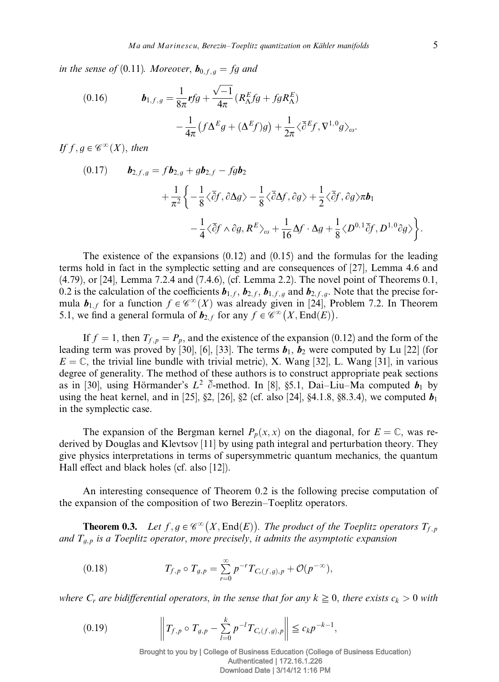in the sense of (0.11). Moreover,  $\mathbf{b}_{0,f,q} = fg$  and

(0.16) 
$$
\boldsymbol{b}_{1,f,g} = \frac{1}{8\pi} \boldsymbol{r} f g + \frac{\sqrt{-1}}{4\pi} \left( R_{\Lambda}^E f g + f g R_{\Lambda}^E \right) \n- \frac{1}{4\pi} \left( f \Delta^E g + (\Delta^E f) g \right) + \frac{1}{2\pi} \langle \bar{\partial}^E f, \nabla^{1,0} g \rangle_{\omega}.
$$

If  $f, g \in \mathscr{C}^\infty(X)$ , then

$$
(0.17) \t\tb_{2,f,g} = fb_{2,g} + gb_{2,f} - fgb_{2}+\frac{1}{\pi^2} \left\{ -\frac{1}{8} \langle \overline{\partial} f, \partial \Delta g \rangle - \frac{1}{8} \langle \overline{\partial} \Delta f, \partial g \rangle + \frac{1}{2} \langle \overline{\partial} f, \partial g \rangle \pi b_{1}-\frac{1}{4} \langle \overline{\partial} f \wedge \partial g, R^{E} \rangle_{\omega} + \frac{1}{16} \Delta f \cdot \Delta g + \frac{1}{8} \langle D^{0,1} \overline{\partial} f, D^{1,0} \partial g \rangle \right\}.
$$

The existence of the expansions  $(0.12)$  and  $(0.15)$  and the formulas for the leading terms hold in fact in the symplectic setting and are consequences of [27], Lemma 4.6 and (4.79), or [24], Lemma 7.2.4 and (7.4.6), (cf. Lemma 2.2). The novel point of Theorems 0.1, 0.2 is the calculation of the coefficients  $b_{1,f}$ ,  $b_{2,f}$ ,  $b_{1,f,g}$  and  $b_{2,f,g}$ . Note that the precise formula  $b_{1,f}$  for a function  $f \in \mathscr{C}^{\infty}(X)$  was already given in [24], Problem 7.2. In Theorem 5.1, we find a general formula of  $b_{2,f}$  for any  $f \in \mathcal{C}^{\infty}(X, \text{End}(E))$ .

If  $f = 1$ , then  $T_{f, p} = P_p$ , and the existence of the expansion (0.12) and the form of the leading term was proved by [30], [6], [33]. The terms  $\mathbf{b}_1$ ,  $\mathbf{b}_2$  were computed by Lu [22] (for  $E = \mathbb{C}$ , the trivial line bundle with trivial metric), X. Wang [32], L. Wang [31], in various degree of generality. The method of these authors is to construct appropriate peak sections as in [30], using Hörmander's  $L^2$   $\overline{\partial}$ -method. In [8], §5.1, Dai–Liu–Ma computed  $b_1$  by using the heat kernel, and in [25], §2, [26], §2 (cf. also [24], §4.1.8, §8.3.4), we computed  $b_1$ in the symplectic case.

The expansion of the Bergman kernel  $P_p(x, x)$  on the diagonal, for  $E = \mathbb{C}$ , was rederived by Douglas and Klevtsov [11] by using path integral and perturbation theory. They give physics interpretations in terms of supersymmetric quantum mechanics, the quantum Hall effect and black holes (cf. also [12]).

An interesting consequence of Theorem 0.2 is the following precise computation of the expansion of the composition of two Berezin–Toeplitz operators.

**Theorem 0.3.** Let  $f, g \in \mathscr{C}^{\infty}(X, \text{End}(E))$ . The product of the Toeplitz operators  $T_{f, p}$ and  $T_{q,p}$  is a Toeplitz operator, more precisely, it admits the asymptotic expansion

(0.18) 
$$
T_{f,p} \circ T_{g,p} = \sum_{r=0}^{\infty} p^{-r} T_{C_r(f,g),p} + \mathcal{O}(p^{-\infty}),
$$

where  $C_r$  are bidifferential operators, in the sense that for any  $k \geq 0$ , there exists  $c_k > 0$  with

$$
(0.19) \t\t \t\t \left\| T_{f,p} \circ T_{g,p} - \sum_{l=0}^{k} p^{-l} T_{C_r(f,g),p} \right\| \leq c_k p^{-k-1},
$$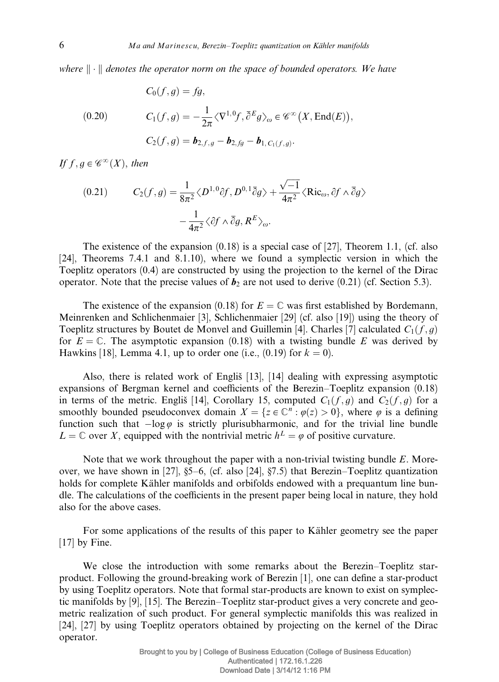where  $\|\cdot\|$  denotes the operator norm on the space of bounded operators. We have

(0.20)  
\n
$$
C_0(f,g) = fg,
$$
\n
$$
C_1(f,g) = -\frac{1}{2\pi} \langle \nabla^{1,0} f, \overline{\partial}^E g \rangle_{\omega} \in \mathscr{C}^{\infty}(X, \text{End}(E)),
$$
\n
$$
C_2(f,g) = \mathbf{b}_{2,f,g} - \mathbf{b}_{2,fg} - \mathbf{b}_{1, C_1(f,g)}.
$$

If  $f, g \in \mathscr{C}^\infty(X)$ , then

(0.21) 
$$
C_2(f,g) = \frac{1}{8\pi^2} \langle D^{1,0}\partial f, D^{0,1}\overline{\partial}g \rangle + \frac{\sqrt{-1}}{4\pi^2} \langle \text{Ric}_{\omega}, \partial f \wedge \overline{\partial}g \rangle - \frac{1}{4\pi^2} \langle \partial f \wedge \overline{\partial}g, R^E \rangle_{\omega}.
$$

The existence of the expansion  $(0.18)$  is a special case of [27], Theorem 1.1, (cf. also [24], Theorems 7.4.1 and 8.1.10), where we found a symplectic version in which the Toeplitz operators (0.4) are constructed by using the projection to the kernel of the Dirac operator. Note that the precise values of  $b_2$  are not used to derive (0.21) (cf. Section 5.3).

The existence of the expansion (0.18) for  $E = \mathbb{C}$  was first established by Bordemann, Meinrenken and Schlichenmaier [3], Schlichenmaier [29] (cf. also [19]) using the theory of Toeplitz structures by Boutet de Monvel and Guillemin [4]. Charles [7] calculated  $C_1(f, g)$ for  $E = \mathbb{C}$ . The asymptotic expansion (0.18) with a twisting bundle E was derived by Hawkins [18], Lemma 4.1, up to order one (i.e.,  $(0.19)$  for  $k = 0$ ).

Also, there is related work of Engliš $[13]$ ,  $[14]$  dealing with expressing asymptotic expansions of Bergman kernel and coefficients of the Berezin–Toeplitz expansion  $(0.18)$ in terms of the metric. Englis̆ [14], Corollary 15, computed  $C_1(f,g)$  and  $C_2(f,g)$  for a smoothly bounded pseudoconvex domain  $X = \{z \in \mathbb{C}^n : \varphi(z) > 0\}$ , where  $\varphi$  is a defining function such that  $-\log \varphi$  is strictly plurisubharmonic, and for the trivial line bundle  $L = \mathbb{C}$  over X, equipped with the nontrivial metric  $h^L = \varphi$  of positive curvature.

Note that we work throughout the paper with a non-trivial twisting bundle E. Moreover, we have shown in [27], §5–6, (cf. also [24], §7.5) that Berezin–Toeplitz quantization holds for complete Kähler manifolds and orbifolds endowed with a prequantum line bundle. The calculations of the coefficients in the present paper being local in nature, they hold also for the above cases.

For some applications of the results of this paper to Kähler geometry see the paper [17] by Fine.

We close the introduction with some remarks about the Berezin–Toeplitz starproduct. Following the ground-breaking work of Berezin [1], one can define a star-product by using Toeplitz operators. Note that formal star-products are known to exist on symplectic manifolds by [9], [15]. The Berezin–Toeplitz star-product gives a very concrete and geometric realization of such product. For general symplectic manifolds this was realized in [24], [27] by using Toeplitz operators obtained by projecting on the kernel of the Dirac operator.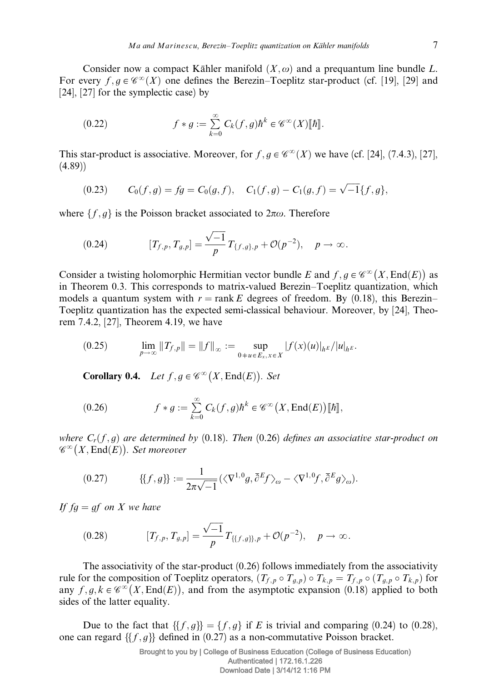Consider now a compact Kähler manifold  $(X, \omega)$  and a prequantum line bundle L. For every  $f, g \in \mathscr{C}^\infty(X)$  one defines the Berezin–Toeplitz star-product (cf. [19], [29] and [24], [27] for the symplectic case) by

(0.22) 
$$
f * g := \sum_{k=0}^{\infty} C_k(f,g) \hbar^k \in \mathscr{C}^{\infty}(X)[\![\hbar]\!].
$$

This star-product is associative. Moreover, for  $f, g \in \mathscr{C}^{\infty}(X)$  we have (cf. [24], (7.4.3), [27],  $(4.89)$ 

(0.23) 
$$
C_0(f,g) = fg = C_0(g,f), \quad C_1(f,g) - C_1(g,f) = \sqrt{-1}\{f,g\},
$$

where  $\{f, g\}$  is the Poisson bracket associated to  $2\pi\omega$ . Therefore

(0.24) 
$$
[T_{f,p}, T_{g,p}] = \frac{\sqrt{-1}}{p} T_{\{f,g\},p} + \mathcal{O}(p^{-2}), \quad p \to \infty.
$$

Consider a twisting holomorphic Hermitian vector bundle E and  $f, g \in \mathscr{C}^{\infty}(X, \text{End}(E))$  as in Theorem 0.3. This corresponds to matrix-valued Berezin–Toeplitz quantization, which models a quantum system with  $r = \text{rank }E$  degrees of freedom. By (0.18), this Berezin– Toeplitz quantization has the expected semi-classical behaviour. Moreover, by [24], Theorem 7.4.2, [27], Theorem 4.19, we have

$$
(0.25) \qquad \lim_{p\to\infty}||T_{f,p}|| = ||f||_{\infty} := \sup_{0+u\in E_x, x\in X} |f(x)(u)|_{h^E}/|u|_{h^E}.
$$

Corollary 0.4. Let  $f, g \in \mathscr{C}^\infty(X, \text{End}(E))$ . Set

(0.26) 
$$
f * g := \sum_{k=0}^{\infty} C_k(f,g) \hbar^k \in \mathscr{C}^{\infty}(X,\text{End}(E))[[\hbar]],
$$

where  $C_r(f,g)$  are determined by (0.18). Then (0.26) defines an associative star-product on where  $C_r(j, y)$  are accemated<br> $\mathscr{C}^{\infty}(X, \text{End}(E))$ . Set moreover

$$
(0.27) \qquad \{ \{f,g\} \} := \frac{1}{2\pi\sqrt{-1}} \left( \langle \nabla^{1,0}g, \overline{\partial}^E f \rangle_\omega - \langle \nabla^{1,0}f, \overline{\partial}^E g \rangle_\omega \right).
$$

If  $fq = qf$  on X we have

(0.28) 
$$
[T_{f,p}, T_{g,p}] = \frac{\sqrt{-1}}{p} T_{\{\{f,g\},p} + \mathcal{O}(p^{-2}), \quad p \to \infty.
$$

The associativity of the star-product (0.26) follows immediately from the associativity rule for the composition of Toeplitz operators,  $(T_{f,p} \circ T_{g,p}) \circ T_{k,p} = T_{f,p} \circ (T_{g,p} \circ T_{k,p})$  for any  $f, g, k \in \mathcal{C}^{\infty}(X, \text{End}(E))$ , and from the asymptotic expansion (0.18) applied to both sides of the latter equality.

Due to the fact that  $\{\{f,g\}\} = \{f,g\}$  if E is trivial and comparing (0.24) to (0.28), one can regard  $\{\{f, g\}\}\$  defined in (0.27) as a non-commutative Poisson bracket.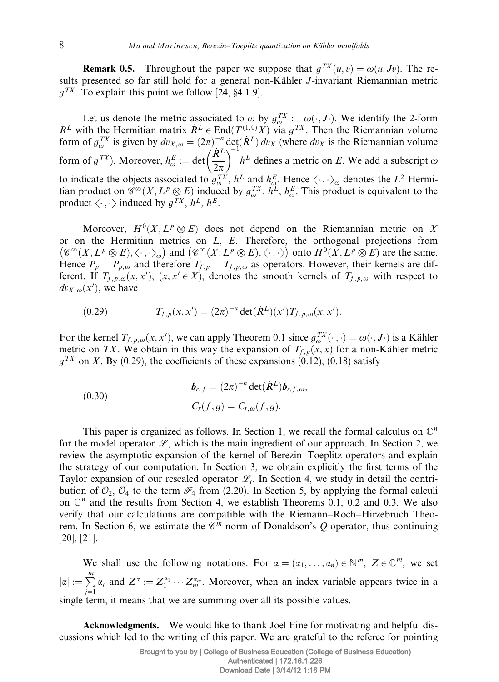**Remark 0.5.** Throughout the paper we suppose that  $q^{TX}(u, v) = \omega(u, Jv)$ . The results presented so far still hold for a general non-Kähler *J*-invariant Riemannian metric  $q^{TX}$ . To explain this point we follow [24, §4.1.9].

Let us denote the metric associated to  $\omega$  by  $g_{\omega}^{TX} := \omega(\cdot, J \cdot)$ . We identify the 2-form  $R^L$  with the Hermitian matrix  $\dot{R}^L \in \text{End}(T^{(1,0)}X)$  via  $g^{TX}$ . Then the Riemannian volume form of  $g_{\omega}^{TX}$  is given by  $dv_{X,\omega} = (2\pi)^{-n} \det(A^L) dv_X$  (where  $dv_X$  is the Riemannian volume form of  $g^{TX}$ ). Moreover,  $h_{\omega}^{E} := \det \left(\frac{\dot{R}^{L}}{2\pi}\right)$  $\overline{p}$   $\overline{p}$   $\overline{p}$   $\overline{p}$   $\overline{p}$   $\overline{p}$   $\overline{p}$  $h<sup>E</sup>$  defines a metric on E. We add a subscript  $\omega$ to indicate the objects associated to  $g_{\omega}^{TX}$ ,  $h^L$  and  $h_{\omega}^E$ . Hence  $\langle \cdot, \cdot \rangle_{\omega}$  denotes the  $L^2$  Hermitian product on  $\check{e}^{\infty}(X, L^p \otimes E)$  induced by  $g_{\omega}^{TX}$ ,  $h^L$ ,  $h^E_{\omega}$ . This product is equivalent to the product  $\langle \cdot , \cdot \rangle$  induced by  $g^{TX}$ ,  $h^L$ ,  $h^E$ .

Moreover,  $H^0(X, L^p \otimes E)$  does not depend on the Riemannian metric on X or on the Hermitian metrics on  $L$ ,  $E$ . Therefore, the orthogonal projections from  $(\mathscr{C}^{\infty}(X, L^p \otimes E), \langle \cdot, \cdot \rangle_{\omega})$  and  $(\mathscr{C}^{\infty}(X, L^p \otimes E), \langle \cdot, \cdot \rangle)$  onto  $H^0(X, L^p \otimes E)$  are the same. Hence  $P_p = P_{p,\omega}$  and therefore  $T_{f,p} = T_{f,p,\omega}$  as operators. However, their kernels are different. If  $T_{f, p, \omega}(x, x')$ ,  $(x, x' \in X)$ , denotes the smooth kernels of  $T_{f, p, \omega}$  with respect to  $dv_{X,\omega}(x')$ , we have

(0.29) 
$$
T_{f,p}(x,x') = (2\pi)^{-n} \det(\dot{R}^L)(x') T_{f,p,\omega}(x,x').
$$

For the kernel  $T_{f, p, \omega}(x, x')$ , we can apply Theorem 0.1 since  $g_{\omega}^{TX}(\cdot, \cdot) = \omega(\cdot, J \cdot)$  is a Kähler metric on TX. We obtain in this way the expansion of  $T_{f,p}(x, x)$  for a non-Kähler metric  $q^{TX}$  on X. By (0.29), the coefficients of these expansions (0.12), (0.18) satisfy

(0.30)  

$$
\boldsymbol{b}_{r,f} = (2\pi)^{-n} \det(\dot{\boldsymbol{R}}^L) \boldsymbol{b}_{r,f,\omega},
$$

$$
C_r(f,g) = C_{r,\omega}(f,g).
$$

This paper is organized as follows. In Section 1, we recall the formal calculus on  $\mathbb{C}^n$ for the model operator  $L$ , which is the main ingredient of our approach. In Section 2, we review the asymptotic expansion of the kernel of Berezin–Toeplitz operators and explain the strategy of our computation. In Section 3, we obtain explicitly the first terms of the Taylor expansion of our rescaled operator  $\mathcal{L}_t$ . In Section 4, we study in detail the contribution of  $\mathcal{O}_2$ ,  $\mathcal{O}_4$  to the term  $\mathcal{F}_4$  from (2.20). In Section 5, by applying the formal calculi on  $\mathbb{C}^n$  and the results from Section 4, we establish Theorems 0.1, 0.2 and 0.3. We also verify that our calculations are compatible with the Riemann–Roch–Hirzebruch Theorem. In Section 6, we estimate the  $\mathscr{C}^m$ -norm of Donaldson's *Q*-operator, thus continuing [20], [21].

We shall use the following notations. For  $\alpha = (\alpha_1, \dots, \alpha_n) \in \mathbb{N}^m$ ,  $Z \in \mathbb{C}^m$ , we set  $|\alpha| := \sum^{m}$  $j=1$  $\alpha_j$  and  $Z^{\alpha} := Z_1^{\alpha_1} \cdots Z_m^{\alpha_m}$ . Moreover, when an index variable appears twice in a single term, it means that we are summing over all its possible values.

Acknowledgments. We would like to thank Joel Fine for motivating and helpful discussions which led to the writing of this paper. We are grateful to the referee for pointing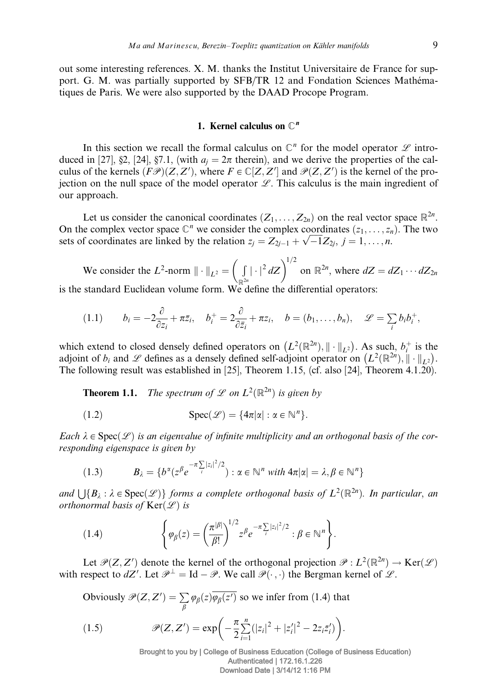out some interesting references. X. M. thanks the Institut Universitaire de France for support. G. M. was partially supported by SFB/TR 12 and Fondation Sciences Mathématiques de Paris. We were also supported by the DAAD Procope Program.

## 1. Kernel calculus on  $\mathbb{C}^n$

In this section we recall the formal calculus on  $\mathbb{C}^n$  for the model operator  $\mathscr L$  introduced in [27], §2, [24], §7.1, (with  $a_i = 2\pi$  therein), and we derive the properties of the calculus of the kernels  $(F\mathscr{P})(Z, Z')$ , where  $F \in \mathbb{C}[Z, Z']$  and  $\mathscr{P}(Z, Z')$  is the kernel of the projection on the null space of the model operator  $\mathscr{L}$ . This calculus is the main ingredient of our approach.

Let us consider the canonical coordinates  $(Z_1, \ldots, Z_{2n})$  on the real vector space  $\mathbb{R}^{2n}$ . On the complex vector space  $\mathbb{C}^n$  we consider the complex coordinates  $(z_1, \ldots, z_n)$ . The two On the complex vector space  $\cup$  we consider the complex coordinates  $(z_1, \dots, z_n)$ <br>sets of coordinates are linked by the relation  $z_j = Z_{2j-1} + \sqrt{-1}Z_{2j}, j = 1, \dots, n$ .

We consider the  $L^2$ -norm  $\|\cdot\|_{L^2} =$  $\overline{a}$  $\mathbb{R}^{2n}$  $|\cdot|^2 dZ\bigg)^{1/2}$  on  $\mathbb{R}^{2n}$ , where  $dZ = dZ_1 \cdots dZ_{2n}$ is the standard Euclidean volume form. We define the differential operators:

$$
(1.1) \t b_i = -2\frac{\partial}{\partial z_i} + \pi \bar{z}_i, \quad b_i^+ = 2\frac{\partial}{\partial \bar{z}_i} + \pi z_i, \quad b = (b_1, \ldots, b_n), \quad \mathscr{L} = \sum_i b_i b_i^+,
$$

which extend to closed densely defined operators on  $(L^2(\mathbb{R}^{2n}), \|\cdot\|_{L^2})$ . As such,  $b_i^+$  is the adjoint of  $b_i$  and  $\mathscr L$  defines as a densely defined self-adjoint operator on  $(L^2(\mathbb{R}^{2n}), \|\cdot\|_{L^2})$ . The following result was established in [25], Theorem 1.15, (cf. also [24], Theorem 4.1.20).

**Theorem 1.1.** The spectrum of  $\mathscr L$  on  $L^2(\mathbb R^{2n})$  is given by

(1.2) 
$$
\operatorname{Spec}(\mathscr{L}) = \{4\pi |\alpha| : \alpha \in \mathbb{N}^n\}.
$$

Each  $\lambda \in \text{Spec}(\mathcal{L})$  is an eigenvalue of infinite multiplicity and an orthogonal basis of the corresponding eigenspace is given by

(1.3) 
$$
B_{\lambda} = \{b^{\alpha}(z^{\beta}e^{-\pi\sum_{i}|z_{i}|^{2}/2}) : \alpha \in \mathbb{N}^{n} \text{ with } 4\pi|\alpha| = \lambda, \beta \in \mathbb{N}^{n}\}
$$

and  $\bigcup \{B_\lambda : \lambda \in \text{Spec}(\mathscr{L})\}$  forms a complete orthogonal basis of  $L^2(\mathbb{R}^{2n})$ . In particular, an orthonormal basis of  $Ker(\mathcal{L})$  is

(1.4) 
$$
\left\{\varphi_{\beta}(z) = \left(\frac{\pi^{|\beta|}}{\beta!}\right)^{1/2} z^{\beta} e^{-\pi \sum_{i} |z_i|^2/2} : \beta \in \mathbb{N}^n\right\}.
$$

Let  $\mathcal{P}(Z, Z')$  denote the kernel of the orthogonal projection  $\mathcal{P}: L^2(\mathbb{R}^{2n}) \to \text{Ker}(\mathcal{L})$ with respect to  $dZ'$ . Let  $\mathcal{P}^{\perp} = \text{Id} - \mathcal{P}$ . We call  $\mathcal{P}(\cdot, \cdot)$  the Bergman kernel of  $\mathcal{L}$ .

Obviously  $\mathcal{P}(Z,Z') = \sum$  $\sum_{\beta} \varphi_{\beta}(z) \varphi_{\beta}(z')$  so we infer from (1.4) that

(1.5) 
$$
\mathscr{P}(Z,Z') = \exp\bigg(-\frac{\pi}{2}\sum_{i=1}^n(|z_i|^2 + |z'_i|^2 - 2z_i\bar{z}'_i)\bigg).
$$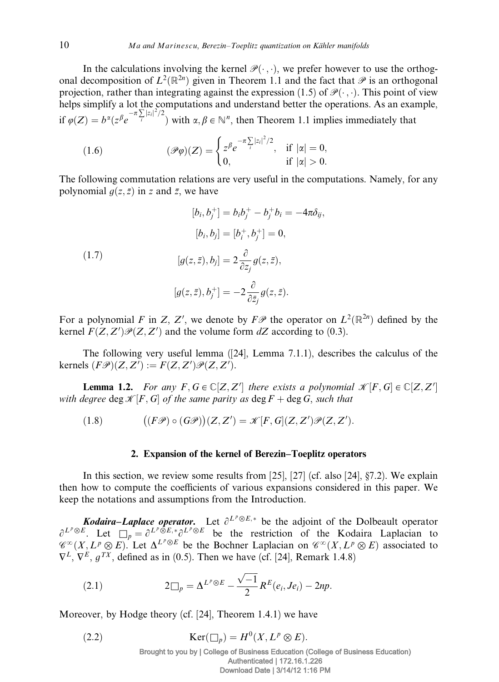In the calculations involving the kernel  $\mathcal{P}(\cdot, \cdot)$ , we prefer however to use the orthogonal decomposition of  $L^2(\mathbb{R}^{2n})$  given in Theorem 1.1 and the fact that  $\mathscr P$  is an orthogonal projection, rather than integrating against the expression (1.5) of  $\mathcal{P}(\cdot, \cdot)$ . This point of view helps simplify a lot the computations and understand better the operations. As an example, if  $\varphi(Z) = b^{\alpha} (z^{\beta} e^{-\pi \sum_{i} |z_i|^2/2})$  with  $\alpha, \beta \in \mathbb{N}^n$ , then Theorem 1.1 implies immediately that

(1.6) 
$$
(\mathscr{P}\varphi)(Z) = \begin{cases} z^{\beta} e^{-\pi \sum_{i} |z_{i}|^{2}/2}, & \text{if } |\alpha| = 0, \\ 0, & \text{if } |\alpha| > 0. \end{cases}
$$

The following commutation relations are very useful in the computations. Namely, for any polynomial  $q(z, \bar{z})$  in z and  $\bar{z}$ , we have

(1.7)  
\n
$$
[b_i, b_j^+] = b_i b_j^+ - b_j^+ b_i = -4\pi \delta_{ij},
$$
\n
$$
[b_i, b_j] = [b_i^+, b_j^+] = 0,
$$
\n
$$
[g(z, \bar{z}), b_j] = 2\frac{\partial}{\partial z_j} g(z, \bar{z}),
$$
\n
$$
[g(z, \bar{z}), b_j^+] = -2\frac{\partial}{\partial \bar{z}_j} g(z, \bar{z}).
$$

For a polynomial F in Z, Z', we denote by  $F\mathscr{P}$  the operator on  $L^2(\mathbb{R}^{2n})$  defined by the kernel  $F(Z, Z')\mathcal{P}(Z, Z')$  and the volume form dZ according to (0.3).

The following very useful lemma ([24], Lemma 7.1.1), describes the calculus of the kernels  $(F\mathscr{P})(Z, Z') := F(Z, Z')\mathscr{P}(Z, Z').$ 

**Lemma 1.2.** For any  $F, G \in \mathbb{C}[Z, Z']$  there exists a polynomial  $\mathcal{K}[F, G] \in \mathbb{C}[Z, Z']$ with degree deg  $\mathcal{K}[F, G]$  of the same parity as  $\deg F + \deg G$ , such that

(1.8) 
$$
((F\mathscr{P}) \circ (G\mathscr{P}))(Z,Z') = \mathscr{K}[F,G](Z,Z')\mathscr{P}(Z,Z').
$$

## 2. Expansion of the kernel of Berezin–Toeplitz operators

In this section, we review some results from [25], [27] (cf. also [24], §7.2). We explain then how to compute the coefficients of various expansions considered in this paper. We keep the notations and assumptions from the Introduction.

**Kodaira–Laplace operator.** Let  $\partial^{L^p \otimes E,*}$  be the adjoint of the Dolbeault operator  $\partial^{L^p \otimes E}$ . Let  $\Box_p = \partial^{L^p \otimes E, *}\partial^{L^p \otimes E}$  be the restriction of the Kodaira Laplacian to  $\mathscr{C}^{\infty}(X, L^p \otimes E)$ . Let  $\Delta^{L^p \otimes E}$  be the Bochner Laplacian on  $\mathscr{C}^{\infty}(X, L^p \otimes E)$  associated to  $\nabla^L$ ,  $\nabla^E$ ,  $q^{TX}$ , defined as in (0.5). Then we have (cf. [24], Remark 1.4.8)

(2.1) 
$$
2\Box_p = \Delta^{L^p \otimes E} - \frac{\sqrt{-1}}{2} R^E(e_i, Je_i) - 2np.
$$

Moreover, by Hodge theory (cf. [24], Theorem 1.4.1) we have

(2.2) 
$$
\operatorname{Ker}(\Box_p) = H^0(X, L^p \otimes E).
$$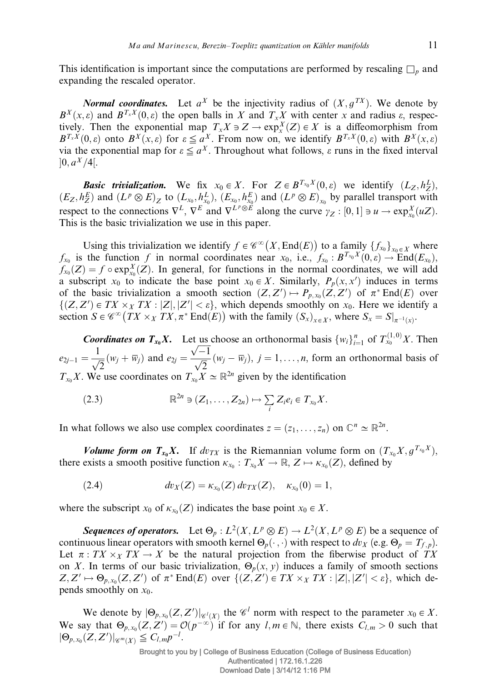This identification is important since the computations are performed by rescaling  $\Box_p$  and expanding the rescaled operator.

*Normal coordinates.* Let  $a^X$  be the injectivity radius of  $(X, g^{TX})$ . We denote by  $B^{X}(x, \varepsilon)$  and  $B^{T_{x}X}(0, \varepsilon)$  the open balls in X and  $T_{x}X$  with center x and radius  $\varepsilon$ , respectively. Then the exponential map  $T_x X \ni Z \to \exp_x^X(Z) \in X$  is a diffeomorphism from  $B^{T_x X}(0,\varepsilon)$  onto  $B^X(x,\varepsilon)$  for  $\varepsilon \le a^X$ . From now on, we identify  $B^{T_x X}(0,\varepsilon)$  with  $B^X(x,\varepsilon)$ via the exponential map for  $\varepsilon \le a^X$ . Throughout what follows,  $\varepsilon$  runs in the fixed interval  $]0, a^X/4[.$ 

**Basic trivialization.** We fix  $x_0 \in X$ . For  $Z \in B^{T_{x_0}X}(0, \varepsilon)$  we identify  $(L_Z, h_Z^L)$ ,  $(E_Z, h_Z^E)$  and  $(L^p \otimes E)_Z$  to  $(L_{x_0}, h_{x_0}^L)$ ,  $(E_{x_0}, h_{x_0}^E)$  and  $(L^p \otimes E)_{x_0}$  by parallel transport with respect to the connections  $\nabla^L$ ,  $\nabla^E$  and  $\nabla^{L^p \otimes \vec{E}}$  along the curve  $\gamma_Z : [0, 1] \ni u \to \exp_{x_0}^X (uZ)$ . This is the basic trivialization we use in this paper.

Using this trivialization we identify  $f \in \mathscr{C}^{\infty}(X, \text{End}(E))$  to a family  $\{f_{x_0}\}_{x_0 \in X}$  where  $f_{x_0}$  is the function f in normal coordinates near  $x_0$ , i.e.,  $f_{x_0} : B^{T_{x_0}X}(0, \varepsilon) \to \text{End}(E_{x_0})$ ,  $f_{x_0}(Z) = f \circ \exp_{x_0}^X(Z)$ . In general, for functions in the normal coordinates, we will add a subscript  $x_0$  to indicate the base point  $x_0 \in X$ . Similarly,  $P_p(x, x')$  induces in terms of the basic trivialization a smooth section  $(Z, Z') \mapsto P_{p,x_0}(Z, Z')$  of  $\pi^* \text{End}(E)$  over  $\{(Z, Z') \in TX \times_X TX : |Z|, |Z'| < \varepsilon\}$ , which depends smoothly on  $x_0$ . Here we identify a section  $S \in \mathscr{C}^{\infty}(TX \times_X TX, \pi^* \text{End}(E))$  with the family  $(S_x)_{x \in X}$ , where  $S_x = S|_{\pi^{-1}(x)}$ .

**Coordinates on**  $T_{x_0}X$ **.** Let us choose an orthonormal basis  $\{w_i\}_{i=1}^n$  of  $T_{x_0}^{(1,0)}X$ . Then  $e_{2j-1} = \frac{1}{\sqrt{2}} (w_j + \overline{w}_j)$  and  $e_{2j} =$  $\sqrt{-1}$  $\frac{\sqrt{2}}{\sqrt{2}}(w_j - \overline{w}_j), j = 1, \ldots, n$ , form an orthonormal basis of  $T_{x_0}X$ . We use coordinates on  $T_{x_0}X \simeq \mathbb{R}^{2n}$  given by the identification

(2.3) 
$$
\mathbb{R}^{2n} \ni (Z_1,\ldots,Z_{2n}) \mapsto \sum_i Z_i e_i \in T_{x_0} X.
$$

In what follows we also use complex coordinates  $z = (z_1, \dots, z_n)$  on  $\mathbb{C}^n \simeq \mathbb{R}^{2n}$ .

Volume form on  $T_{x_0}X$ . If  $dv_{TX}$  is the Riemannian volume form on  $(T_{x_0}X, g^{T_{x_0}X})$ , there exists a smooth positive function  $\kappa_{x_0} : T_{x_0}X \to \mathbb{R}, Z \mapsto \kappa_{x_0}(Z)$ , defined by

(2.4) 
$$
dv_X(Z) = \kappa_{x_0}(Z) dv_{TX}(Z), \quad \kappa_{x_0}(0) = 1,
$$

where the subscript  $x_0$  of  $\kappa_{x_0}(Z)$  indicates the base point  $x_0 \in X$ .

Sequences of operators. Let  $\Theta_p : L^2(X, L^p \otimes E) \to L^2(X, L^p \otimes E)$  be a sequence of continuous linear operators with smooth kernel  $\Theta_p(\cdot, \cdot)$  with respect to  $dv_X$  (e.g.  $\Theta_p = T_{f, p}$ ). Let  $\pi : T X \times_X T X \to X$  be the natural projection from the fiberwise product of TX on X. In terms of our basic trivialization,  $\Theta_p(x, y)$  induces a family of smooth sections  $Z, Z' \mapsto \Theta_{p,x_0}(Z, Z')$  of  $\pi^* \text{End}(E)$  over  $\{(Z, Z') \in TX \times_X TX : |Z|, |Z'| < \varepsilon\}$ , which depends smoothly on  $x_0$ .

We denote by  $|\Theta_{p,x_0}(Z,Z')|_{\mathscr{C}^l(X)}$  the  $\mathscr{C}^l$  norm with respect to the parameter  $x_0 \in X$ . We say that  $\Theta_{p,x_0}(Z, Z') = \mathcal{O}(p^{-\infty})$  if for any  $l, m \in \mathbb{N}$ , there exists  $C_{l,m} > 0$  such that  $|\Theta_{p,x_0}(Z,Z')|_{\mathscr{C}^m(X)} \leq C_{l,m}p^{-l}.$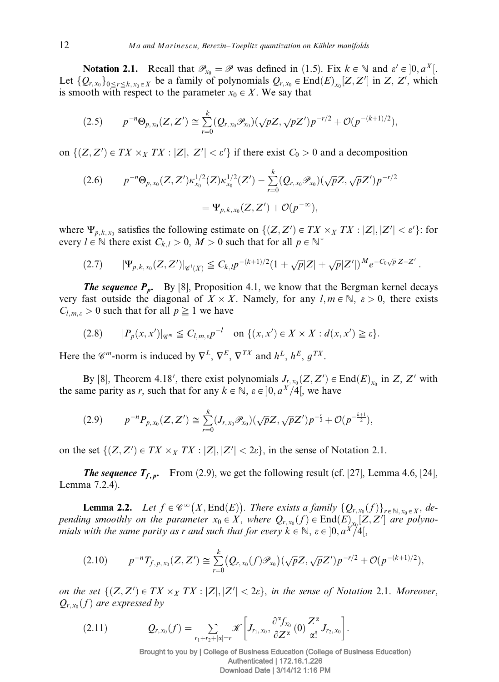**Notation 2.1.** Recall that  $\mathscr{P}_{x_0} = \mathscr{P}$  was defined in (1.5). Fix  $k \in \mathbb{N}$  and  $\varepsilon' \in ]0, a^X[$ . Let  $\{Q_{r,x_0}\}_{0 \leq r \leq k, x_0 \in X}$  be a family of polynomials  $Q_{r,x_0} \in \text{End}(E)_{x_0}[Z, Z']$  in  $Z, Z'$ , which is smooth with respect to the parameter  $x_0 \in X$ . We say that

$$
(2.5) \t p^{-n} \Theta_{p,x_0}(Z,Z') \cong \sum_{r=0}^k (Q_{r,x_0} \mathscr{P}_{x_0})(\sqrt{p}Z, \sqrt{p}Z') p^{-r/2} + \mathcal{O}(p^{-(k+1)/2}),
$$

on  $\{(Z, Z') \in TX \times_X TX : |Z|, |Z'| < \varepsilon'\}$  if there exist  $C_0 > 0$  and a decomposition

$$
(2.6) \t p^{-n} \Theta_{p,x_0}(Z,Z') \kappa_{x_0}^{1/2}(Z) \kappa_{x_0}^{1/2}(Z') - \sum_{r=0}^k (Q_{r,x_0} \mathscr{P}_{x_0}) (\sqrt{p} Z, \sqrt{p} Z') p^{-r/2}
$$
  
=  $\Psi_{p,k,x_0}(Z,Z') + \mathcal{O}(p^{-\infty}),$ 

where  $\Psi_{p,k,x_0}$  satisfies the following estimate on  $\{(Z,Z') \in TX \times_X TX : |Z|, |Z'| < \varepsilon'\}$ : for every  $l \in \mathbb{N}$  there exist  $C_{k,l} > 0$ ,  $M > 0$  such that for all  $p \in \mathbb{N}^*$ 

$$
(2.7) \qquad |\Psi_{p,k,x_0}(Z,Z')|_{\mathscr{C}^l(X)} \leq C_{k,l} p^{-(k+1)/2} (1+\sqrt{p}|Z|+\sqrt{p}|Z'|)^M e^{-C_0\sqrt{p}|Z-Z'|}.
$$

**The sequence**  $P_p$ **.** By [8], Proposition 4.1, we know that the Bergman kernel decays very fast outside the diagonal of  $X \times X$ . Namely, for any  $l, m \in \mathbb{N}$ ,  $\varepsilon > 0$ , there exists  $C_{l,m,\varepsilon} > 0$  such that for all  $p \geq 1$  we have

$$
(2.8) \t |P_p(x,x')|_{\mathscr{C}^m} \leq C_{l,m,\varepsilon} p^{-l} \t on \{ (x,x') \in X \times X : d(x,x') \geq \varepsilon \}.
$$

Here the  $\mathscr{C}^m$ -norm is induced by  $\nabla^L$ ,  $\nabla^E$ ,  $\nabla^{TX}$  and  $h^L$ ,  $h^E$ ,  $q^{TX}$ .

By [8], Theorem 4.18', there exist polynomials  $J_{r,x_0}(Z, Z') \in End(E)_{x_0}$  in  $Z, Z'$  with the same parity as r, such that for any  $k \in \mathbb{N}$ ,  $\varepsilon \in [0, a^X/4]$ , we have

$$
(2.9) \t p^{-n} P_{p,x_0}(Z,Z') \cong \sum_{r=0}^k (J_{r,x_0} \mathscr{P}_{x_0})(\sqrt{p}Z,\sqrt{p}Z')p^{-\frac{r}{2}} + \mathcal{O}(p^{-\frac{k+1}{2}}),
$$

on the set  $\{(Z, Z') \in TX \times_X TX : |Z|, |Z'| < 2\varepsilon\}$ , in the sense of Notation 2.1.

**The sequence**  $T_{f, p}$ **.** From (2.9), we get the following result (cf. [27], Lemma 4.6, [24], Lemma 7.2.4).

**Lemma 2.2.** Let  $f \in \mathscr{C}^{\infty}(X, \text{End}(E))$ . There exists a family  $\{Q_{r,x_0}(f)\}_{f \in \mathbb{N}, x_0 \in X}$ , depending smoothly on the parameter  $x_0 \in X$ , where  $Q_{r,x_0}(f) \in End(E)_{x_0}[Z, Z']$  are polynomials with the same parity as r and such that for every  $k \in \mathbb{N}$ ,  $\varepsilon \in [0, a^X/4],$ 

$$
(2.10) \t p^{-n}T_{f,p,x_0}(Z,Z') \cong \sum_{r=0}^k (Q_{r,x_0}(f)\mathscr{P}_{x_0})(\sqrt{p}Z,\sqrt{p}Z')p^{-r/2} + \mathcal{O}(p^{-(k+1)/2}),
$$

on the set  $\{(Z, Z') \in TX \times_X TX : |Z|, |Z'| < 2\varepsilon\}$ , in the sense of Notation 2.1. Moreover,  $Q_{r, x_0}(f)$  are expressed by

$$
(2.11) \tQ_{r,x_0}(f)=\sum_{r_1+r_2+|\alpha|=r} \mathscr{K}\bigg[J_{r_1,x_0},\frac{\partial^\alpha f_{x_0}}{\partial Z^\alpha}(0)\frac{Z^\alpha}{\alpha!}J_{r_2,x_0}\bigg].
$$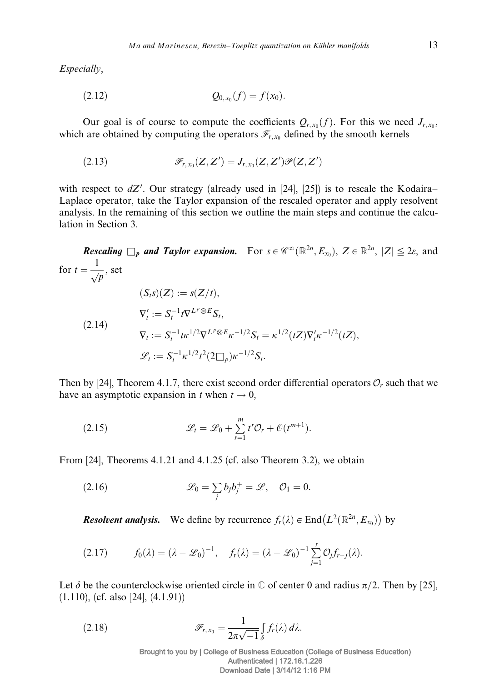Especially,

$$
(2.12) \t\t Q_{0,x_0}(f) = f(x_0).
$$

Our goal is of course to compute the coefficients  $Q_{r,x_0}(f)$ . For this we need  $J_{r,x_0}$ , which are obtained by computing the operators  $\mathcal{F}_{r,x_0}$  defined by the smooth kernels

(2.13) 
$$
\mathscr{F}_{r,x_0}(Z,Z')=J_{r,x_0}(Z,Z')\mathscr{P}(Z,Z')
$$

with respect to  $dZ'$ . Our strategy (already used in [24], [25]) is to rescale the Kodaira– Laplace operator, take the Taylor expansion of the rescaled operator and apply resolvent analysis. In the remaining of this section we outline the main steps and continue the calculation in Section 3.

*Rescaling*  $\Box_p$  *and Taylor expansion.* For  $s \in \mathscr{C}^{\infty}(\mathbb{R}^{2n}, E_{x_0})$ ,  $Z \in \mathbb{R}^{2n}$ ,  $|Z| \leq 2\varepsilon$ , and for  $t = \frac{1}{\sqrt{p}}$ , set  $(S_t s)(Z) := s(Z/t),$  $\nabla'_t := S_t^{-1} t \nabla^{L^p \otimes E} S_t,$  $\nabla_t := S_t^{-1} t \kappa^{1/2} \nabla^{L^p \otimes E} \kappa^{-1/2} S_t = \kappa^{1/2} (tZ) \nabla'_t \kappa^{-1/2} (tZ),$  $\mathscr{L}_t := S_t^{-1} \kappa^{1/2} t^2 (2 \square_p) \kappa^{-1/2} S_t.$  $(2.14)$ 

Then by [24], Theorem 4.1.7, there exist second order differential operators  $\mathcal{O}_r$  such that we have an asymptotic expansion in t when  $t \to 0$ ,

(2.15) 
$$
\mathscr{L}_t = \mathscr{L}_0 + \sum_{r=1}^m t^r \mathcal{O}_r + \mathcal{O}(t^{m+1}).
$$

From [24], Theorems 4.1.21 and 4.1.25 (cf. also Theorem 3.2), we obtain

(2.16) 
$$
\mathscr{L}_0 = \sum_j b_j b_j^+ = \mathscr{L}, \quad \mathcal{O}_1 = 0.
$$

**Resolvent analysis.** We define by recurrence  $f_r(\lambda) \in \text{End}\left(L^2(\mathbb{R}^{2n}, E_{x_0})\right)$  by

$$
(2.17) \t f_0(\lambda) = (\lambda - \mathcal{L}_0)^{-1}, \t f_r(\lambda) = (\lambda - \mathcal{L}_0)^{-1} \sum_{j=1}^r \mathcal{O}_j f_{r-j}(\lambda).
$$

Let  $\delta$  be the counterclockwise oriented circle in  $\mathbb C$  of center 0 and radius  $\pi/2$ . Then by [25], (1.110), (cf. also [24], (4.1.91))

(2.18) 
$$
\mathscr{F}_{r,x_0} = \frac{1}{2\pi\sqrt{-1}} \int_{\delta} f_r(\lambda) d\lambda.
$$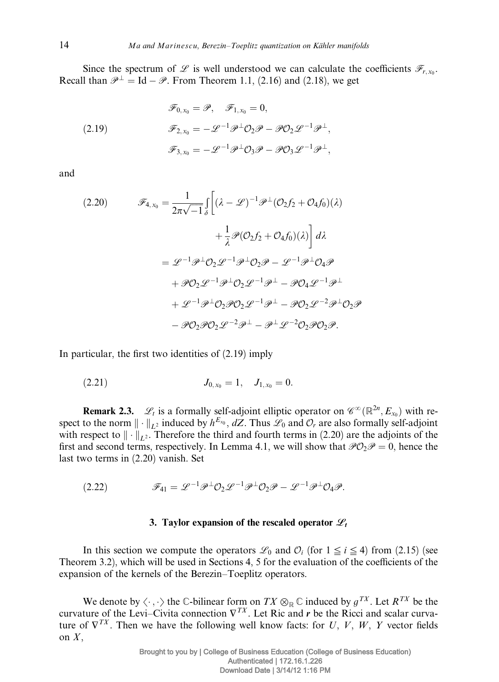Since the spectrum of L is well understood we can calculate the coefficients  $\mathscr{F}_{r,x_0}$ . Recall than  $\mathcal{P}^{\perp} = \text{Id} - \mathcal{P}$ . From Theorem 1.1, (2.16) and (2.18), we get

(2.19) 
$$
\mathscr{F}_{0,x_0} = \mathscr{P}, \quad \mathscr{F}_{1,x_0} = 0,
$$

$$
\mathscr{F}_{2,x_0} = -\mathscr{L}^{-1}\mathscr{P}^{\perp}\mathcal{O}_2\mathscr{P} - \mathscr{P}\mathcal{O}_2\mathscr{L}^{-1}\mathscr{P}^{\perp},
$$

$$
\mathscr{F}_{3,x_0} = -\mathscr{L}^{-1}\mathscr{P}^{\perp}\mathcal{O}_3\mathscr{P} - \mathscr{P}\mathcal{O}_3\mathscr{L}^{-1}\mathscr{P}^{\perp},
$$

and

$$
\mathcal{F}_{4,x_0} = \frac{1}{2\pi\sqrt{-1}} \int_{\delta} \left[ (\lambda - \mathcal{L})^{-1} \mathcal{P}^{\perp} (\mathcal{O}_2 f_2 + \mathcal{O}_4 f_0)(\lambda) \right. \\
\left. + \frac{1}{\lambda} \mathcal{P} (\mathcal{O}_2 f_2 + \mathcal{O}_4 f_0)(\lambda) \right] d\lambda \\
= \mathcal{L}^{-1} \mathcal{P}^{\perp} \mathcal{O}_2 \mathcal{L}^{-1} \mathcal{P}^{\perp} \mathcal{O}_2 \mathcal{P} - \mathcal{L}^{-1} \mathcal{P}^{\perp} \mathcal{O}_4 \mathcal{P} \\
+ \mathcal{P} \mathcal{O}_2 \mathcal{L}^{-1} \mathcal{P}^{\perp} \mathcal{O}_2 \mathcal{L}^{-1} \mathcal{P}^{\perp} - \mathcal{P} \mathcal{O}_4 \mathcal{L}^{-1} \mathcal{P}^{\perp} \\
+ \mathcal{L}^{-1} \mathcal{P}^{\perp} \mathcal{O}_2 \mathcal{P} \mathcal{O}_2 \mathcal{L}^{-1} \mathcal{P}^{\perp} - \mathcal{P} \mathcal{O}_2 \mathcal{L}^{-2} \mathcal{P}^{\perp} \mathcal{O}_2 \mathcal{P} \\
- \mathcal{P} \mathcal{O}_2 \mathcal{P} \mathcal{O}_2 \mathcal{L}^{-2} \mathcal{P}^{\perp} - \mathcal{P}^{\perp} \mathcal{L}^{-2} \mathcal{O}_2 \mathcal{P} \mathcal{O}_2 \mathcal{P}.
$$

In particular, the first two identities of (2.19) imply

$$
(2.21) \t\t J_{0,x_0} = 1, \quad J_{1,x_0} = 0.
$$

**Remark 2.3.**  $\mathscr{L}_t$  is a formally self-adjoint elliptic operator on  $\mathscr{C}^{\infty}(\mathbb{R}^{2n}, E_{x_0})$  with respect to the norm  $\|\cdot\|_{L^2}$  induced by  $h^{E_{x_0}}$ , dZ. Thus  $\mathscr{L}_0$  and  $\mathcal{O}_r$  are also formally self-adjoint with respect to  $\|\cdot\|_{L^2}$ . Therefore the third and fourth terms in (2.20) are the adjoints of the first and second terms, respectively. In Lemma 4.1, we will show that  $\mathcal{P}O_2\mathcal{P} = 0$ , hence the last two terms in (2.20) vanish. Set

$$
(2.22) \t\t \mathscr{F}_{41} = \mathscr{L}^{-1} \mathscr{P}^{\perp} \mathcal{O}_2 \mathscr{L}^{-1} \mathscr{P}^{\perp} \mathcal{O}_2 \mathscr{P} - \mathscr{L}^{-1} \mathscr{P}^{\perp} \mathcal{O}_4 \mathscr{P}.
$$

## 3. Taylor expansion of the rescaled operator  $\mathscr{L}_t$

In this section we compute the operators  $\mathcal{L}_0$  and  $\mathcal{O}_i$  (for  $1 \leq i \leq 4$ ) from (2.15) (see Theorem 3.2), which will be used in Sections 4, 5 for the evaluation of the coefficients of the expansion of the kernels of the Berezin–Toeplitz operators.

We denote by  $\langle \cdot, \cdot \rangle$  the C-bilinear form on  $TX \otimes_{\mathbb{R}} \mathbb{C}$  induced by  $g^{TX}$ . Let  $R^{TX}$  be the curvature of the Levi–Civita connection  $\nabla^{TX}$ . Let Ric and r be the Ricci and scalar curvature of  $\nabla^{TX}$ . Then we have the following well know facts: for U, V, W, Y vector fields on  $X$ ,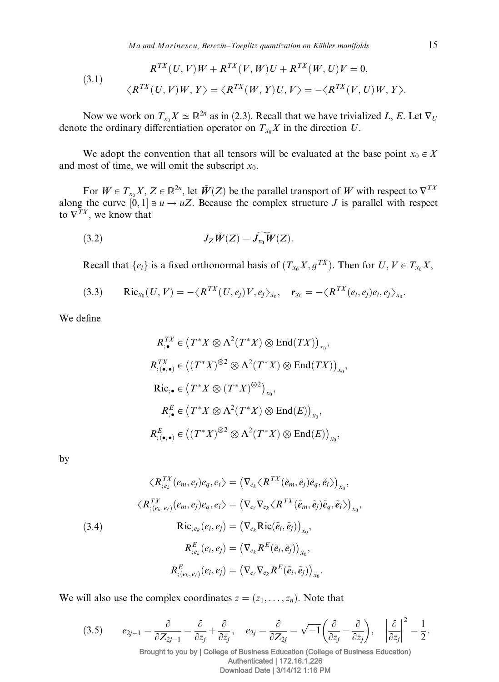$Ma$  and Marinescu, Berezin–Toeplitz quantization on Kähler manifolds  $15$ 

(3.1) 
$$
R^{TX}(U, V)W + R^{TX}(V, W)U + R^{TX}(W, U)V = 0,
$$

$$
\langle R^{TX}(U, V)W, Y \rangle = \langle R^{TX}(W, Y)U, V \rangle = -\langle R^{TX}(V, U)W, Y \rangle.
$$

Now we work on  $T_{x_0}X \simeq \mathbb{R}^{2n}$  as in (2.3). Recall that we have trivialized L, E. Let  $\nabla_U$ denote the ordinary differentiation operator on  $T_{x_0}X$  in the direction U.

We adopt the convention that all tensors will be evaluated at the base point  $x_0 \in X$ and most of time, we will omit the subscript  $x_0$ .

For  $W \in T_{x_0} X$ ,  $Z \in \mathbb{R}^{2n}$ , let  $\tilde{W}(Z)$  be the parallel transport of W with respect to  $\nabla^{TX}$ along the curve  $[0, 1] \ni u \rightarrow uZ$ . Because the complex structure J is parallel with respect to  $\nabla^{Tx}$ , we know that

$$
(3.2) \t\t J_Z \tilde{W}(Z) = \widetilde{J_{x_0}W}(Z).
$$

Recall that  $\{e_i\}$  is a fixed orthonormal basis of  $(T_{x_0}X, g^{TX})$ . Then for  $U, V \in T_{x_0}X$ ,

$$
(3.3) \qquad \mathrm{Ric}_{x_0}(U,V)=-\langle R^{TX}(U,e_j)V,e_j\rangle_{x_0}, \quad \mathbf{r}_{x_0}=-\langle R^{TX}(e_i,e_j)e_i,e_j\rangle_{x_0}.
$$

We define

$$
R_{;\bullet}^{TX} \in (T^*X \otimes \Lambda^2(T^*X) \otimes \text{End}(TX))_{x_0},
$$
  
\n
$$
R_{;(\bullet,\bullet)}^{TX} \in ((T^*X)^{\otimes 2} \otimes \Lambda^2(T^*X) \otimes \text{End}(TX))_{x_0},
$$
  
\n
$$
\text{Ric}_{;\bullet} \in (T^*X \otimes (T^*X)^{\otimes 2})_{x_0},
$$
  
\n
$$
R_{;(\bullet,\bullet)}^E \in (T^*X \otimes \Lambda^2(T^*X) \otimes \text{End}(E))_{x_0},
$$
  
\n
$$
R_{;(\bullet,\bullet)}^E \in ((T^*X)^{\otimes 2} \otimes \Lambda^2(T^*X) \otimes \text{End}(E))_{x_0},
$$

by

(3.4)  
\n
$$
\langle R_{;e_k}^{TX}(e_m, e_j)e_q, e_i \rangle = (\nabla_{e_k} \langle R^{TX}(\tilde{e}_m, \tilde{e}_j)\tilde{e}_q, \tilde{e}_i \rangle)_{x_0},
$$
\n
$$
\langle R_{;(e_k,e_\ell)}^{TX}(e_m, e_j)e_q, e_i \rangle = (\nabla_{e_\ell} \nabla_{e_k} \langle R^{TX}(\tilde{e}_m, \tilde{e}_j)\tilde{e}_q, \tilde{e}_i \rangle)_{x_0},
$$
\n(3.4)  
\n
$$
R_{;e_k}^E(e_i, e_j) = (\nabla_{e_k} \text{Ric}(\tilde{e}_i, \tilde{e}_j))_{x_0},
$$
\n
$$
R_{;(e_k,e_\ell)}^E(e_i, e_j) = (\nabla_{e_\ell} \nabla_{e_k} R^E(\tilde{e}_i, \tilde{e}_j))_{x_0}.
$$

We will also use the complex coordinates  $z = (z_1, \ldots, z_n)$ . Note that

(3.5) 
$$
e_{2j-1} = \frac{\partial}{\partial Z_{2j-1}} = \frac{\partial}{\partial z_j} + \frac{\partial}{\partial \bar{z}_j}, \quad e_{2j} = \frac{\partial}{\partial Z_{2j}} = \sqrt{-1} \left( \frac{\partial}{\partial z_j} - \frac{\partial}{\partial \bar{z}_j} \right), \quad \left| \frac{\partial}{\partial z_j} \right|^2 = \frac{1}{2}.
$$
  
Brought to you by | College of Business Education (College of Business Education)  
Authentication | 172.16.1.226

Download Date | 3/14/12 1:16 PM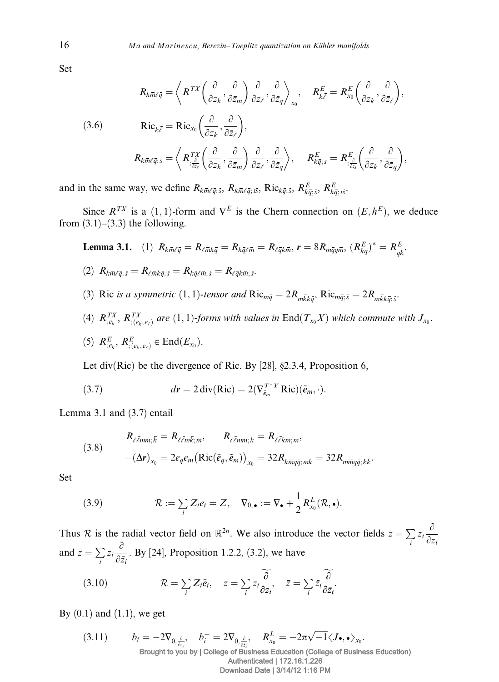Set

(3.6)  
\n
$$
R_{k\bar{m}\ell\bar{q}} = \left\langle R^{TX} \left( \frac{\partial}{\partial z_k}, \frac{\partial}{\partial \bar{z}_m} \right) \frac{\partial}{\partial z_\ell}, \frac{\partial}{\partial \bar{z}_q} \right\rangle_{x_0}, \quad R_{k\bar{\ell}}^E = R_{x_0}^E \left( \frac{\partial}{\partial z_k}, \frac{\partial}{\partial \bar{z}_\ell} \right),
$$
\n
$$
R_{k\bar{m}\ell\bar{q};s} = R_{x_0}^{\text{IV}} \left( \frac{\partial}{\partial z_k}, \frac{\partial}{\partial \bar{z}_\ell} \right),
$$
\n
$$
R_{k\bar{m}\ell\bar{q};s} = \left\langle R_{\frac{z_\ell^S}{\ell z_s}}^{TX} \left( \frac{\partial}{\partial z_k}, \frac{\partial}{\partial \bar{z}_m} \right) \frac{\partial}{\partial z_\ell}, \frac{\partial}{\partial \bar{z}_q} \right\rangle, \quad R_{k\bar{q};s}^E = R_{\frac{z_\ell^S}{\ell z_s}}^E \left( \frac{\partial}{\partial z_k}, \frac{\partial}{\partial \bar{z}_q} \right),
$$

and in the same way, we define  $R_{k\bar{m}\ell\bar{q}$ ; s,  $R_{k\bar{m}\ell\bar{q}$ ; ts,  $R$ ic<sub>k $\bar{q}$ ; s,  $R_{k\bar{q}$ ; s,  $R_{k\bar{q}}^E$ ; s,</sub>

Since  $R^{TX}$  is a (1, 1)-form and  $\nabla^{E}$  is the Chern connection on  $(E, h^{E})$ , we deduce from  $(3.1)$ – $(3.3)$  the following.

**Lemma 3.1.** (1) 
$$
R_{k\bar{m}\ell\bar{q}} = R_{\ell\bar{m}k\bar{q}} = R_{k\bar{q}\ell\bar{m}} = R_{\ell\bar{q}k\bar{m}}
$$
,  $r = 8R_{m\bar{q}q\bar{m}}$ ,  $(R_{k\bar{q}}^E)^* = R_{q\bar{k}}^E$ .

$$
(2) R_{k\overline{m}\ell\overline{q};\bar{s}} = R_{\ell\overline{m}k\overline{q};\bar{s}} = R_{k\overline{q}\ell\overline{m};\bar{s}} = R_{\ell\overline{q}k\overline{m};\bar{s}}.
$$

- (3) Ric is a symmetric  $(1,1)$ -tensor and  $Ric_{m\overline{q}} = 2R_{m\overline{k}k\overline{q}}$ ,  $Ric_{m\overline{q};\overline{s}} = 2R_{m\overline{k}k\overline{q};\overline{s}}$ .
- (4)  $R_{,e_k}^{TX}, R_{, (e_k, e_\ell)}^{TX}$  are  $(1, 1)$ -forms with values in  $\text{End}(T_{x_0}X)$  which commute with  $J_{x_0}$ .

(5) 
$$
R_{;e_k}^E
$$
,  $R_{;(e_k,e_\ell)}^E \in \text{End}(E_{x_0})$ .

Let div(Ric) be the divergence of Ric. By [28], §2.3.4, Proposition 6,

(3.7) 
$$
dr = 2 \operatorname{div}(\operatorname{Ric}) = 2(\nabla_{\tilde{e}_m}^{T^*X} \operatorname{Ric})(\tilde{e}_m, \cdot).
$$

Lemma 3.1 and (3.7) entail

(3.8) 
$$
R_{\ell \bar{\ell} m \bar{m}; \bar{k}} = R_{\ell \bar{\ell} m \bar{k}; \bar{m}}, \qquad R_{\ell \bar{\ell} m \bar{m}; k} = R_{\ell \bar{\ell} k \bar{m}; m},
$$

$$
-(\Delta \mathbf{r})_{x_0} = 2e_q e_m \big(\text{Ric}(\tilde{e}_q, \tilde{e}_m)\big)_{x_0} = 32 R_{k \bar{m} q \bar{q}; m \bar{k}} = 32 R_{m \bar{m} q \bar{q}; k \bar{k}}.
$$

Set

(3.9) 
$$
\mathcal{R} := \sum_i Z_i e_i = Z, \quad \nabla_{0,\bullet} := \nabla_{\bullet} + \frac{1}{2} R_{x_0}^L(\mathcal{R}, \bullet).
$$

Thus R is the radial vector field on  $\mathbb{R}^{2n}$ . We also introduce the vector fields  $z = \sum$  $\sum_{i} z_i \frac{\partial}{\partial z_i}$  $\partial z_i$ and  $\bar{z} = \sum$  $\sum_i \bar{z}_i \frac{\partial}{\partial \bar{z}}$  $\frac{\sigma}{\partial \bar{z}_i}$ . By [24], Proposition 1.2.2, (3.2), we have

(3.10) 
$$
\mathcal{R} = \sum_{i} Z_{i} \tilde{e}_{i}, \quad z = \sum_{i} z_{i} \frac{\widetilde{\partial}}{\partial z_{i}}, \quad \bar{z} = \sum_{i} \bar{z}_{i} \frac{\widetilde{\partial}}{\partial \bar{z}_{i}}.
$$

By  $(0.1)$  and  $(1.1)$ , we get

(3.11) 
$$
b_i = -2\nabla_{0,\frac{\partial}{\partial z_i}}, \quad b_i^+ = 2\nabla_{0,\frac{\partial}{\partial \bar{z}_i}}, \quad R_{x_0}^L = -2\pi\sqrt{-1}\langle J\bullet,\bullet\rangle_{x_0}.
$$
  
Brought to you by | College of Business Education (College of Business Education)  
Authentication | 172.16.1.226  
Download Date | 3/14/12 1:16 PM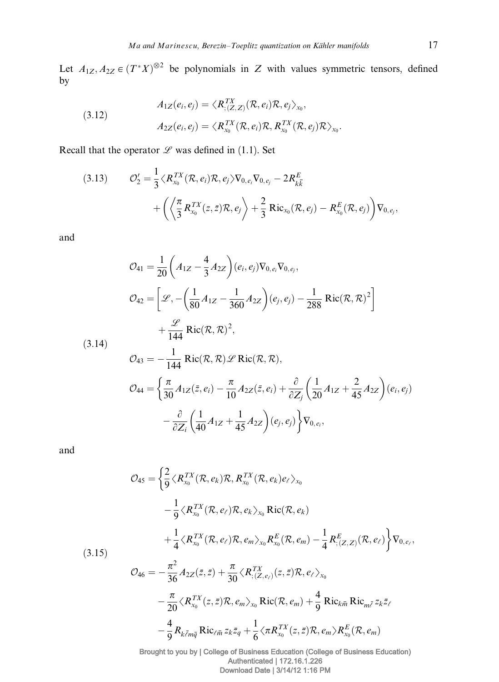Let  $A_{1Z}, A_{2Z} \in (T^*X)^{\otimes 2}$  be polynomials in Z with values symmetric tensors, defined by

(3.12)  
\n
$$
A_{1Z}(e_i, e_j) = \langle R_{; (Z, Z)}^{TX}(\mathcal{R}, e_i) \mathcal{R}, e_j \rangle_{x_0},
$$
\n
$$
A_{2Z}(e_i, e_j) = \langle R_{x_0}^{TX}(\mathcal{R}, e_i) \mathcal{R}, R_{x_0}^{TX}(\mathcal{R}, e_j) \mathcal{R} \rangle_{x_0}.
$$

Recall that the operator  $L$  was defined in (1.1). Set

(3.13) 
$$
\mathcal{O}'_2 = \frac{1}{3} \langle R_{x_0}^{TX}(\mathcal{R}, e_i) \mathcal{R}, e_j \rangle \nabla_{0, e_i} \nabla_{0, e_j} - 2R_{k\overline{k}}^E + \left( \left\langle \frac{\pi}{3} R_{x_0}^{TX}(z, \overline{z}) \mathcal{R}, e_j \right\rangle + \frac{2}{3} \text{Ric}_{x_0}(\mathcal{R}, e_j) - R_{x_0}^E(\mathcal{R}, e_j) \right) \nabla_{0, e_j},
$$

and

$$
\mathcal{O}_{41} = \frac{1}{20} \left( A_{1Z} - \frac{4}{3} A_{2Z} \right) (e_i, e_j) \nabla_{0, e_i} \nabla_{0, e_j},
$$
\n
$$
\mathcal{O}_{42} = \left[ \mathcal{L}, -\left( \frac{1}{80} A_{1Z} - \frac{1}{360} A_{2Z} \right) (e_j, e_j) - \frac{1}{288} \text{ Ric}(\mathcal{R}, \mathcal{R})^2 \right]
$$
\n
$$
+ \frac{\mathcal{L}}{144} \text{ Ric}(\mathcal{R}, \mathcal{R})^2,
$$
\n(3.14)\n
$$
\mathcal{O}_{43} = -\frac{1}{144} \text{ Ric}(\mathcal{R}, \mathcal{R}) \mathcal{L} \text{ Ric}(\mathcal{R}, \mathcal{R}),
$$
\n
$$
\mathcal{O}_{44} = \left\{ \frac{\pi}{30} A_{1Z}(\bar{z}, e_i) - \frac{\pi}{10} A_{2Z}(\bar{z}, e_i) + \frac{\partial}{\partial Z_j} \left( \frac{1}{20} A_{1Z} + \frac{2}{45} A_{2Z} \right) (e_i, e_j) \right\}
$$
\n
$$
- \frac{\partial}{\partial Z_i} \left( \frac{1}{40} A_{1Z} + \frac{1}{45} A_{2Z} \right) (e_j, e_j) \right\} \nabla_{0, e_i},
$$

and

$$
\mathcal{O}_{45} = \left\{ \frac{2}{9} \langle R_{x_0}^{TX}(\mathcal{R}, e_k) \mathcal{R}, R_{x_0}^{TX}(\mathcal{R}, e_k) e_\ell \rangle_{x_0} \right.\n- \frac{1}{9} \langle R_{x_0}^{TX}(\mathcal{R}, e_\ell) \mathcal{R}, e_k \rangle_{x_0} \operatorname{Ric}(\mathcal{R}, e_k) \n+ \frac{1}{4} \langle R_{x_0}^{TX}(\mathcal{R}, e_\ell) \mathcal{R}, e_m \rangle_{x_0} R_{x_0}^E(\mathcal{R}, e_m) - \frac{1}{4} R_{;\langle Z, Z \rangle}^E(\mathcal{R}, e_\ell) \right\} \nabla_{0, e_\ell},
$$
\n(3.15)  
\n
$$
\mathcal{O}_{46} = -\frac{\pi^2}{36} A_{2Z}(\bar{z}, \bar{z}) + \frac{\pi}{30} \langle R_{;\langle Z, e_\ell \rangle}^{TX}(\bar{z}, \bar{z}) \mathcal{R}, e_\ell \rangle_{x_0} \n- \frac{\pi}{20} \langle R_{x_0}^{TX}(z, \bar{z}) \mathcal{R}, e_m \rangle_{x_0} \operatorname{Ric}(\mathcal{R}, e_m) + \frac{4}{9} \operatorname{Ric}_{k\bar{m}} \operatorname{Ric}_{m\bar{\ell}} z_k \bar{z}_\ell \n- \frac{4}{9} R_{k\bar{\ell}m\bar{q}} \operatorname{Ric}_{\ell\bar{m}} z_k \bar{z}_q + \frac{1}{6} \langle \pi R_{x_0}^{TX}(z, \bar{z}) \mathcal{R}, e_m \rangle R_{x_0}^E(\mathcal{R}, e_m)
$$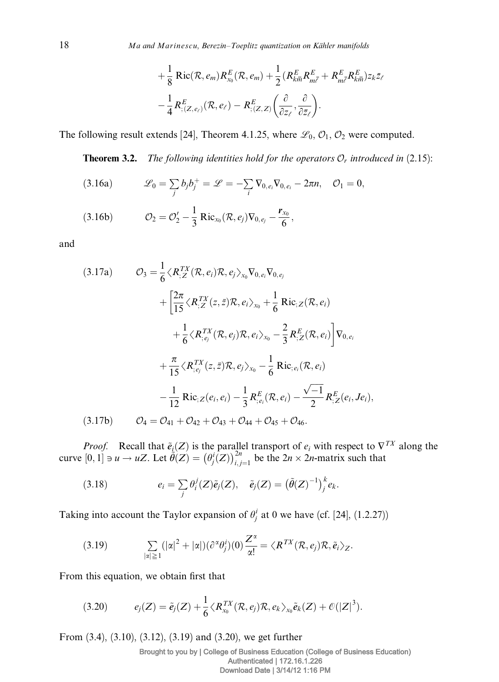$$
+\frac{1}{8}\text{Ric}(\mathcal{R},e_m)R_{x_0}^E(\mathcal{R},e_m)+\frac{1}{2}(R_{k\overline{m}}^E R_{m\overline{\ell}}^E+R_{m\overline{\ell}}^E R_{k\overline{m}}^E)z_k\overline{z}_{\ell}
$$

$$
-\frac{1}{4}R_{;\langle Z,e_\ell\rangle}^E(\mathcal{R},e_\ell)-R_{;\langle Z,Z\rangle}^E\left(\frac{\partial}{\partial z_\ell},\frac{\partial}{\partial \overline{z}_\ell}\right).
$$

The following result extends [24], Theorem 4.1.25, where  $\mathcal{L}_0$ ,  $\mathcal{O}_1$ ,  $\mathcal{O}_2$  were computed.

**Theorem 3.2.** The following identities hold for the operators  $\mathcal{O}_r$  introduced in (2.15):

(3.16a) 
$$
\mathscr{L}_0 = \sum_j b_j b_j^+ = \mathscr{L} = -\sum_i \nabla_{0,e_i} \nabla_{0,e_i} - 2\pi n, \quad \mathcal{O}_1 = 0,
$$

(3.16b) 
$$
\mathcal{O}_2 = \mathcal{O}'_2 - \frac{1}{3} \operatorname{Ric}_{x_0}(\mathcal{R}, e_j) \nabla_{0, e_j} - \frac{\mathbf{r}_{x_0}}{6},
$$

and

(3.17a) 
$$
\mathcal{O}_3 = \frac{1}{6} \langle R_{,Z}^{TX}(\mathcal{R}, e_i) \mathcal{R}, e_j \rangle_{x_0} \nabla_{0, e_i} \nabla_{0, e_j} + \frac{2\pi}{15} \langle R_{,Z}^{TX}(z, \bar{z}) \mathcal{R}, e_i \rangle_{x_0} + \frac{1}{6} \text{Ric}_{,Z}(\mathcal{R}, e_i) + \frac{1}{6} \langle R_{,e_j}^{TX}(\mathcal{R}, e_j) \mathcal{R}, e_i \rangle_{x_0} - \frac{2}{3} R_{,Z}^E(\mathcal{R}, e_i) \bigg] \nabla_{0, e_i} + \frac{\pi}{15} \langle R_{,e_j}^{TX}(z, \bar{z}) \mathcal{R}, e_j \rangle_{x_0} - \frac{1}{6} \text{Ric}_{,e_i}(\mathcal{R}, e_i) - \frac{1}{12} \text{Ric}_{,Z}(e_i, e_i) - \frac{1}{3} R_{,e_i}^E(\mathcal{R}, e_i) - \frac{\sqrt{-1}}{2} R_{,Z}^E(e_i, Je_i),
$$
\n(3.17b) 
$$
\mathcal{O}_4 = \mathcal{O}_{41} + \mathcal{O}_{42} + \mathcal{O}_{43} + \mathcal{O}_{44} + \mathcal{O}_{45} + \mathcal{O}_{46}.
$$

*Proof.* Recall that  $\tilde{e}_i(Z)$  is the parallel transport of  $e_i$  with respect to  $\nabla^{TX}$  along the curve  $[0, 1] \ni u \rightarrow uZ$ . Let  $\hat{\theta}(Z) = (\theta_j^i(Z))_{i,j=1}^{2n}$  be the  $2n \times 2n$ -matrix such that

(3.18) 
$$
e_i = \sum_j \theta_i^j(Z)\tilde{e}_j(Z), \quad \tilde{e}_j(Z) = \left(\tilde{\theta}(Z)^{-1}\right)_j^k e_k.
$$

Taking into account the Taylor expansion of  $\theta_j^i$  at 0 we have (cf. [24], (1.2.27))

(3.19) 
$$
\sum_{|\alpha|\geq 1} (|\alpha|^2 + |\alpha|)(\partial^{\alpha} \theta_j^i)(0) \frac{Z^{\alpha}}{\alpha!} = \langle R^{TX}(\mathcal{R}, e_j)\mathcal{R}, \tilde{e}_i \rangle_Z.
$$

From this equation, we obtain first that

$$
(3.20) \t e_j(Z) = \tilde{e}_j(Z) + \frac{1}{6} \langle R_{x_0}^{TX}(\mathcal{R}, e_j) \mathcal{R}, e_k \rangle_{x_0} \tilde{e}_k(Z) + \mathcal{O}(|Z|^3).
$$

From (3.4), (3.10), (3.12), (3.19) and (3.20), we get further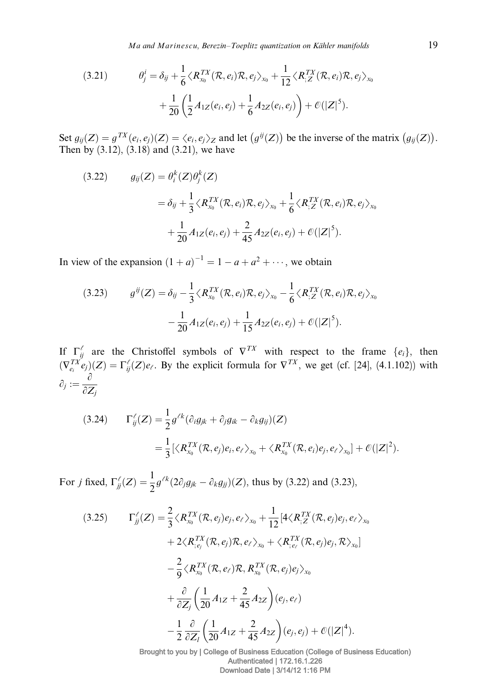Ma and Marinescu, Berezin–Toeplitz quantization on Kähler manifolds 19

(3.21) 
$$
\theta_j^i = \delta_{ij} + \frac{1}{6} \langle R_{x_0}^{TX}(\mathcal{R}, e_i) \mathcal{R}, e_j \rangle_{x_0} + \frac{1}{12} \langle R_{,Z}^{TX}(\mathcal{R}, e_i) \mathcal{R}, e_j \rangle_{x_0} + \frac{1}{20} \left( \frac{1}{2} A_{1Z}(e_i, e_j) + \frac{1}{6} A_{2Z}(e_i, e_j) \right) + \mathcal{O}(|Z|^5).
$$

Set  $g_{ij}(Z) = g^{TX}(e_i, e_j)(Z) = \langle e_i, e_j \rangle_Z$  and let  $(g^{ij}(Z))$  be the inverse of the matrix  $(g_{ij}(Z))$ . Then by (3.12), (3.18) and (3.21), we have

(3.22) 
$$
g_{ij}(Z) = \theta_i^k(Z)\theta_j^k(Z)
$$

$$
= \delta_{ij} + \frac{1}{3} \langle R_{x_0}^{TX}(\mathcal{R}, e_i) \mathcal{R}, e_j \rangle_{x_0} + \frac{1}{6} \langle R_{,Z}^{TX}(\mathcal{R}, e_i) \mathcal{R}, e_j \rangle_{x_0}
$$

$$
+ \frac{1}{20} A_{1Z}(e_i, e_j) + \frac{2}{45} A_{2Z}(e_i, e_j) + \mathcal{O}(|Z|^5).
$$

In view of the expansion  $(1 + a)^{-1} = 1 - a + a^2 + \cdots$ , we obtain

(3.23) 
$$
g^{ij}(Z) = \delta_{ij} - \frac{1}{3} \langle R_{x_0}^{TX}(\mathcal{R}, e_i) \mathcal{R}, e_j \rangle_{x_0} - \frac{1}{6} \langle R_{,Z}^{TX}(\mathcal{R}, e_i) \mathcal{R}, e_j \rangle_{x_0} - \frac{1}{20} A_{1Z}(e_i, e_j) + \frac{1}{15} A_{2Z}(e_i, e_j) + \mathcal{O}(|Z|^5).
$$

If  $\Gamma_{ij}^{\ell}$  are the Christoffel symbols of  $\nabla^{TX}$  with respect to the frame  $\{e_i\}$ , then  $(\nabla_{e_i}^{TX} e_j)(Z) = \Gamma_{ij}^{\ell}(Z) e_{\ell}$ . By the explicit formula for  $\nabla^{TX}$ , we get (cf. [24], (4.1.102)) with  $\partial_j := \frac{\partial}{\partial Z_j}$ 

(3.24) 
$$
\Gamma_{ij}^{\ell}(Z) = \frac{1}{2} g^{\ell k} (\partial_i g_{jk} + \partial_j g_{ik} - \partial_k g_{ij}) (Z)
$$

$$
= \frac{1}{3} [\langle R_{x_0}^{TX}(\mathcal{R}, e_j) e_i, e_{\ell} \rangle_{x_0} + \langle R_{x_0}^{TX}(\mathcal{R}, e_i) e_j, e_{\ell} \rangle_{x_0}] + \mathcal{O}(|Z|^2).
$$

For *j* fixed,  $\Gamma_{jj}^{\ell}(Z) = \frac{1}{2}g^{\ell k}(2\partial_j g_{jk} - \partial_k g_{jj})(Z)$ , thus by (3.22) and (3.23),

$$
(3.25) \t\Gamma_{jj}^{ \ell}(Z) = \frac{2}{3} \langle R_{x_0}^{TX}(\mathcal{R}, e_j)e_j, e_{\ell} \rangle_{x_0} + \frac{1}{12} [4 \langle R_{,Z}^{TX}(\mathcal{R}, e_j)e_j, e_{\ell} \rangle_{x_0} + 2 \langle R_{,e_j}^{TX}(\mathcal{R}, e_j)\mathcal{R}, e_{\ell} \rangle_{x_0} + \langle R_{,e_{\ell}}^{TX}(\mathcal{R}, e_j)e_j, \mathcal{R} \rangle_{x_0}] - \frac{2}{9} \langle R_{x_0}^{TX}(\mathcal{R}, e_{\ell})\mathcal{R}, R_{x_0}^{TX}(\mathcal{R}, e_j)e_j \rangle_{x_0} + \frac{\partial}{\partial Z_j} \left(\frac{1}{20} A_{1Z} + \frac{2}{45} A_{2Z}\right) (e_j, e_{\ell}) - \frac{1}{2} \frac{\partial}{\partial Z_l} \left(\frac{1}{20} A_{1Z} + \frac{2}{45} A_{2Z}\right) (e_j, e_j) + \mathcal{O}(|Z|^4).
$$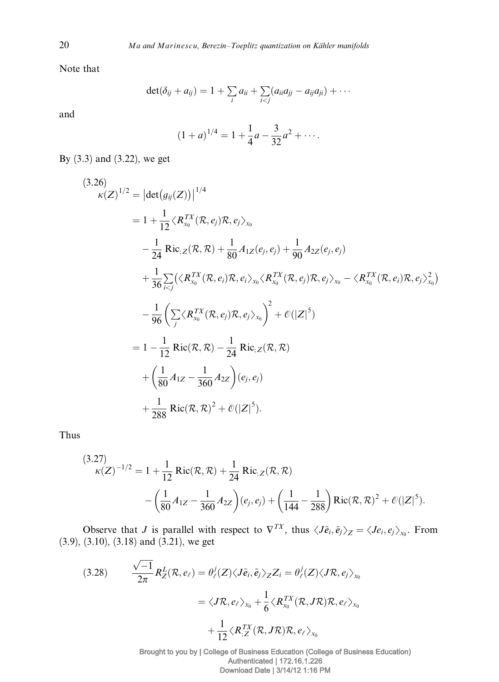Note that

$$
\det(\delta_{ij}+a_{ij})=1+\sum_i a_{ii}+\sum_{i
$$

and

$$
(1+a)^{1/4} = 1 + \frac{1}{4}a - \frac{3}{32}a^2 + \cdots
$$

By (3.3) and (3.22), we get

$$
(3.26)
$$
  
\n
$$
\kappa(Z)^{1/2} = |\det(g_{ij}(Z))|^{1/4}
$$
  
\n
$$
= 1 + \frac{1}{12} \langle R_{x_0}^{Tx}(R, e_j)R, e_j \rangle_{x_0}
$$
  
\n
$$
- \frac{1}{24} \operatorname{Ric}_{:Z}(R, R) + \frac{1}{80} A_{1Z}(e_j, e_j) + \frac{1}{90} A_{2Z}(e_j, e_j)
$$
  
\n
$$
+ \frac{1}{36} \sum_{i < j} \langle \langle R_{x_0}^{TX}(R, e_i)R, e_i \rangle_{x_0} \langle R_{x_0}^{TX}(R, e_j)R, e_j \rangle_{x_0} - \langle R_{x_0}^{TX}(R, e_i)R, e_j \rangle_{x_0}^2
$$
  
\n
$$
- \frac{1}{96} \left( \sum_{j} \langle R_{x_0}^{TX}(R, e_j)R, e_j \rangle_{x_0} \right)^2 + \mathcal{O}(|Z|^5)
$$
  
\n
$$
= 1 - \frac{1}{12} \operatorname{Ric}(R, R) - \frac{1}{24} \operatorname{Ric}_{:Z}(R, R)
$$
  
\n
$$
+ \left( \frac{1}{80} A_{1Z} - \frac{1}{360} A_{2Z} \right) (e_j, e_j)
$$
  
\n
$$
+ \frac{1}{288} \operatorname{Ric}(R, R)^2 + \mathcal{O}(|Z|^5).
$$

Thus

$$
(3.27)
$$
  

$$
\kappa(Z)^{-1/2} = 1 + \frac{1}{12} \operatorname{Ric}(\mathcal{R}, \mathcal{R}) + \frac{1}{24} \operatorname{Ric}_{;Z}(\mathcal{R}, \mathcal{R}) - \left(\frac{1}{80} A_{1Z} - \frac{1}{360} A_{2Z}\right) (e_j, e_j) + \left(\frac{1}{144} - \frac{1}{288}\right) \operatorname{Ric}(\mathcal{R}, \mathcal{R})^2 + \mathcal{O}(|Z|^5).
$$

Observe that J is parallel with respect to  $\nabla^{TX}$ , thus  $\langle J\tilde{e}_i,\tilde{e}_j\rangle_Z = \langle Je_i,e_j\rangle_{x_0}$ . From (3.9), (3.10), (3.18) and (3.21), we get

(3.28) 
$$
\frac{\sqrt{-1}}{2\pi} R_Z^L(\mathcal{R}, e_\ell) = \theta_\ell^j(Z) \langle J\tilde{e}_i, \tilde{e}_j \rangle_Z Z_i = \theta_\ell^j(Z) \langle J\mathcal{R}, e_j \rangle_{x_0}
$$

$$
= \langle J\mathcal{R}, e_\ell \rangle_{x_0} + \frac{1}{6} \langle R_{x_0}^{TX}(\mathcal{R}, J\mathcal{R})\mathcal{R}, e_\ell \rangle_{x_0}
$$

$$
+ \frac{1}{12} \langle R_{,Z}^{TX}(\mathcal{R}, J\mathcal{R})\mathcal{R}, e_\ell \rangle_{x_0}
$$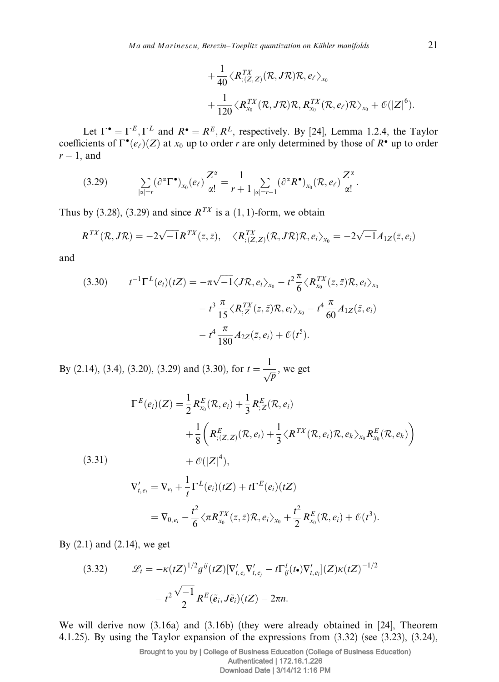$$
+ \frac{1}{40} \langle R_{; (Z,Z)}^{TX}(R, JR)R, e_{\ell} \rangle_{x_0} + \frac{1}{120} \langle R_{x_0}^{TX}(R, JR)R, R_{x_0}^{TX}(R, e_{\ell})R \rangle_{x_0} + \mathcal{O}(|Z|^6).
$$

Let  $\Gamma^{\bullet} = \Gamma^{E}, \Gamma^{L}$  and  $R^{\bullet} = R^{E}, R^{L}$ , respectively. By [24], Lemma 1.2.4, the Taylor coefficients of  $\Gamma^{\bullet}(e_{\ell})(Z)$  at  $x_0$  up to order r are only determined by those of  $R^{\bullet}$  up to order  $r-1$ , and

$$
(3.29) \qquad \sum_{|\alpha|=r} (\partial^{\alpha} \Gamma^{\bullet})_{x_0}(e_{\ell}) \frac{Z^{\alpha}}{\alpha!} = \frac{1}{r+1} \sum_{|\alpha|=r-1} (\partial^{\alpha} R^{\bullet})_{x_0}(\mathcal{R}, e_{\ell}) \frac{Z^{\alpha}}{\alpha!}.
$$

Thus by (3.28), (3.29) and since  $R^{TX}$  is a (1, 1)-form, we obtain

$$
R^{TX}(\mathcal{R}, J\mathcal{R}) = -2\sqrt{-1}R^{TX}(z, \bar{z}), \quad \langle R^{TX}_{; (Z, Z)}(\mathcal{R}, J\mathcal{R})\mathcal{R}, e_i \rangle_{x_0} = -2\sqrt{-1}A_{1Z}(\bar{z}, e_i)
$$

and

(3.30) 
$$
t^{-1} \Gamma^{L}(e_{i})(tZ) = -\pi \sqrt{-1} \langle J \mathcal{R}, e_{i} \rangle_{x_{0}} - t^{2} \frac{\pi}{6} \langle R_{x_{0}}^{TX}(z, \bar{z}) \mathcal{R}, e_{i} \rangle_{x_{0}} - t^{3} \frac{\pi}{15} \langle R_{;Z}^{TX}(z, \bar{z}) \mathcal{R}, e_{i} \rangle_{x_{0}} - t^{4} \frac{\pi}{60} A_{1Z}(\bar{z}, e_{i}) - t^{4} \frac{\pi}{180} A_{2Z}(\bar{z}, e_{i}) + \mathcal{O}(t^{5}).
$$

By (2.14), (3.4), (3.20), (3.29) and (3.30), for  $t = \frac{1}{\sqrt{p}}$ , we get

$$
\Gamma^{E}(e_i)(Z) = \frac{1}{2} R_{x_0}^{E}(\mathcal{R}, e_i) + \frac{1}{3} R_{;Z}^{E}(\mathcal{R}, e_i)
$$
  
+ 
$$
\frac{1}{8} \left( R_{; (Z,Z)}^{E}(\mathcal{R}, e_i) + \frac{1}{3} \langle R^{TX}(\mathcal{R}, e_i) \mathcal{R}, e_k \rangle_{x_0} R_{x_0}^{E}(\mathcal{R}, e_k) \right)
$$

$$
(3.31) \t\t + \mathcal{O}(|Z|^4),
$$

$$
\nabla'_{t,e_i} = \nabla_{e_i} + \frac{1}{t} \Gamma^L(e_i)(tZ) + t\Gamma^E(e_i)(tZ)
$$
  
=  $\nabla_{0,e_i} - \frac{t^2}{6} \langle \pi R_{x_0}^{TX}(z,\bar{z}) \mathcal{R}, e_i \rangle_{x_0} + \frac{t^2}{2} R_{x_0}^E(\mathcal{R}, e_i) + \mathcal{O}(t^3).$ 

By  $(2.1)$  and  $(2.14)$ , we get

(3.32) 
$$
\mathcal{L}_t = -\kappa(tZ)^{1/2} g^{ij}(tZ) [\nabla'_{t,e_i} \nabla'_{t,e_j} - t \Gamma'_{ij}(t \cdot) \nabla'_{t,e_i}](Z) \kappa(tZ)^{-1/2}
$$

$$
- t^2 \frac{\sqrt{-1}}{2} R^E(\tilde{e}_i, J\tilde{e}_i)(tZ) - 2\pi n.
$$

We will derive now (3.16a) and (3.16b) (they were already obtained in [24], Theorem 4.1.25). By using the Taylor expansion of the expressions from (3.32) (see (3.23), (3.24),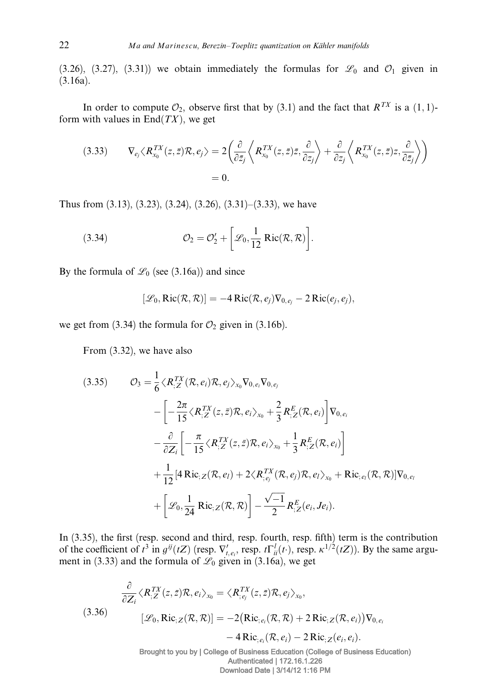(3.26), (3.27), (3.31)) we obtain immediately the formulas for  $\mathscr{L}_0$  and  $\mathscr{O}_1$  given in (3.16a).

In order to compute  $\mathcal{O}_2$ , observe first that by (3.1) and the fact that  $R^{TX}$  is a (1, 1)form with values in  $End(TX)$ , we get

(3.33) 
$$
\nabla_{e_j} \langle R_{x_0}^{TX}(z, \bar{z}) \mathcal{R}, e_j \rangle = 2 \left( \frac{\partial}{\partial \bar{z}_j} \left\langle R_{x_0}^{TX}(z, \bar{z}) \bar{z}, \frac{\partial}{\partial z_j} \right\rangle + \frac{\partial}{\partial z_j} \left\langle R_{x_0}^{TX}(z, \bar{z}) z, \frac{\partial}{\partial \bar{z}_j} \right\rangle \right)
$$

$$
= 0.
$$

Thus from (3.13), (3.23), (3.24), (3.26), (3.31)–(3.33), we have

(3.34) 
$$
\mathcal{O}_2 = \mathcal{O}'_2 + \left[\mathcal{L}_0, \frac{1}{12} \operatorname{Ric}(\mathcal{R}, \mathcal{R})\right].
$$

By the formula of  $\mathcal{L}_0$  (see (3.16a)) and since

$$
[\mathcal{L}_0, \text{Ric}(\mathcal{R}, \mathcal{R})] = -4 \text{Ric}(\mathcal{R}, e_j) \nabla_{0, e_j} - 2 \text{Ric}(e_j, e_j),
$$

we get from (3.34) the formula for  $\mathcal{O}_2$  given in (3.16b).

From (3.32), we have also

$$
(3.35) \qquad \mathcal{O}_3 = \frac{1}{6} \langle R_{,Z}^{TX}(\mathcal{R}, e_i) \mathcal{R}, e_j \rangle_{x_0} \nabla_{0, e_i} \nabla_{0, e_j}
$$
\n
$$
- \left[ -\frac{2\pi}{15} \langle R_{,Z}^{TX}(z, \bar{z}) \mathcal{R}, e_i \rangle_{x_0} + \frac{2}{3} R_{,Z}^{E}(\mathcal{R}, e_i) \right] \nabla_{0, e_i}
$$
\n
$$
- \frac{\partial}{\partial Z_i} \left[ -\frac{\pi}{15} \langle R_{,Z}^{TX}(z, \bar{z}) \mathcal{R}, e_i \rangle_{x_0} + \frac{1}{3} R_{,Z}^{E}(\mathcal{R}, e_i) \right]
$$
\n
$$
+ \frac{1}{12} [4 \text{Ric}_{,Z}(\mathcal{R}, e_i) + 2 \langle R_{,e_j}^{TX}(\mathcal{R}, e_j) \mathcal{R}, e_i \rangle_{x_0} + \text{Ric}_{,e_i}(\mathcal{R}, \mathcal{R})] \nabla_{0, e_i}
$$
\n
$$
+ \left[ \mathcal{L}_0, \frac{1}{24} \text{Ric}_{,Z}(\mathcal{R}, \mathcal{R}) \right] - \frac{\sqrt{-1}}{2} R_{,Z}^{E}(e_i, Je_i).
$$

In (3.35), the first (resp. second and third, resp. fourth, resp. fifth) term is the contribution of the coefficient of  $t^3$  in  $g^{ij}(tZ)$  (resp.  $\nabla'_{t,e_i}$ , resp.  $t\Gamma^l_{ii}(t)$ , resp.  $\kappa^{1/2}(tZ)$ ). By the same argument in (3.33) and the formula of  $\mathscr{L}_0$  given in (3.16a), we get

(3.36)  
\n
$$
\frac{\partial}{\partial Z_i} \langle R_{;Z}^{TX}(z,\bar{z})R, e_i \rangle_{x_0} = \langle R_{;e_j}^{TX}(z,\bar{z})R, e_j \rangle_{x_0},
$$
\n
$$
[\mathcal{L}_0, \text{Ric}_{;Z}(\mathcal{R}, \mathcal{R})] = -2(\text{Ric}_{;e_i}(\mathcal{R}, \mathcal{R}) + 2 \text{Ric}_{;Z}(\mathcal{R}, e_i))\nabla_{0, e_i} - 4 \text{Ric}_{;e_i}(\mathcal{R}, e_i) - 2 \text{Ric}_{;Z}(e_i, e_i).
$$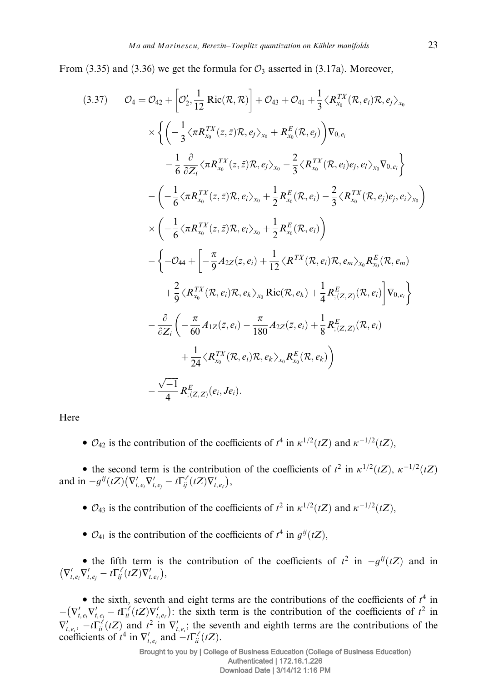From (3.35) and (3.36) we get the formula for  $\mathcal{O}_3$  asserted in (3.17a). Moreover,

$$
(3.37) \t O_4 = O_{42} + \left[ O_2', \frac{1}{12} \text{ Ric}(\mathcal{R}, \mathcal{R}) \right] + O_{43} + O_{41} + \frac{1}{3} \langle R_{x_0}^{TX}(\mathcal{R}, e_i) \mathcal{R}, e_j \rangle_{x_0}
$$
  
\n
$$
\times \left\{ \left( -\frac{1}{3} \langle \pi R_{x_0}^{TX}(z, \bar{z}) \mathcal{R}, e_j \rangle_{x_0} + R_{x_0}^E(\mathcal{R}, e_j) \right) \nabla_{0, e_i} - \frac{1}{6} \frac{\partial}{\partial Z_i} \langle \pi R_{x_0}^{TX}(z, \bar{z}) \mathcal{R}, e_j \rangle_{x_0} - \frac{2}{3} \langle R_{x_0}^{TX}(\mathcal{R}, e_i) e_j, e_l \rangle_{x_0} \nabla_{0, e_i} \right\}
$$
  
\n
$$
- \left( -\frac{1}{6} \langle \pi R_{x_0}^{TX}(z, \bar{z}) \mathcal{R}, e_i \rangle_{x_0} + \frac{1}{2} R_{x_0}^E(\mathcal{R}, e_i) - \frac{2}{3} \langle R_{x_0}^{TX}(\mathcal{R}, e_j) e_j, e_i \rangle_{x_0} \right)
$$
  
\n
$$
\times \left( -\frac{1}{6} \langle \pi R_{x_0}^{TX}(z, \bar{z}) \mathcal{R}, e_i \rangle_{x_0} + \frac{1}{2} R_{x_0}^E(\mathcal{R}, e_i) \right)
$$
  
\n
$$
- \left\{ -O_{44} + \left[ -\frac{\pi}{9} A_{2Z}(\bar{z}, e_i) + \frac{1}{12} \langle R^{TX}(\mathcal{R}, e_i) \mathcal{R}, e_m \rangle_{x_0} R_{x_0}^E(\mathcal{R}, e_m) \right\}
$$
  
\n
$$
+ \frac{2}{9} \langle R_{x_0}^{TX}(\mathcal{R}, e_i) \mathcal{R}, e_k \rangle_{x_0} \text{Ric}(\mathcal{R}, e_k) + \frac{1}{4} R_{;\{Z,Z\}}^E(\mathcal{R}, e_i) \right\}
$$
  
\n
$$
- \frac{\partial}{\partial Z_i} \left( -\frac{\pi}{60
$$

Here

•  $\mathcal{O}_{42}$  is the contribution of the coefficients of  $t^4$  in  $\kappa^{1/2}(tZ)$  and  $\kappa^{-1/2}(tZ)$ ,

• the second term is the contribution of the coefficients of  $t^2$  in  $\kappa^{1/2}(tZ)$ ,  $\kappa^{-1/2}(tZ)$ and in  $-g^{ij}(tZ)\left(\nabla'_{t,e_i}\nabla'_{t,e_j} - t\Gamma'_{ij}(tZ)\nabla'_{t,e_i}\right)$  $\bigg),$ 

•  $\mathcal{O}_{43}$  is the contribution of the coefficients of  $t^2$  in  $\kappa^{1/2}(tZ)$  and  $\kappa^{-1/2}(tZ)$ ,

 $\bullet$   $\mathcal{O}_{41}$  is the contribution of the coefficients of  $t^4$  in  $g^{ij}(tZ)$ ,

• the fifth term is the contribution of the coefficients of  $t^2$  in  $-g^{ij}(tZ)$  and in  $\left(\nabla'_{t,e_i}\nabla'_{t,e_j}-t\Gamma_{ij}^{\ell}(tZ)\nabla'_{t,e_{\ell}}\right)$ ,<br>),

• the sixth, seventh and eight terms are the contributions of the coefficients of  $t^4$  in  $-(\nabla'_{t,e_i}\nabla'_{t,e_i}-t\Gamma^{\ell}_{ii}(tZ)\nabla'_{t,e_{\ell}})$ the sixth term is the contribution of the coefficients of  $t^2$  in  $\nabla'_{t,e_i}$ ,  $-t\Gamma^{\ell}_i(tZ)$  and  $t^2$  in  $\nabla'_{t,e_i}$ ; the seventh and eighth terms are the contributions of the coefficients of  $t^4$  in  $\nabla'_{t,e_i}$  and  $-t\Gamma^{\ell}_{ii}(tZ)$ .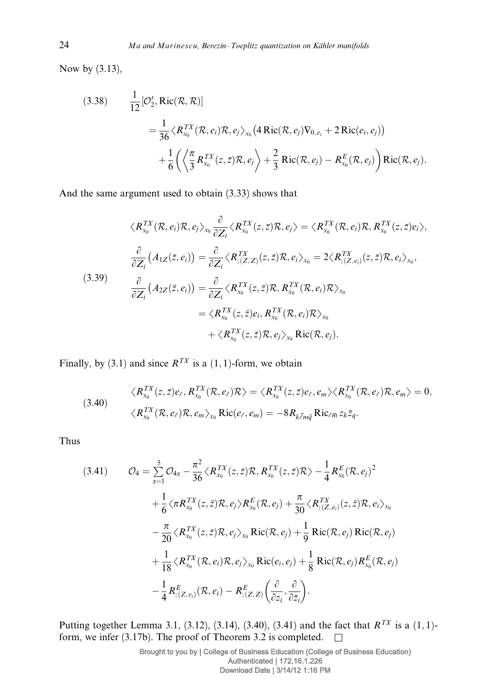Now by (3.13),

(3.38) 
$$
\frac{1}{12} [\mathcal{O}'_2, \text{Ric}(\mathcal{R}, \mathcal{R})]
$$

$$
= \frac{1}{36} \langle R_{x_0}^{TX}(\mathcal{R}, e_i) \mathcal{R}, e_j \rangle_{x_0} (4 \text{Ric}(\mathcal{R}, e_j) \nabla_{0, e_i} + 2 \text{Ric}(e_i, e_j))
$$

$$
+ \frac{1}{6} \left( \left\langle \frac{\pi}{3} R_{x_0}^{TX}(z, \bar{z}) \mathcal{R}, e_j \right\rangle + \frac{2}{3} \text{Ric}(\mathcal{R}, e_j) - R_{x_0}^{E}(\mathcal{R}, e_j) \right) \text{Ric}(\mathcal{R}, e_j).
$$

And the same argument used to obtain (3.33) shows that

$$
\langle R_{x_0}^{TX}(\mathcal{R}, e_i)\mathcal{R}, e_j\rangle_{x_0} \frac{\partial}{\partial Z_i} \langle R_{x_0}^{TX}(z, \bar{z})\mathcal{R}, e_j\rangle = \langle R_{x_0}^{TX}(\mathcal{R}, e_i)\mathcal{R}, R_{x_0}^{TX}(z, \bar{z})e_i\rangle,
$$
\n
$$
\frac{\partial}{\partial Z_i} (A_{1Z}(\bar{z}, e_i)) = \frac{\partial}{\partial Z_i} \langle R_{;\{Z,Z\}}^{TX}(z, \bar{z})\mathcal{R}, e_i\rangle_{x_0} = 2\langle R_{;\{Z,e_i\}}^{TX}(z, \bar{z})\mathcal{R}, e_i\rangle_{x_0},
$$
\n(3.39)\n
$$
\frac{\partial}{\partial Z_i} (A_{2Z}(\bar{z}, e_i)) = \frac{\partial}{\partial Z_i} \langle R_{x_0}^{TX}(z, \bar{z})\mathcal{R}, R_{x_0}^{TX}(\mathcal{R}, e_i)\mathcal{R}\rangle_{x_0}
$$
\n
$$
= \langle R_{x_0}^{TX}(z, \bar{z})e_i, R_{x_0}^{TX}(\mathcal{R}, e_i)\mathcal{R}\rangle_{x_0}
$$
\n
$$
+ \langle R_{x_0}^{TX}(z, \bar{z})\mathcal{R}, e_j\rangle_{x_0} \text{Ric}(\mathcal{R}, e_j).
$$

Finally, by (3.1) and since  $R^{TX}$  is a (1, 1)-form, we obtain

(3.40) 
$$
\langle R_{x_0}^{TX}(z,\bar{z})e_{\ell}, R_{x_0}^{TX}(\mathcal{R},e_{\ell})\mathcal{R}\rangle = \langle R_{x_0}^{TX}(z,\bar{z})e_{\ell},e_m\rangle\langle R_{x_0}^{TX}(\mathcal{R},e_{\ell})\mathcal{R},e_m\rangle = 0, \langle R_{x_0}^{TX}(\mathcal{R},e_{\ell})\mathcal{R},e_m\rangle_{x_0} \text{Ric}(e_{\ell},e_m) = -8R_{k\bar{\ell}m\bar{q}} \text{Ric}_{\ell\bar{m}} z_k \bar{z}_q.
$$

Thus

$$
(3.41) \qquad \mathcal{O}_4 = \sum_{\alpha=1}^5 \mathcal{O}_{4\alpha} - \frac{\pi^2}{36} \langle R_{x_0}^{TX}(z, \bar{z}) \mathcal{R}, R_{x_0}^{TX}(z, \bar{z}) \mathcal{R} \rangle - \frac{1}{4} R_{x_0}^E(\mathcal{R}, e_j)^2
$$

$$
+ \frac{1}{6} \langle \pi R_{x_0}^{TX}(z, \bar{z}) \mathcal{R}, e_j \rangle R_{x_0}^E(\mathcal{R}, e_j) + \frac{\pi}{30} \langle R_{; (Z, e_i)}^{TX}(z, \bar{z}) \mathcal{R}, e_i \rangle_{x_0}
$$

$$
- \frac{\pi}{20} \langle R_{x_0}^{TX}(z, \bar{z}) \mathcal{R}, e_j \rangle_{x_0} \operatorname{Ric}(\mathcal{R}, e_j) + \frac{1}{9} \operatorname{Ric}(\mathcal{R}, e_j) \operatorname{Ric}(\mathcal{R}, e_j)
$$

$$
+ \frac{1}{18} \langle R_{x_0}^{TX}(\mathcal{R}, e_i) \mathcal{R}, e_j \rangle_{x_0} \operatorname{Ric}(e_i, e_j) + \frac{1}{8} \operatorname{Ric}(\mathcal{R}, e_j) R_{x_0}^E(\mathcal{R}, e_j)
$$

$$
- \frac{1}{4} R_{; (Z, e_i)}^E(\mathcal{R}, e_i) - R_{; (Z, Z)}^E(\frac{\partial}{\partial z_i}, \frac{\partial}{\partial \bar{z}_i}).
$$

Putting together Lemma 3.1, (3.12), (3.14), (3.40), (3.41) and the fact that  $R^{TX}$  is a (1, 1)form, we infer (3.17b). The proof of Theorem 3.2 is completed.  $\square$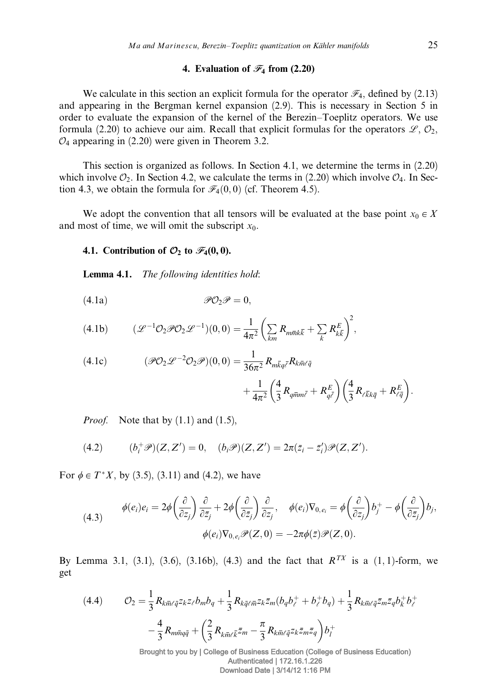## 4. Evaluation of  $\mathcal{F}_4$  from (2.20)

We calculate in this section an explicit formula for the operator  $\mathcal{F}_4$ , defined by (2.13) and appearing in the Bergman kernel expansion (2.9). This is necessary in Section 5 in order to evaluate the expansion of the kernel of the Berezin–Toeplitz operators. We use formula (2.20) to achieve our aim. Recall that explicit formulas for the operators  $\mathscr{L}, \mathcal{O}_2$ ,  $\mathcal{O}_4$  appearing in (2.20) were given in Theorem 3.2.

This section is organized as follows. In Section 4.1, we determine the terms in (2.20) which involve  $\mathcal{O}_2$ . In Section 4.2, we calculate the terms in (2.20) which involve  $\mathcal{O}_4$ . In Section 4.3, we obtain the formula for  $\mathcal{F}_4(0,0)$  (cf. Theorem 4.5).

We adopt the convention that all tensors will be evaluated at the base point  $x_0 \in X$ and most of time, we will omit the subscript  $x_0$ .

## 4.1. Contribution of  $\mathcal{O}_2$  to  $\mathcal{F}_4(0,0)$ .

Lemma 4.1. The following identities hold:

$$
\mathscr{P}O_2\mathscr{P}=0,
$$

(4.1b) 
$$
(\mathcal{L}^{-1}\mathcal{O}_2\mathcal{P}\mathcal{O}_2\mathcal{L}^{-1})(0,0)=\frac{1}{4\pi^2}\left(\sum_{km}R_{m\bar{m}k\bar{k}}+\sum_k R_{k\bar{k}}^E\right)^2,
$$

(4.1c) 
$$
(\mathcal{P}O_2 \mathcal{L}^{-2}O_2 \mathcal{P})(0,0) = \frac{1}{36\pi^2} R_{m\bar{k}q\bar{\ell}} R_{k\bar{m}\ell\bar{q}} + \frac{1}{4\pi^2} \left(\frac{4}{3} R_{q\bar{m}m\bar{\ell}} + R_{q\bar{\ell}}^E\right) \left(\frac{4}{3} R_{\ell\bar{k}k\bar{q}} + R_{\ell\bar{q}}^E\right)
$$

*Proof.* Note that by  $(1.1)$  and  $(1.5)$ ,

(4.2) 
$$
(b_i^+\mathscr{P})(Z,Z')=0, (b_i\mathscr{P})(Z,Z')=2\pi(\bar{z}_i-\bar{z}_i')\mathscr{P}(Z,Z').
$$

For  $\phi \in T^*X$ , by (3.5), (3.11) and (4.2), we have

(4.3) 
$$
\phi(e_i)e_i = 2\phi\left(\frac{\partial}{\partial z_j}\right)\frac{\partial}{\partial \bar{z}_j} + 2\phi\left(\frac{\partial}{\partial \bar{z}_j}\right)\frac{\partial}{\partial z_j}, \quad \phi(e_i)\nabla_{0,e_i} = \phi\left(\frac{\partial}{\partial z_j}\right)b_j + \phi\left(\frac{\partial}{\partial \bar{z}_j}\right)b_j,
$$

$$
\phi(e_i)\nabla_{0,e_i}\mathcal{P}(Z,0) = -2\pi\phi(\bar{z})\mathcal{P}(Z,0).
$$

By Lemma 3.1, (3.1), (3.6), (3.16b), (4.3) and the fact that  $R^{TX}$  is a (1,1)-form, we get

$$
(4.4) \qquad \mathcal{O}_2 = \frac{1}{3} R_{k\bar{m}\ell\bar{q}} z_k z_\ell b_m b_q + \frac{1}{3} R_{k\bar{q}\ell\bar{m}} z_k \bar{z}_m (b_q b_\ell^+ + b_\ell^+ b_q) + \frac{1}{3} R_{k\bar{m}\ell\bar{q}} \bar{z}_m \bar{z}_q b_k^+ b_\ell^+ - \frac{4}{3} R_{m\bar{m}q\bar{q}} + \left(\frac{2}{3} R_{k\bar{m}\ell\bar{k}} \bar{z}_m - \frac{\pi}{3} R_{k\bar{m}\ell\bar{q}} z_k \bar{z}_m \bar{z}_q\right) b_l^+
$$

Brought to you by | College of Business Education (College of Business Education) Authenticated | 172.16.1.226 Download Date | 3/14/12 1:16 PM

: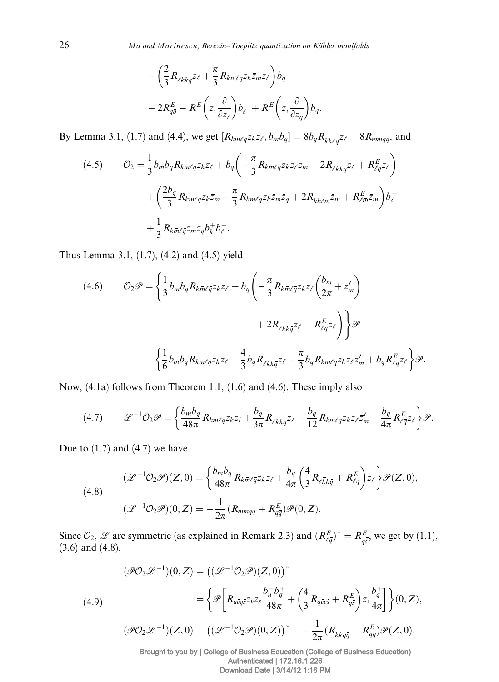$$
-\left(\frac{2}{3}R_{\ell\bar{k}k\bar{q}}z_{\ell}+\frac{\pi}{3}R_{k\bar{m}\ell\bar{q}}z_k\bar{z}_mz_{\ell}\right)b_q\n-2R_{q\bar{q}}^E-R^E\left(\bar{z},\frac{\partial}{\partial z_{\ell}}\right)b^+_{\ell}+R^E\left(z,\frac{\partial}{\partial \bar{z}_q}\right)b_q.
$$

By Lemma 3.1, (1.7) and (4.4), we get  $[R_{k\bar{m}\ell\bar{q}}z_kz_\ell,b_mb_q] = 8b_qR_{k\bar{k}\ell\bar{q}}z_\ell + 8R_{m\bar{m}q\bar{q}}$ , and

$$
(4.5) \t\t\t O_2 = \frac{1}{3} b_m b_q R_{k\bar{m}\ell\bar{q}} z_k z_\ell + b_q \left( -\frac{\pi}{3} R_{k\bar{m}\ell\bar{q}} z_k z_\ell \bar{z}_m + 2 R_{\ell\bar{k}\bar{k}\bar{q}} z_\ell + R_{\ell\bar{q}}^E z_\ell \right) + \left( \frac{2b_q}{3} R_{k\bar{m}\ell\bar{q}} z_k \bar{z}_m - \frac{\pi}{3} R_{k\bar{m}\ell\bar{q}} z_k \bar{z}_m \bar{z}_q + 2 R_{k\bar{k}\ell\bar{m}} \bar{z}_m + R_{\ell\bar{m}}^E \bar{z}_m \right) b_\ell^+ + \frac{1}{3} R_{k\bar{m}\ell\bar{q}} \bar{z}_m \bar{z}_q b_k^+ b_\ell^+.
$$

Thus Lemma 3.1, (1.7), (4.2) and (4.5) yield

(4.6) 
$$
\mathcal{O}_2 \mathscr{P} = \left\{ \frac{1}{3} b_m b_q R_{km\ell \bar{q}} z_{k} z_{\ell} + b_q \left( -\frac{\pi}{3} R_{k\bar{m}\ell \bar{q}} z_{k} z_{\ell} \left( \frac{b_m}{2\pi} + \bar{z}'_m \right) \right. \\ \left. + 2 R_{\ell \bar{k} k \bar{q}} z_{\ell} + R_{\ell \bar{q}}^E z_{\ell} \right) \right\} \mathscr{P}
$$

$$
= \left\{ \frac{1}{6} b_m b_q R_{k\bar{m}\ell \bar{q}} z_{k} z_{\ell} + \frac{4}{3} b_q R_{\ell \bar{k} k \bar{q}} z_{\ell} - \frac{\pi}{3} b_q R_{k\bar{m}\ell \bar{q}} z_{k} z_{\ell} \bar{z}'_m + b_q R_{\ell \bar{q}}^E z_{\ell} \right\} \mathscr{P}.
$$

Now, (4.1a) follows from Theorem 1.1, (1.6) and (4.6). These imply also

$$
(4.7) \qquad \mathscr{L}^{-1} \mathcal{O}_2 \mathscr{P} = \left\{ \frac{b_m b_q}{48\pi} R_{k \bar{m} \ell \bar{q}} z_k z_l + \frac{b_q}{3\pi} R_{\ell \bar{k} k \bar{q}} z_{\ell} - \frac{b_q}{12} R_{k \bar{m} \ell \bar{q}} z_k z_{\ell} \bar{z}'_m + \frac{b_q}{4\pi} R_{\ell \bar{q}}^E z_{\ell} \right\} \mathscr{P}.
$$

Due to  $(1.7)$  and  $(4.7)$  we have

(4.8)  
\n
$$
(\mathcal{L}^{-1}\mathcal{O}_2\mathscr{P})(Z,0) = \left\{\frac{b_m b_q}{48\pi} R_{k\bar{m}\ell\bar{q}} z_{k} z_{\ell} + \frac{b_q}{4\pi} \left(\frac{4}{3} R_{\ell\bar{k}k\bar{q}} + R_{\ell\bar{q}}^E\right) z_{\ell} \right\} \mathscr{P}(Z,0),
$$
\n
$$
(\mathcal{L}^{-1}\mathcal{O}_2\mathscr{P})(0,Z) = -\frac{1}{2\pi} (R_{m\bar{m}q\bar{q}} + R_{q\bar{q}}^E) \mathscr{P}(0,Z).
$$

Since  $\mathcal{O}_2$ ,  $\mathcal{L}$  are symmetric (as explained in Remark 2.3) and  $(R_{\ell\bar{q}}^E)^* = R_{q\bar{\ell}}^E$ , we get by (1.1), (3.6) and (4.8),

(4.9)  
\n
$$
(\mathscr{P}O_2\mathscr{L}^{-1})(0,\mathbf{Z}) = ((\mathscr{L}^{-1}O_2\mathscr{P})(\mathbf{Z},0))^*
$$
\n
$$
= \left\{\mathscr{P}\bigg[R_{u\bar{v}q\bar{s}}\bar{z}_v\bar{z}_s\frac{b_u^+b_q^+}{48\pi} + \left(\frac{4}{3}R_{q\bar{v}v\bar{s}} + R_{q\bar{s}}^E\right)\bar{z}_s\frac{b_q^+}{4\pi}\right]\right\}(0,\mathbf{Z}),
$$
\n
$$
(\mathscr{P}O_2\mathscr{L}^{-1})(\mathbf{Z},0) = ((\mathscr{L}^{-1}O_2\mathscr{P})(0,\mathbf{Z}))^* = -\frac{1}{2\pi}(R_{k\bar{k}q\bar{q}} + R_{q\bar{q}}^E)\mathscr{P}(\mathbf{Z},0).
$$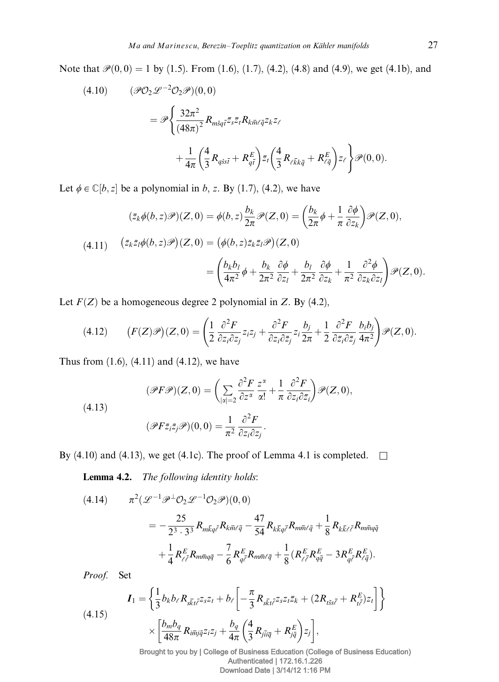Note that  $\mathcal{P}(0,0) = 1$  by (1.5). From (1.6), (1.7), (4.2), (4.8) and (4.9), we get (4.1b), and

(4.10) 
$$
(\mathcal{P}O_2 \mathcal{L}^{-2}O_2 \mathcal{P})(0,0)
$$

$$
= \mathcal{P}\left\{\frac{32\pi^2}{(48\pi)^2} R_{m\bar{s}q\bar{t}} \bar{z}_{s} \bar{z}_{t} R_{k\bar{m}\ell\bar{q}} z_{k} z_{\ell} + \frac{1}{4\pi} \left(\frac{4}{3} R_{q\bar{s}s\bar{t}} + R_{q\bar{t}}^E \right) \bar{z}_{t} \left(\frac{4}{3} R_{\ell\bar{k}k\bar{q}} + R_{\ell\bar{q}}^E \right) z_{\ell} \right\} \mathcal{P}(0,0).
$$

Let  $\phi \in \mathbb{C}[b, z]$  be a polynomial in b, z. By (1.7), (4.2), we have

$$
(\bar{z}_k \phi(b, z)\mathscr{P})(Z, 0) = \phi(b, z) \frac{b_k}{2\pi} \mathscr{P}(Z, 0) = \left(\frac{b_k}{2\pi} \phi + \frac{1}{\pi} \frac{\partial \phi}{\partial z_k}\right) \mathscr{P}(Z, 0),
$$
  
(4.11) 
$$
(\bar{z}_k \bar{z}_l \phi(b, z)\mathscr{P})(Z, 0) = (\phi(b, z)\bar{z}_k \bar{z}_l \mathscr{P})(Z, 0)
$$

$$
= \left(\frac{b_k b_l}{4\pi^2} \phi + \frac{b_k}{2\pi^2} \frac{\partial \phi}{\partial z_l} + \frac{b_l}{2\pi^2} \frac{\partial \phi}{\partial z_k} + \frac{1}{\pi^2} \frac{\partial^2 \phi}{\partial z_k \partial z_l}\right) \mathscr{P}(Z, 0).
$$

Let  $F(Z)$  be a homogeneous degree 2 polynomial in Z. By (4.2),

(4.12) 
$$
(F(Z)\mathscr{P})(Z,0) = \left(\frac{1}{2}\frac{\partial^2 F}{\partial z_i \partial z_j}z_i z_j + \frac{\partial^2 F}{\partial z_i \partial \bar{z}_j}z_i \frac{b_j}{2\pi} + \frac{1}{2}\frac{\partial^2 F}{\partial \bar{z}_i \partial \bar{z}_j} \frac{b_i b_j}{4\pi^2}\right) \mathscr{P}(Z,0).
$$

Thus from (1.6), (4.11) and (4.12), we have

(4.13)  
\n
$$
(\mathscr{P}F\mathscr{P})(Z,0) = \left(\sum_{|\alpha|=2} \frac{\partial^2 F}{\partial z^{\alpha}} \frac{z^{\alpha}}{\alpha!} + \frac{1}{\pi} \frac{\partial^2 F}{\partial z_i \partial \bar{z}_i}\right) \mathscr{P}(Z,0),
$$
\n
$$
(\mathscr{P}F\bar{z}_i\bar{z}_j\mathscr{P})(0,0) = \frac{1}{\pi^2} \frac{\partial^2 F}{\partial z_i \partial z_j}.
$$

By (4.10) and (4.13), we get (4.1c). The proof of Lemma 4.1 is completed.  $\square$ 

Lemma 4.2. The following identity holds:

$$
(4.14) \qquad \pi^2(\mathcal{L}^{-1}\mathcal{P}^\perp\mathcal{O}_2\mathcal{L}^{-1}\mathcal{O}_2\mathcal{P})(0,0)
$$
\n
$$
= -\frac{25}{2^3 \cdot 3^3} R_{m\bar{k}q\bar{\ell}} R_{k\bar{m}\ell\bar{q}} - \frac{47}{54} R_{k\bar{k}q\bar{\ell}} R_{m\bar{m}\ell\bar{q}} + \frac{1}{8} R_{k\bar{k}\ell\bar{\ell}} R_{m\bar{m}q\bar{q}} + \frac{1}{4} R_{\ell\bar{\ell}} \frac{1}{\ell} R_{m\bar{m}q\bar{q}} - \frac{7}{6} R_{q\bar{\ell}}^E R_{m\bar{m}\ell\bar{q}} + \frac{1}{8} (R_{\ell\bar{\ell}}^E R_{q\bar{q}}^E - 3R_{q\bar{\ell}}^E R_{\ell\bar{q}}^E).
$$

Proof. Set

(4.15)  

$$
I_1 = \left\{ \frac{1}{3} b_k b_\ell R_{s\overline{k}t\overline{\ell}} z_s z_t + b_\ell \left[ -\frac{\pi}{3} R_{s\overline{k}t\overline{\ell}} z_s z_t \overline{z}_k + (2R_{t\overline{s}s\overline{\ell}} + R_{t\overline{\ell}}^E) z_t \right] \right\}
$$

$$
\times \left[ \frac{b_m b_q}{48\pi} R_{i\overline{m}j\overline{q}} z_i z_j + \frac{b_q}{4\pi} \left( \frac{4}{3} R_{j\overline{i}i\overline{q}} + R_{j\overline{q}}^E \right) z_j \right],
$$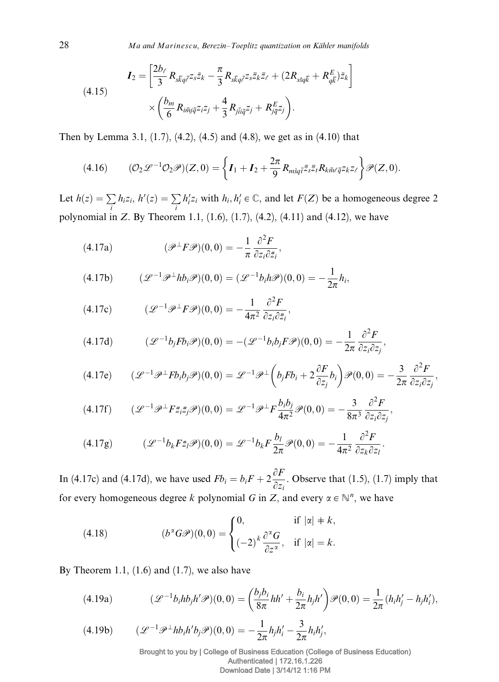(4.15)  

$$
I_2 = \left[\frac{2b_{\ell}}{3} R_{s\overline{k}q\overline{\ell}} z_s \overline{z}_k - \frac{\pi}{3} R_{s\overline{k}q\overline{\ell}} z_s \overline{z}_k \overline{z}_{\ell} + (2R_{s\overline{s}q\overline{k}} + R_{q\overline{k}}^E) \overline{z}_k \right]
$$

$$
\times \left(\frac{b_m}{6} R_{i\overline{m}j\overline{q}} z_i z_j + \frac{4}{3} R_{j\overline{i}i\overline{q}} z_j + R_{j\overline{q}}^E z_j \right).
$$

Then by Lemma 3.1, (1.7), (4.2), (4.5) and (4.8), we get as in (4.10) that

$$
(4.16) \qquad (\mathcal{O}_2 \mathcal{L}^{-1} \mathcal{O}_2 \mathcal{P})(Z,0) = \left\{ \boldsymbol{I}_1 + \boldsymbol{I}_2 + \frac{2\pi}{9} R_{m\bar{s}q\bar{t}} \bar{z}_s \bar{z}_t R_{k\bar{m}\ell\bar{q}} z_k z_\ell \right\} \mathcal{P}(Z,0).
$$

Let  $h(z) = \sum$  $\sum_{i} h_i z_i, h'(z) = \sum_{i}$ i  $h'_i z_i$  with  $h_i, h'_i \in \mathbb{C}$ , and let  $F(Z)$  be a homogeneous degree 2 polynomial in Z. By Theorem 1.1,  $(1.6)$ ,  $(1.7)$ ,  $(4.2)$ ,  $(4.11)$  and  $(4.12)$ , we have

(4.17a) 
$$
(\mathscr{P}^{\perp} F \mathscr{P})(0,0) = -\frac{1}{\pi} \frac{\partial^2 F}{\partial z_i \partial \bar{z}_i},
$$

(4.17b) 
$$
(\mathcal{L}^{-1}\mathcal{P}^{\perp}hb_i\mathcal{P})(0,0)=(\mathcal{L}^{-1}b_ih\mathcal{P})(0,0)=-\frac{1}{2\pi}h_i,
$$

(4.17c) 
$$
(\mathcal{L}^{-1}\mathcal{P}^{\perp}F\mathcal{P})(0,0) = -\frac{1}{4\pi^2} \frac{\partial^2 F}{\partial z_i \partial \overline{z}_i},
$$

(4.17d) 
$$
(\mathcal{L}^{-1}b_jFb_i\mathcal{P})(0,0) = -(\mathcal{L}^{-1}b_ib_jF\mathcal{P})(0,0) = -\frac{1}{2\pi}\frac{\partial^2 F}{\partial z_i\partial z_j},
$$

$$
(4.17e) \qquad (\mathcal{L}^{-1}\mathcal{P}^{\perp}Fb_ib_j\mathcal{P})(0,0) = \mathcal{L}^{-1}\mathcal{P}^{\perp}\left(b_jFb_i + 2\frac{\partial F}{\partial z_j}b_i\right)\mathcal{P}(0,0) = -\frac{3}{2\pi}\frac{\partial^2 F}{\partial z_i\partial z_j},
$$

$$
(4.17f) \qquad (\mathcal{L}^{-1}\mathcal{P}^{\perp}F\bar{z}_i\bar{z}_j\mathcal{P})(0,0) = \mathcal{L}^{-1}\mathcal{P}^{\perp}F\frac{b_ib_j}{4\pi^2}\mathcal{P}(0,0) = -\frac{3}{8\pi^3}\frac{\partial^2 F}{\partial z_i\partial z_j},
$$

$$
(4.17g) \qquad (\mathcal{L}^{-1}b_k F \overline{z}_l \mathcal{P})(0,0) = \mathcal{L}^{-1}b_k F \frac{b_l}{2\pi} \mathcal{P}(0,0) = -\frac{1}{4\pi^2} \frac{\partial^2 F}{\partial z_k \partial z_l}.
$$

In (4.17c) and (4.17d), we have used  $Fb_i = b_iF + 2\frac{\partial F}{\partial x_i}$  $\frac{\partial z}{\partial z_i}$ . Observe that (1.5), (1.7) imply that for every homogeneous degree k polynomial G in Z, and every  $\alpha \in \mathbb{N}^n$ , we have

(4.18) 
$$
(b^{\alpha}G\mathscr{P})(0,0) = \begin{cases} 0, & \text{if } |\alpha| \neq k, \\ (-2)^{k} \frac{\partial^{\alpha}G}{\partial z^{\alpha}}, & \text{if } |\alpha| = k. \end{cases}
$$

By Theorem 1.1,  $(1.6)$  and  $(1.7)$ , we also have

(4.19a) 
$$
(\mathcal{L}^{-1}b_i h b_j h' \mathcal{P})(0,0) = \left(\frac{b_j b_i}{8\pi} h h' + \frac{b_i}{2\pi} h_j h'\right) \mathcal{P}(0,0) = \frac{1}{2\pi} (h_i h'_j - h_j h'_i),
$$

$$
(4.19b) \qquad (\mathcal{L}^{-1}\mathcal{P}^\perp h b_i h' b_j \mathcal{P})(0,0) = -\frac{1}{2\pi} h_j h'_i - \frac{3}{2\pi} h_i h'_j,
$$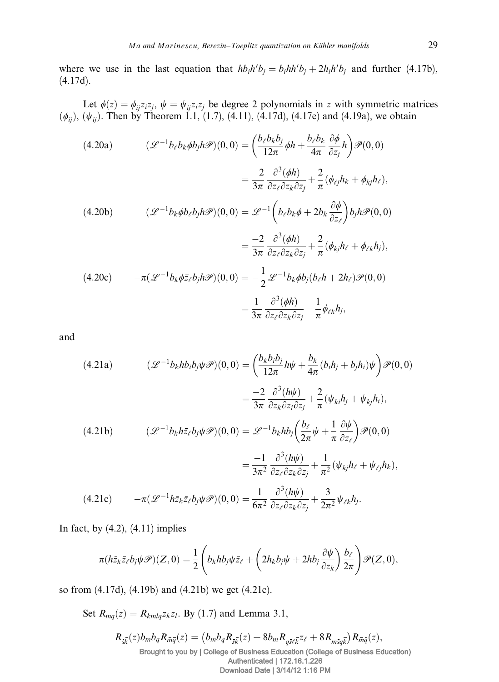where we use in the last equation that  $hb_i h'b_j = b_i hh'b_j + 2h_i h'b_j$  and further (4.17b), (4.17d).

Let  $\phi(z) = \phi_{ij} z_i z_j$ ,  $\psi = \psi_{ij} z_i z_j$  be degree 2 polynomials in z with symmetric matrices  $(\phi_{ij})$ ,  $(\psi_{ij})$ . Then by Theorem 1.1, (1.7), (4.11), (4.17d), (4.17e) and (4.19a), we obtain

(4.20a) 
$$
(\mathcal{L}^{-1}b_{\ell}b_{k}\phi b_{j}h\mathcal{P})(0,0) = \left(\frac{b_{\ell}b_{k}b_{j}}{12\pi}\phi h + \frac{b_{\ell}b_{k}}{4\pi}\frac{\partial\phi}{\partial z_{j}}h\right)\mathcal{P}(0,0)
$$

$$
= \frac{-2}{3\pi}\frac{\partial^{3}(\phi h)}{\partial z_{\ell}\partial z_{k}\partial z_{j}} + \frac{2}{\pi}(\phi_{\ell j}h_{k} + \phi_{kj}h_{\ell}),
$$
(4.20b) 
$$
(\mathcal{L}^{-1}b_{k}\phi b_{\ell}b_{j}h\mathcal{P})(0,0) = \mathcal{L}^{-1}\left(b_{\ell}b_{k}\phi + 2b_{k}\frac{\partial\phi}{\partial z_{\ell}}\right)b_{j}h\mathcal{P}(0,0)
$$

$$
= \frac{-2}{3\pi}\frac{\partial^{3}(\phi h)}{\partial z_{\ell}\partial z_{k}\partial z_{j}} + \frac{2}{\pi}(\phi_{kj}h_{\ell} + \phi_{\ell k}h_{j}),
$$
(4.20c) 
$$
-\pi(\mathcal{L}^{-1}b_{k}\phi\bar{z}_{\ell}b_{j}h\mathcal{P})(0,0) = -\frac{1}{2}\mathcal{L}^{-1}b_{k}\phi b_{j}(b_{\ell}h + 2h_{\ell})\mathcal{P}(0,0)
$$

$$
= \frac{1}{3\pi}\frac{\partial^{3}(\phi h)}{\partial z_{\ell}\partial z_{k}\partial z_{j}} - \frac{1}{\pi}\phi_{\ell k}h_{j},
$$

and

(4.21a) 
$$
(\mathcal{L}^{-1}b_k h b_i b_j \psi \mathcal{P})(0,0) = \left(\frac{b_k b_i b_j}{12\pi} h \psi + \frac{b_k}{4\pi} (b_i h_j + b_j h_i) \psi\right) \mathcal{P}(0,0)
$$

$$
= \frac{-2}{3\pi} \frac{\partial^3 (h \psi)}{\partial z_k \partial z_i \partial z_j} + \frac{2}{\pi} (\psi_{ki} h_j + \psi_{kj} h_i),
$$
  
(4.21b) 
$$
(\mathcal{L}^{-1}b_k h \bar{z}_\ell b_j \psi \mathcal{P})(0,0) = \mathcal{L}^{-1}b_k h b_j \left(\frac{b_\ell}{2\pi} \psi + \frac{1}{\pi} \frac{\partial \psi}{\partial z_\ell}\right) \mathcal{P}(0,0)
$$

$$
= \frac{-1}{3\pi^2} \frac{\partial^3 (h \psi)}{\partial z_\ell \partial z_k \partial z_j} + \frac{1}{\pi^2} (\psi_{kj} h_\ell + \psi_{\ell j} h_k),
$$
  
(4.21c) 
$$
-\pi (\mathcal{L}^{-1} h \bar{z}_k \bar{z}_\ell b_j \psi \mathcal{P})(0,0) = \frac{1}{6\pi^2} \frac{\partial^3 (h \psi)}{\partial z_\ell \partial z_k \partial z_j} + \frac{3}{2\pi^2} \psi_{\ell k} h_j.
$$

In fact, by  $(4.2)$ ,  $(4.11)$  implies

$$
\pi(h\bar{z}_k\bar{z}_\ell b_j\psi\mathscr{P})(Z,0)=\frac{1}{2}\left(b_khb_j\psi\bar{z}_\ell+\left(2h_kb_j\psi+2hb_j\frac{\partial\psi}{\partial z_k}\right)\frac{b_\ell}{2\pi}\right)\mathscr{P}(Z,0),
$$

so from (4.17d), (4.19b) and (4.21b) we get (4.21c).

Set  $R_{\overline{m}\overline{q}}(z) = R_{k\overline{m}l\overline{q}}z_kz_l$ . By (1.7) and Lemma 3.1,

$$
R_{\bar{s}\bar{k}}(z)b_mb_qR_{\bar{m}\bar{q}}(z) = (b_mb_qR_{\bar{s}\bar{k}}(z) + 8b_mR_{q\bar{s}\bar{\ell}}z_{\ell} + 8R_{m\bar{s}q\bar{k}})R_{\bar{m}\bar{q}}(z),
$$
  
Brought to you by | College of Business Education (College of Business Education)  
Authentication | 172.16.1.226  
Download Date | 3/14/12 1:16 PM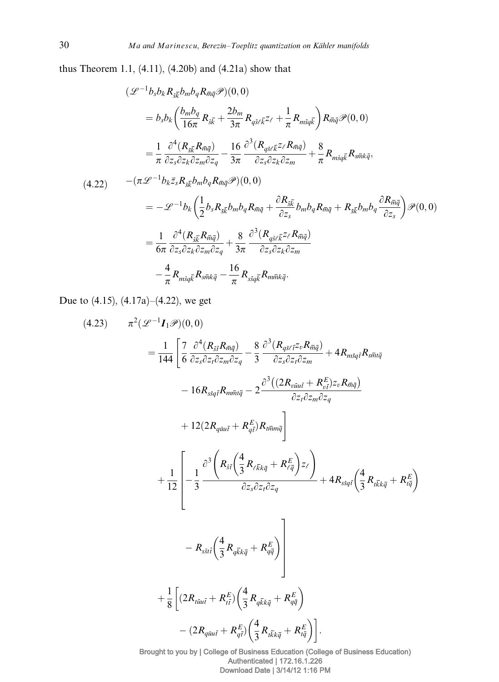thus Theorem 1.1, (4.11), (4.20b) and (4.21a) show that

$$
(\mathcal{L}^{-1}b_{s}b_{k}R_{s\overline{k}}b_{m}b_{q}R_{m\overline{q}}\mathcal{P})(0,0)
$$
  
\n
$$
= b_{s}b_{k}\left(\frac{b_{m}b_{q}}{16\pi}R_{s\overline{k}} + \frac{2b_{m}}{3\pi}R_{q\overline{s}\ell}\overline{k}^{z_{\ell}} + \frac{1}{\pi}R_{m\overline{s}q\overline{k}}\right)R_{m\overline{q}}\mathcal{P}(0,0)
$$
  
\n
$$
= \frac{1}{\pi}\frac{\partial^{4}(R_{s\overline{k}}R_{m\overline{q}})}{\partial z_{s}\partial z_{k}\partial z_{m}\partial z_{q}} - \frac{16}{3\pi}\frac{\partial^{3}(R_{q\overline{s}\ell}\overline{k}^{z_{\ell}}R_{m\overline{q}})}{\partial z_{s}\partial z_{k}\partial z_{m}} + \frac{8}{\pi}R_{m\overline{s}q\overline{k}}R_{s\overline{m}k\overline{q}},
$$
  
\n(4.22) 
$$
-(\pi\mathcal{L}^{-1}b_{k}\overline{z}_{s}R_{s\overline{k}}b_{m}b_{q}R_{m\overline{q}}\mathcal{P})(0,0)
$$
  
\n
$$
= -\mathcal{L}^{-1}b_{k}\left(\frac{1}{2}b_{s}R_{s\overline{k}}b_{m}b_{q}R_{m\overline{q}} + \frac{\partial R_{s\overline{k}}}{\partial z_{s}}b_{m}b_{q}R_{m\overline{q}} + R_{s\overline{k}}b_{m}b_{q} - \frac{\partial R_{m\overline{q}}}{\partial z_{s}}\right)\mathcal{P}(0,0)
$$
  
\n
$$
= \frac{1}{6\pi}\frac{\partial^{4}(R_{s\overline{k}}R_{m\overline{q}})}{\partial z_{s}\partial z_{k}\partial z_{m}\partial z_{q}} + \frac{8}{3\pi}\frac{\partial^{3}(R_{q\overline{s}\ell}\overline{k}^{z_{\ell}}R_{m\overline{q}})}{\partial z_{s}\partial z_{k}\partial z_{m}}
$$
  
\n
$$
- \frac{4}{\pi}R_{m\overline{s}q\overline{k}}R_{s\overline{m}k\overline{q}} - \frac{16}{\pi}R
$$

Due to (4.15), (4.17a)–(4.22), we get

p2 ðL-<sup>1</sup> ð4:23Þ I <sup>1</sup>PÞð0; 0Þ <sup>¼</sup> <sup>1</sup> 144 " 7 6 q4 ðRstRmqÞ qzsqztqzmqzq - 8 3 q3 ðRqsltzvRmqÞ qzsqztqzm þ 4RmsqtRsmtq - 16RssqtRmmtq - 2 q3ð2Rvuut þ R<sup>E</sup> vt ÞzvRmq qztqzmqzq þ 12ð2Rquut þ R<sup>E</sup> qt ÞRtmmq # þ 1 12 2 6 6 6 6 4 - 1 3 q3 Rst 4 3 <sup>R</sup>lkkq <sup>þ</sup> <sup>R</sup><sup>E</sup> lq zl ! qzsqztqzq þ 4Rssqt 4 3 Rtkkq <sup>þ</sup> <sup>R</sup><sup>E</sup> tq - Rsstt 4 3 R qkkq <sup>þ</sup> <sup>R</sup><sup>E</sup> qq 3 7 7 7 7 5 þ 1 8 ð2Rtuut þ R<sup>E</sup> tt<sup>Þ</sup> <sup>4</sup> 3 R qkkq <sup>þ</sup> <sup>R</sup><sup>E</sup> qq ð2Rquut þ R<sup>E</sup> qt Þ 4 3 Rtkkq <sup>þ</sup> <sup>R</sup><sup>E</sup> tq :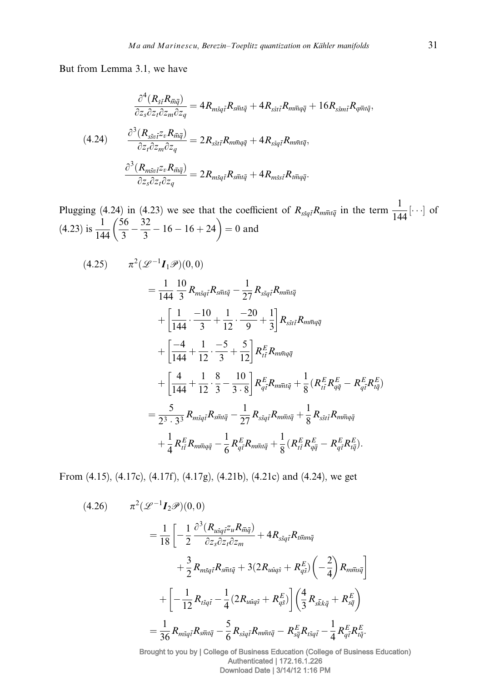But from Lemma 3.1, we have

$$
\frac{\partial^4 (R_{\bar{s}\bar{t}}R_{\bar{m}\bar{q}})}{\partial z_s \partial z_t \partial z_m \partial z_q} = 4R_{msq\bar{t}}R_{s\bar{m}t\bar{q}} + 4R_{s\bar{s}t\bar{t}}R_{m\bar{m}q\bar{q}} + 16R_{s\bar{s}m\bar{t}}R_{q\bar{m}t\bar{q}},
$$
\n
$$
(4.24) \qquad \frac{\partial^3 (R_{s\bar{s}v\bar{t}}z_vR_{\bar{m}\bar{q}})}{\partial z_t \partial z_m \partial z_q} = 2R_{s\bar{s}t\bar{t}}R_{m\bar{m}q\bar{q}} + 4R_{s\bar{s}q\bar{t}}R_{m\bar{m}t\bar{q}},
$$
\n
$$
\frac{\partial^3 (R_{m\bar{s}v\bar{t}}z_vR_{\bar{m}\bar{q}})}{\partial z_s \partial z_t \partial z_q} = 2R_{m\bar{s}q\bar{t}}R_{s\bar{m}t\bar{q}} + 4R_{m\bar{s}s\bar{t}}R_{t\bar{m}q\bar{q}}.
$$

Plugging (4.24) in (4.23) we see that the coefficient of  $R_{ssq\bar{t}}R_{m\bar{m}t\bar{q}}$  in the term  $\frac{1}{144}[\cdots]$  of  $(4.23)$  is  $\frac{1}{144}$  $\left(\frac{56}{3} - \frac{32}{3} - 16 - 16 + 24\right) = 0$  and

(4.25) 
$$
\pi^{2}(\mathcal{L}^{-1}I_{1}\mathcal{P})(0,0)
$$
  
\n
$$
= \frac{1}{144} \frac{10}{3} R_{m\bar{s}q\bar{t}} R_{s\bar{m}t\bar{q}} - \frac{1}{27} R_{s\bar{s}q\bar{t}} R_{m\bar{m}t\bar{q}}
$$
  
\n
$$
+ \left[ \frac{1}{144} \cdot \frac{-10}{3} + \frac{1}{12} \cdot \frac{-20}{9} + \frac{1}{3} \right] R_{s\bar{s}t\bar{t}} R_{m\bar{m}q\bar{q}}
$$
  
\n
$$
+ \left[ \frac{-4}{144} + \frac{1}{12} \cdot \frac{-5}{3} + \frac{5}{12} \right] R_{t\bar{t}}^{E} R_{m\bar{m}q\bar{q}}
$$
  
\n
$$
+ \left[ \frac{4}{144} + \frac{1}{12} \cdot \frac{8}{3} - \frac{10}{3 \cdot 8} \right] R_{q\bar{t}}^{E} R_{m\bar{m}t\bar{q}} + \frac{1}{8} (R_{t\bar{t}}^{E} R_{q\bar{q}}^{E} - R_{q\bar{t}}^{E} R_{t\bar{q}}^{E})
$$
  
\n
$$
= \frac{5}{2^{3} \cdot 3^{3}} R_{m\bar{s}q\bar{t}} R_{s\bar{m}t\bar{q}} - \frac{1}{27} R_{s\bar{s}q\bar{t}} R_{m\bar{m}t\bar{q}} + \frac{1}{8} R_{s\bar{s}t\bar{t}} R_{m\bar{m}q\bar{q}}
$$
  
\n
$$
+ \frac{1}{4} R_{t\bar{t}}^{E} R_{m\bar{m}q\bar{q}} - \frac{1}{6} R_{q\bar{t}}^{E} R_{m\bar{m}t\bar{q}} + \frac{1}{8} (R_{t\bar{t}}^{E} R_{q\bar{q}}^{E} - R_{q\bar{t}}^{E} R_{t\bar{q}}^{E}).
$$

From (4.15), (4.17c), (4.17f), (4.17g), (4.21b), (4.21c) and (4.24), we get

(4.26) 
$$
\pi^{2}(\mathcal{L}^{-1}I_{2}\mathcal{P})(0,0)
$$

$$
= \frac{1}{18}\left[-\frac{1}{2}\frac{\partial^{3}(R_{u\bar{s}q\bar{t}}z_{u}R_{\bar{m}\bar{q}})}{\partial z_{s}\partial z_{t}\partial z_{m}} + 4R_{s\bar{s}q\bar{t}}R_{t\bar{m}m\bar{q}} + \frac{3}{2}R_{m\bar{s}q\bar{t}}R_{s\bar{m}t\bar{q}} + 3(2R_{u\bar{u}q\bar{s}} + R_{q\bar{s}}^{E})\left(-\frac{2}{4}\right)R_{m\bar{m}s\bar{q}}\right]
$$

$$
+ \left[-\frac{1}{12}R_{t\bar{s}q\bar{t}} - \frac{1}{4}(2R_{u\bar{u}q\bar{s}} + R_{q\bar{s}}^{E})\right]\left(\frac{4}{3}R_{s\bar{k}k\bar{q}} + R_{s\bar{q}}^{E}\right)
$$

$$
= \frac{1}{36}R_{m\bar{s}q\bar{t}}R_{s\bar{m}t\bar{q}} - \frac{5}{6}R_{s\bar{s}q\bar{t}}R_{m\bar{m}t\bar{q}} - R_{s\bar{q}}^{E}R_{t\bar{s}q\bar{t}} - \frac{1}{4}R_{q\bar{t}}^{E}R_{t\bar{q}}^{E}.
$$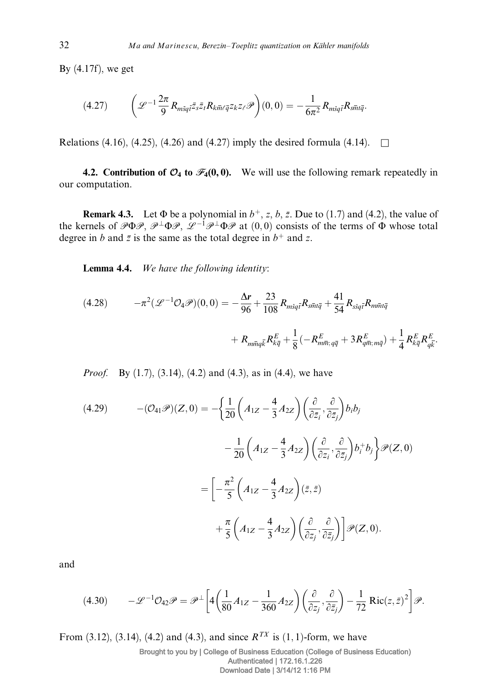By (4.17f), we get

$$
(4.27) \qquad \left(\mathcal{L}^{-1}\frac{2\pi}{9}R_{m\bar{s}q\bar{t}}\bar{z}_{s}\bar{z}_{t}R_{k\bar{m}\ell\bar{q}}z_{k}z_{\ell}\mathcal{P}\right)(0,0)=-\frac{1}{6\pi^{2}}R_{m\bar{s}q\bar{t}}R_{s\bar{m}t\bar{q}}.
$$

Relations (4.16), (4.25), (4.26) and (4.27) imply the desired formula (4.14).  $\square$ 

4.2. Contribution of  $\mathcal{O}_4$  to  $\mathcal{F}_4(0,0)$ . We will use the following remark repeatedly in our computation.

**Remark 4.3.** Let  $\Phi$  be a polynomial in  $b^+$ , z, b, z. Due to (1.7) and (4.2), the value of the kernels of  $P \Phi P$ ,  $P^{\perp} \Phi P$ ,  $\mathcal{L}^{-1} P^{\perp} \Phi P$  at  $(0,0)$  consists of the terms of  $\Phi$  whose total degree in b and  $\bar{z}$  is the same as the total degree in  $b^+$  and z.

Lemma 4.4. We have the following identity:

(4.28) 
$$
-\pi^{2}(\mathcal{L}^{-1}\mathcal{O}_{4}\mathcal{P})(0,0) = -\frac{\Delta r}{96} + \frac{23}{108}R_{m\bar{s}q\bar{t}}R_{s\bar{m}t\bar{q}} + \frac{41}{54}R_{s\bar{s}q\bar{t}}R_{m\bar{m}t\bar{q}} + R_{m\bar{m}t\bar{q}} + R_{m\bar{m}t\bar{q}}R_{k\bar{q}} + R_{m\bar{m}t\bar{q}}R_{k\bar{q}} + R_{m\bar{m}t\bar{q}}R_{k\bar{q}}R_{k\bar{q}} + \frac{1}{8}(R_{m\bar{m}t\bar{q}} + 3R_{m\bar{m}t\bar{q}} + 3R_{k\bar{q}}^E R_{k\bar{q}}^E)
$$

*Proof.* By (1.7), (3.14), (4.2) and (4.3), as in (4.4), we have

(4.29) 
$$
-(\mathcal{O}_{41}\mathcal{P})(Z,0) = -\left\{\frac{1}{20}\left(A_{1Z} - \frac{4}{3}A_{2Z}\right)\left(\frac{\partial}{\partial \bar{z}_i}, \frac{\partial}{\partial \bar{z}_j}\right)b_ib_j\right\}
$$

$$
-\frac{1}{20}\left(A_{1Z} - \frac{4}{3}A_{2Z}\right)\left(\frac{\partial}{\partial z_i}, \frac{\partial}{\partial \bar{z}_j}\right)b_i^+b_j\right\}\mathcal{P}(Z,0)
$$

$$
=\left[-\frac{\pi^2}{5}\left(A_{1Z} - \frac{4}{3}A_{2Z}\right)(\bar{z},\bar{z})\right]
$$

$$
+\frac{\pi}{5}\left(A_{1Z} - \frac{4}{3}A_{2Z}\right)\left(\frac{\partial}{\partial z_j}, \frac{\partial}{\partial \bar{z}_j}\right)\right]\mathcal{P}(Z,0).
$$

and

$$
(4.30) \qquad -\mathcal{L}^{-1}\mathcal{O}_{42}\mathcal{P} = \mathcal{P}^{\perp}\bigg[4\bigg(\frac{1}{80}A_{1Z} - \frac{1}{360}A_{2Z}\bigg)\bigg(\frac{\partial}{\partial z_j}, \frac{\partial}{\partial \bar{z}_j}\bigg) - \frac{1}{72}\operatorname{Ric}(z, \bar{z})^2\bigg]\mathcal{P}.
$$

From (3.12), (3.14), (4.2) and (4.3), and since  $R^{TX}$  is (1, 1)-form, we have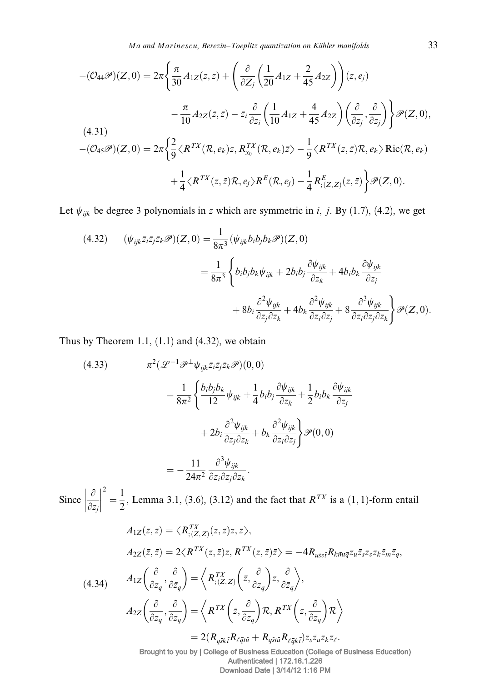Ma and Marinescu, Berezin–Toeplitz quantization on Kähler manifolds 33

$$
-(\mathcal{O}_{44}\mathcal{P})(Z,0) = 2\pi \left\{ \frac{\pi}{30} A_{1Z}(\bar{z},\bar{z}) + \left( \frac{\partial}{\partial Z_j} \left( \frac{1}{20} A_{1Z} + \frac{2}{45} A_{2Z} \right) \right) (\bar{z},e_j)
$$

$$
- \frac{\pi}{10} A_{2Z}(\bar{z},\bar{z}) - \bar{z}_i \frac{\partial}{\partial \bar{z}_i} \left( \frac{1}{10} A_{1Z} + \frac{4}{45} A_{2Z} \right) \left( \frac{\partial}{\partial z_j}, \frac{\partial}{\partial \bar{z}_j} \right) \right\} \mathcal{P}(Z,0),
$$
  
(4.31)
$$
-(\mathcal{O}_{45}\mathcal{P})(Z,0) = 2\pi \left\{ \frac{2}{9} \langle R^{TX}(\mathcal{R},e_k)z, R_{x_0}^{TX}(\mathcal{R},e_k)\bar{z} \rangle - \frac{1}{9} \langle R^{TX}(z,\bar{z})\mathcal{R},e_k \rangle \operatorname{Ric}(\mathcal{R},e_k)
$$

$$
+ \frac{1}{4} \langle R^{TX}(z,\bar{z})\mathcal{R},e_j \rangle R^{E}(\mathcal{R},e_j) - \frac{1}{4} R_{;(Z,Z)}^{E}(z,\bar{z}) \right\} \mathcal{P}(Z,0).
$$

Let  $\psi_{ijk}$  be degree 3 polynomials in z which are symmetric in i, j. By (1.7), (4.2), we get

(4.32) 
$$
(\psi_{ijk}\overline{z}_{i}\overline{z}_{j}\overline{z}_{k}\mathscr{P})(Z,0) = \frac{1}{8\pi^{3}}(\psi_{ijk}b_{i}b_{j}b_{k}\mathscr{P})(Z,0)
$$

$$
= \frac{1}{8\pi^{3}}\left\{b_{i}b_{j}b_{k}\psi_{ijk} + 2b_{i}b_{j}\frac{\partial\psi_{ijk}}{\partial z_{k}} + 4b_{i}b_{k}\frac{\partial\psi_{ijk}}{\partial z_{j}} + 8b_{i}\frac{\partial^{2}\psi_{ijk}}{\partial z_{j}\partial z_{k}} + 8b_{i}\frac{\partial^{2}\psi_{ijk}}{\partial z_{i}\partial z_{j}} + 8\frac{\partial^{3}\psi_{ijk}}{\partial z_{i}\partial z_{j}\partial z_{k}}\right\}\mathscr{P}(Z,0).
$$

Thus by Theorem 1.1,  $(1.1)$  and  $(4.32)$ , we obtain

(4.33) 
$$
\pi^{2}(\mathcal{L}^{-1}\mathcal{P}^{\perp}\psi_{ijk}\bar{z}_{i}\bar{z}_{j}\bar{z}_{k}\mathcal{P})(0,0)
$$

$$
= \frac{1}{8\pi^{2}}\left\{\frac{b_{i}b_{j}b_{k}}{12}\psi_{ijk} + \frac{1}{4}b_{i}b_{j}\frac{\partial\psi_{ijk}}{\partial z_{k}} + \frac{1}{2}b_{i}b_{k}\frac{\partial\psi_{ijk}}{\partial z_{j}} + 2b_{i}\frac{\partial^{2}\psi_{ijk}}{\partial z_{j}\partial z_{k}} + b_{k}\frac{\partial^{2}\psi_{ijk}}{\partial z_{i}\partial z_{j}}\right\}\mathcal{P}(0,0)
$$

$$
= -\frac{11}{24\pi^{2}}\frac{\partial^{3}\psi_{ijk}}{\partial z_{i}\partial z_{j}\partial z_{k}}.
$$

Since  $\left|\frac{\partial}{\partial x}\right|$  $\partial z_j$  $\begin{array}{c} \begin{array}{c} \begin{array}{c} \end{array} \\ \begin{array}{c} \end{array} \end{array} \end{array}$  $\begin{array}{c} \begin{array}{c} \begin{array}{c} \end{array} \\ \begin{array}{c} \end{array} \end{array} \end{array}$  $\frac{1}{2} = \frac{1}{2}$ , Lemma 3.1, (3.6), (3.12) and the fact that  $R^{TX}$  is a (1, 1)-form entail

$$
A_{1Z}(\bar{z}, \bar{z}) = \langle R_{; (Z, Z)}^{TX}(z, \bar{z})z, \bar{z} \rangle,
$$
  
\n
$$
A_{2Z}(\bar{z}, \bar{z}) = 2\langle R^{TX}(z, \bar{z})z, R^{TX}(z, \bar{z})\bar{z} \rangle = -4R_{usv\bar{t}}R_{k\bar{m}t\bar{q}}z_{u}\bar{z}_{s}z_{v}z_{k}\bar{z}_{m}\bar{z}_{q},
$$
  
\n
$$
A_{1Z}\left(\frac{\partial}{\partial z_{q}}, \frac{\partial}{\partial \bar{z}_{q}}\right) = \langle R_{; (Z, Z)}^{TX}\left(\bar{z}, \frac{\partial}{\partial z_{q}}\right)z, \frac{\partial}{\partial \bar{z}_{q}} \rangle,
$$
  
\n
$$
A_{2Z}\left(\frac{\partial}{\partial z_{q}}, \frac{\partial}{\partial \bar{z}_{q}}\right) = \langle R^{TX}\left(\bar{z}, \frac{\partial}{\partial z_{q}}\right)R, R^{TX}\left(z, \frac{\partial}{\partial \bar{z}_{q}}\right)R \rangle
$$
  
\n
$$
= 2(R_{q\bar{s}k\bar{t}}R_{\bar{q}t\bar{u}} + R_{q\bar{s}t\bar{u}}R_{\bar{q}t\bar{t}}\bar{z}_{s}\bar{z}_{u}z_{k}z_{\ell}.
$$
  
\n**Example 12.2**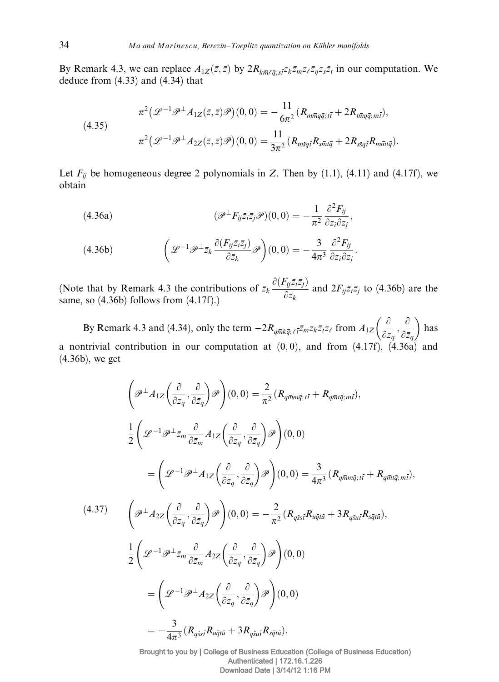By Remark 4.3, we can replace  $A_{1Z}(\bar{z}, \bar{z})$  by  $2R_{k\bar{m}\ell\bar{q};s\bar{z}}z_k\bar{z}_mz_\ell\bar{z}_qz_s\bar{z}_t$  in our computation. We deduce from (4.33) and (4.34) that

(4.35)  

$$
\pi^2(\mathcal{L}^{-1}\mathcal{P}^\perp A_{1Z}(\bar{z},\bar{z})\mathcal{P})(0,0) = -\frac{11}{6\pi^2}(R_{m\bar{m}q\bar{q};t\bar{t}} + 2R_{t\bar{m}q\bar{q};m\bar{t}}),
$$

$$
\pi^2(\mathcal{L}^{-1}\mathcal{P}^\perp A_{2Z}(\bar{z},\bar{z})\mathcal{P})(0,0) = \frac{11}{3\pi^2}(R_{msq\bar{t}}R_{s\bar{m}t\bar{q}} + 2R_{ssq\bar{t}}R_{m\bar{m}t\bar{q}}).
$$

Let  $F_{ij}$  be homogeneous degree 2 polynomials in Z. Then by (1.1), (4.11) and (4.17f), we obtain

(4.36a) 
$$
(\mathscr{P}^{\perp} F_{ij} \bar{z}_i \bar{z}_j \mathscr{P})(0,0) = -\frac{1}{\pi^2} \frac{\partial^2 F_{ij}}{\partial z_i \partial z_j},
$$

(4.36b) 
$$
\left(\mathcal{L}^{-1}\mathcal{P}^{\perp}\bar{z}_k\frac{\partial(F_{ij}\bar{z}_i\bar{z}_j)}{\partial\bar{z}_k}\mathcal{P}\right)(0,0)=-\frac{3}{4\pi^3}\frac{\partial^2 F_{ij}}{\partial z_i\partial z_j}.
$$

(Note that by Remark 4.3 the contributions of  $\bar{z}_k \frac{\partial (F_{ij} \bar{z}_i \bar{z}_j)}{\partial \bar{z}_k}$  $\frac{\partial^2 [q(z)|^2}{\partial \bar{z}_k}$  and  $2F_{ij}\bar{z}_i\bar{z}_j$  to (4.36b) are the same, so (4.36b) follows from (4.17f).)

By Remark 4.3 and (4.34), only the term  $-2R_{q\bar{m}k\bar{q}$ ;  $\ell_1\bar{z}mZ_k\bar{z}_lZ_\ell$  from  $A_{1Z}\left(\frac{\partial}{\partial z}\right)$  $\partial z_q$  $\frac{\partial}{\partial x}$  $\partial \overline{z}_q$  $\left( \begin{array}{cc} a & a \\ c & c \end{array} \right)$ has a nontrivial contribution in our computation at  $(0,0)$ , and from  $(4.17f)$ ,  $(4.36a)$  and (4.36b), we get

$$
\left(\mathcal{P}^{\perp}A_{1Z}\left(\frac{\partial}{\partial z_{q}},\frac{\partial}{\partial \bar{z}_{q}}\right)\mathcal{P}\right)(0,0) = \frac{2}{\pi^{2}}\left(R_{q\bar{m}m\bar{q};i\bar{t}} + R_{q\bar{m}i\bar{q};m\bar{t}}\right),
$$
\n
$$
\frac{1}{2}\left(\mathcal{L}^{-1}\mathcal{P}^{\perp}\bar{z}_{m}\frac{\partial}{\partial \bar{z}_{m}}A_{1Z}\left(\frac{\partial}{\partial z_{q}},\frac{\partial}{\partial \bar{z}_{q}}\right)\mathcal{P}\right)(0,0)
$$
\n
$$
=\left(\mathcal{L}^{-1}\mathcal{P}^{\perp}A_{1Z}\left(\frac{\partial}{\partial z_{q}},\frac{\partial}{\partial \bar{z}_{q}}\right)\mathcal{P}\right)(0,0) = \frac{3}{4\pi^{3}}\left(R_{q\bar{m}m\bar{q};i\bar{t}} + R_{q\bar{m}i\bar{q};m\bar{t}}\right),
$$
\n(4.37)\n
$$
\left(\mathcal{P}^{\perp}A_{2Z}\left(\frac{\partial}{\partial z_{q}},\frac{\partial}{\partial \bar{z}_{q}}\right)\mathcal{P}\right)(0,0) = -\frac{2}{\pi^{2}}\left(R_{q\bar{s}s\bar{t}}R_{u\bar{q}t\bar{u}} + 3R_{q\bar{s}u\bar{t}}R_{s\bar{q}t\bar{u}}\right),
$$
\n
$$
\frac{1}{2}\left(\mathcal{L}^{-1}\mathcal{P}^{\perp}\bar{z}_{m}\frac{\partial}{\partial \bar{z}_{m}}A_{2Z}\left(\frac{\partial}{\partial z_{q}},\frac{\partial}{\partial \bar{z}_{q}}\right)\mathcal{P}\right)(0,0)
$$
\n
$$
=\left(\mathcal{L}^{-1}\mathcal{P}^{\perp}A_{2Z}\left(\frac{\partial}{\partial z_{q}},\frac{\partial}{\partial \bar{z}_{q}}\right)\mathcal{P}\right)(0,0)
$$
\n
$$
=-\frac{3}{4\pi^{3}}\left(R_{q\bar{s}s\bar{t}}R_{u\bar{q}t\bar{u}} + 3R_{q\bar{s}u\bar{t}}R_{s\bar{q}t\bar{u}}\right).
$$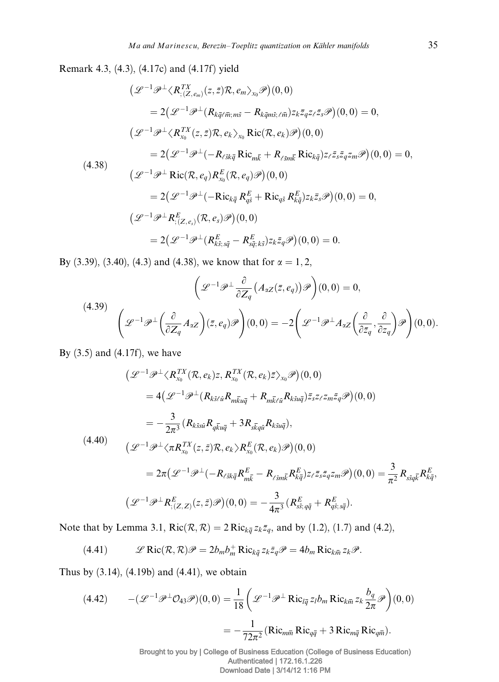Remark 4.3, (4.3), (4.17c) and (4.17f) yield

$$
\begin{split}\n\left(\mathcal{L}^{-1}\mathcal{P}^{\perp}\langle R_{; (Z, e_m)}^{TX}(z,\bar{z})\mathcal{R}, e_m\rangle_{x_0}\mathcal{P}\right)(0,0) \\
&=2\big(\mathcal{L}^{-1}\mathcal{P}^{\perp}\big(R_{k\bar{q}\ell\bar{m}; m\bar{s}}-R_{k\bar{q}m\bar{s}; \ell\bar{m}}\big)z_{k}\bar{z}_{q}z_{\ell}\bar{z}_{s}\mathcal{P}\big)(0,0)=0, \\
\big(\mathcal{L}^{-1}\mathcal{P}^{\perp}\langle R_{x_0}^{TX}(z,\bar{z})\mathcal{R}, e_k\rangle_{x_0} \operatorname{Ric}(\mathcal{R}, e_k)\mathcal{P}\big)(0,0) \\
&=2\big(\mathcal{L}^{-1}\mathcal{P}^{\perp}(-R_{\ell\bar{s}k\bar{q}}\operatorname{Ric}_{m\bar{k}}+R_{\ell\bar{s}m\bar{k}}\operatorname{Ric}_{k\bar{q}}\big)z_{\ell}\bar{z}_{s}\bar{z}_{q}z_{m}\mathcal{P}\big)(0,0)=0, \\
\big(\mathcal{L}^{-1}\mathcal{P}^{\perp}\operatorname{Ric}(\mathcal{R}, e_q)R_{x_0}^{E}(\mathcal{R}, e_q)\mathcal{P}\big)(0,0) \\
&=2\big(\mathcal{L}^{-1}\mathcal{P}^{\perp}(-\operatorname{Ric}_{k\bar{q}}R_{q\bar{s}}^{E}+\operatorname{Ric}_{q\bar{s}}R_{k\bar{q}}^{E}\big)z_{k}\bar{z}_{s}\mathcal{P}\big)(0,0)=0, \\
\big(\mathcal{L}^{-1}\mathcal{P}^{\perp}R_{; (Z,e_s)}^{E}(\mathcal{R}, e_s)\mathcal{P}\big)(0,0) \\
&=2\big(\mathcal{L}^{-1}\mathcal{P}^{\perp}(R_{k\bar{s}; s\bar{q}}^{E}-R_{s\bar{q}; k\bar{s}}^{E})z_{k}\bar{z}_{q}\mathcal{P}\big)(0,0)=0.\n\end{split}
$$

By (3.39), (3.40), (4.3) and (4.38), we know that for  $\alpha = 1, 2$ ,

(4.39)  

$$
\left(\mathcal{L}^{-1}\mathcal{P}^{\perp}\frac{\partial}{\partial Z_q}\left(A_{\alpha Z}(\bar{z}, e_q)\right)\mathcal{P}\right)(0,0) = 0,
$$

$$
\left(\mathcal{L}^{-1}\mathcal{P}^{\perp}\left(\frac{\partial}{\partial Z_q}A_{\alpha Z}\right)(\bar{z}, e_q)\mathcal{P}\right)(0,0) = -2\left(\mathcal{L}^{-1}\mathcal{P}^{\perp}A_{\alpha Z}\left(\frac{\partial}{\partial \bar{z}_q}, \frac{\partial}{\partial z_q}\right)\mathcal{P}\right)(0,0).
$$

By  $(3.5)$  and  $(4.17f)$ , we have

$$
\begin{split}\n&\left(\mathcal{L}^{-1}\mathcal{P}^{\perp}\langle R_{x_{0}}^{TX}(\mathcal{R},e_{k})z,R_{x_{0}}^{TX}(\mathcal{R},e_{k})\bar{z}\rangle_{x_{0}}\mathcal{P}\right)(0,0) \\
&=4\left(\mathcal{L}^{-1}\mathcal{P}^{\perp}(R_{k\bar{s}/\bar{u}}R_{m\bar{k}u\bar{q}}+R_{m\bar{k}\ell\bar{u}}R_{k\bar{s}u\bar{q}})\bar{z}_{s}z_{\ell}z_{m}\bar{z}_{q}\mathcal{P}\right)(0,0) \\
&=-\frac{3}{2\pi^{3}}\left(R_{k\bar{s}s\bar{u}}R_{q\bar{k}u\bar{q}}+3R_{s\bar{k}q\bar{u}}R_{k\bar{s}u\bar{q}}\right), \\
&\left(\mathcal{L}^{-1}\mathcal{P}^{\perp}\langle\pi R_{x_{0}}^{TX}(z,\bar{z})\mathcal{R},e_{k}\right)R_{x_{0}}^{E}(\mathcal{R},e_{k})\mathcal{P}\right)(0,0) \\
&=2\pi\left(\mathcal{L}^{-1}\mathcal{P}^{\perp}(-R_{\ell\bar{s}k\bar{q}}R_{m\bar{k}}^{E}-R_{\ell\bar{s}m\bar{k}}R_{k\bar{q}}^{E}\right)z_{\ell}\bar{z}_{s}\bar{z}_{q}z_{m}\mathcal{P}\right)(0,0) =\frac{3}{\pi^{2}}R_{s\bar{s}q\bar{k}}R_{k\bar{q}}^{E}, \\
&\left(\mathcal{L}^{-1}\mathcal{P}^{\perp}R_{;\left(Z,Z\right)}^{E}(z,\bar{z})\mathcal{P}\right)(0,0) = -\frac{3}{4\pi^{3}}\left(R_{s\bar{s};q\bar{q}}^{E}+R_{q\bar{s};s\bar{q}}^{E}\right).\n\end{split}
$$

Note that by Lemma 3.1,  $\text{Ric}(\mathcal{R}, \mathcal{R}) = 2 \text{Ric}_{k\bar{q}} z_k \bar{z}_q$ , and by (1.2), (1.7) and (4.2),

(4.41) 
$$
\mathscr{L}\operatorname{Ric}(\mathcal{R},\mathcal{R})\mathscr{P}=2b_mb_m^+\operatorname{Ric}_{k\overline{q}}z_k\overline{z}_q\mathscr{P}=4b_m\operatorname{Ric}_{k\overline{m}}z_k\mathscr{P}.
$$

Thus by (3.14), (4.19b) and (4.41), we obtain

(4.42) 
$$
-(\mathcal{L}^{-1}\mathcal{P}^{\perp}\mathcal{O}_{43}\mathcal{P})(0,0) = \frac{1}{18} \left( \mathcal{L}^{-1}\mathcal{P}^{\perp} \operatorname{Ric}_{l\bar{q}} z_l b_m \operatorname{Ric}_{k\bar{m}} z_k \frac{b_q}{2\pi} \mathcal{P} \right) (0,0)
$$

$$
= -\frac{1}{72\pi^2} (\operatorname{Ric}_{m\bar{m}} \operatorname{Ric}_{q\bar{q}} + 3 \operatorname{Ric}_{m\bar{q}} \operatorname{Ric}_{q\bar{m}}).
$$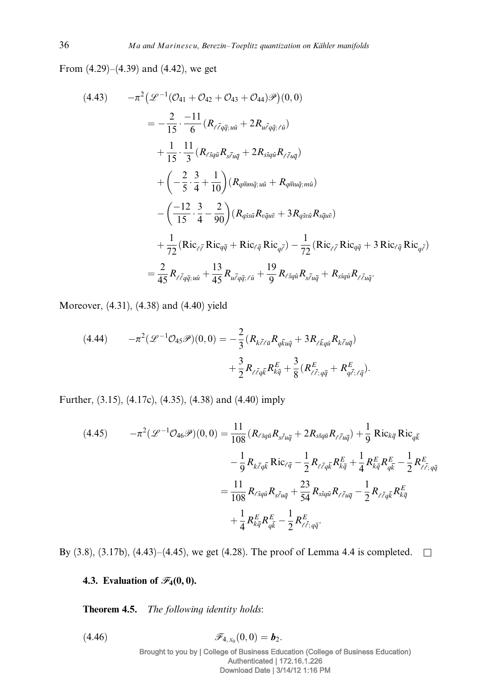From (4.29)–(4.39) and (4.42), we get

$$
(4.43) \t -\pi^2 \big( \mathcal{L}^{-1} (\mathcal{O}_{41} + \mathcal{O}_{42} + \mathcal{O}_{43} + \mathcal{O}_{44}) \mathcal{P} \big) (0, 0)
$$
  
\n
$$
= -\frac{2}{15} \cdot \frac{-11}{6} (R_{\ell \bar{\ell} q \bar{q}; u \bar{u}} + 2R_{u \bar{\ell} q \bar{q}; \ell \bar{u}})
$$
  
\n
$$
+ \frac{1}{15} \cdot \frac{11}{3} (R_{\ell \bar{s} q \bar{u}} R_{s \bar{\ell} u \bar{q}} + 2R_{s \bar{s} q \bar{u}} R_{\ell \bar{\ell} u \bar{q}})
$$
  
\n
$$
+ \big( -\frac{2}{5} \cdot \frac{3}{4} + \frac{1}{10} \big) (R_{q \bar{m} m \bar{q}; u \bar{u}} + R_{q \bar{m} u \bar{q}; m \bar{u}})
$$
  
\n
$$
- \big( \frac{-12}{15} \cdot \frac{3}{4} - \frac{2}{90} \big) (R_{q \bar{s} s \bar{u}} R_{v \bar{q} u \bar{v}} + 3R_{q \bar{s} v \bar{u}} R_{s \bar{q} u \bar{v}})
$$
  
\n
$$
+ \frac{1}{72} (Ric_{\ell \bar{\ell}} Ric_{q \bar{q}} + Ric_{\ell \bar{q}} Ric_{q \bar{\ell}}) - \frac{1}{72} (Ric_{\ell \bar{\ell}} Ric_{q \bar{q}} + 3Ric_{\ell \bar{q}} Ric_{q \bar{\ell}})
$$
  
\n
$$
= \frac{2}{45} R_{\ell \bar{\ell} q \bar{q}; u \bar{u}} + \frac{13}{45} R_{u \bar{\ell} q \bar{q}; \ell \bar{u}} + \frac{19}{9} R_{\ell \bar{s} q \bar{u}} R_{s \bar{\ell} u \bar{q}} + R_{s \bar{s} q \bar{u}} R_{\ell \bar{\ell} u \bar{q}}.
$$

Moreover, (4.31), (4.38) and (4.40) yield

$$
(4.44) \qquad -\pi^2(\mathcal{L}^{-1}\mathcal{O}_{45}\mathcal{P})(0,0) = -\frac{2}{3}(R_{k\bar{\ell}\ell\bar{u}}R_{q\bar{k}u\bar{q}} + 3R_{\ell\bar{k}q\bar{u}}R_{k\bar{\ell}u\bar{q}}) +\frac{3}{2}R_{\ell\bar{\ell}q\bar{k}}R_{k\bar{q}}^E + \frac{3}{8}(R_{\ell\bar{\ell};q\bar{q}}^E + R_{q\bar{\ell};\ell\bar{q}}^E).
$$

Further, (3.15), (4.17c), (4.35), (4.38) and (4.40) imply

(4.45) 
$$
-\pi^{2}(\mathcal{L}^{-1}\mathcal{O}_{46}\mathcal{P})(0,0) = \frac{11}{108}(R_{\ell s_{q\bar{u}}}R_{s\bar{\ell}u\bar{q}} + 2R_{s\bar{s}_{q\bar{u}}}R_{\ell\bar{\ell}u\bar{q}}) + \frac{1}{9}Ric_{k\bar{q}}Ric_{q\bar{k}}-\frac{1}{9}R_{k\bar{\ell}q\bar{k}}Ric_{\ell\bar{q}} - \frac{1}{2}R_{\ell\bar{\ell}q\bar{k}}R_{k\bar{q}}^{E} + \frac{1}{4}R_{k\bar{q}}^{E}R_{q\bar{k}}^{E} - \frac{1}{2}R_{\ell\bar{\ell};q\bar{q}}=\frac{11}{108}R_{\ell s_{q\bar{u}}}R_{s\bar{\ell}u\bar{q}} + \frac{23}{54}R_{s\bar{s}_{q\bar{u}}}R_{\ell\bar{\ell}u\bar{q}} - \frac{1}{2}R_{\ell\bar{\ell}q\bar{k}}R_{k\bar{q}}^{E}+\frac{1}{4}R_{k\bar{q}}^{E}R_{q\bar{k}}^{E} - \frac{1}{2}R_{\ell\bar{\ell};q\bar{q}}+\frac{1}{2}R_{k\bar{q}}^{E}R_{q\bar{k}}^{E} - \frac{1}{2}R_{\ell\bar{\ell};q\bar{q}}^{E}.
$$

By (3.8), (3.17b), (4.43)–(4.45), we get (4.28). The proof of Lemma 4.4 is completed.  $\square$ 

## 4.3. Evaluation of  $\mathscr{F}_4(0,0)$ .

Theorem 4.5. The following identity holds:

(4.46)  $\mathscr{F}_{4,x_0}(0,0) = \mathbf{b}_2.$ Brought to you by | College of Business Education (College of Business Education) Authenticated | 172.16.1.226 Download Date | 3/14/12 1:16 PM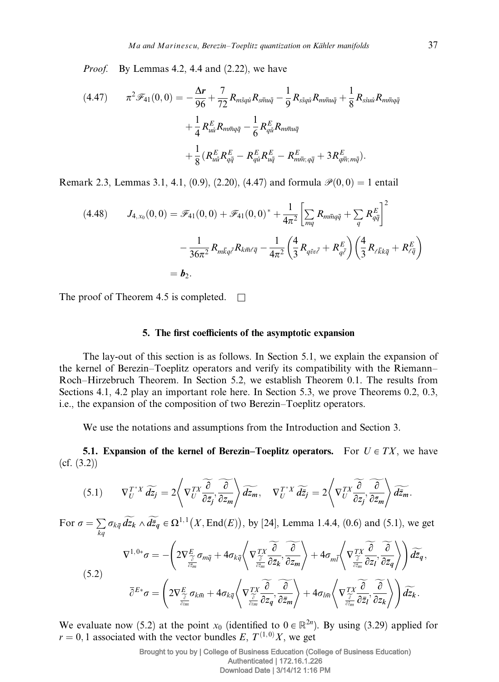Proof. By Lemmas 4.2, 4.4 and (2.22), we have

p2 F41ð0; 0Þ¼- <sup>D</sup><sup>r</sup> <sup>96</sup> <sup>þ</sup> 7 <sup>72</sup> RmsquRsmuq - 1 9 RssquRmmuq þ 1 <sup>8</sup> <sup>ð</sup>4:47<sup>Þ</sup> RssuuRmmqq þ 1 4 R<sup>E</sup> uuRmmqq - 1 6 R<sup>E</sup> quRmmuq þ 1 8 ðR<sup>E</sup> uuR<sup>E</sup> qq - R<sup>E</sup> quR<sup>E</sup> uq - R<sup>E</sup> mm; qq þ 3R<sup>E</sup> qm;mqÞ:

Remark 2.3, Lemmas 3.1, 4.1, (0.9), (2.20), (4.47) and formula  $\mathcal{P}(0,0) = 1$  entail

(4.48) 
$$
J_{4,x_0}(0,0) = \mathscr{F}_{41}(0,0) + \mathscr{F}_{41}(0,0)^{*} + \frac{1}{4\pi^{2}} \left[ \sum_{mq} R_{m\bar{m}q\bar{q}} + \sum_{q} R_{q\bar{q}}^{E} \right]^{2}
$$

$$
- \frac{1}{36\pi^{2}} R_{m\bar{k}q\bar{\ell}} R_{k\bar{m}\ell\bar{q}} - \frac{1}{4\pi^{2}} \left( \frac{4}{3} R_{q\bar{v}v\bar{\ell}} + R_{q\bar{\ell}}^{E} \right) \left( \frac{4}{3} R_{\ell\bar{k}k\bar{q}} + R_{\ell\bar{q}}^{E} \right)
$$

$$
= b_2.
$$

The proof of Theorem 4.5 is completed.  $\square$ 

#### 5. The first coefficients of the asymptotic expansion

The lay-out of this section is as follows. In Section 5.1, we explain the expansion of the kernel of Berezin–Toeplitz operators and verify its compatibility with the Riemann– Roch–Hirzebruch Theorem. In Section 5.2, we establish Theorem 0.1. The results from Sections 4.1, 4.2 play an important role here. In Section 5.3, we prove Theorems 0.2, 0.3, i.e., the expansion of the composition of two Berezin–Toeplitz operators.

We use the notations and assumptions from the Introduction and Section 3.

**5.1. Expansion of the kernel of Berezin–Toeplitz operators.** For  $U \in TX$ , we have (cf. (3.2))

$$
(5.1) \t\nabla_U^{T^*X} \widetilde{dz_j} = 2 \left\langle \nabla_U^{TX} \widetilde{\frac{\partial}{\partial \bar{z}_j}} \widetilde{\frac{\partial}{\partial z_m}} \right\rangle \widetilde{dz_m}, \t\nabla_U^{T^*X} \widetilde{d\bar{z}_j} = 2 \left\langle \nabla_U^{TX} \widetilde{\frac{\partial}{\partial z_j}} \widetilde{\frac{\partial}{\partial \bar{z}_m}} \right\rangle \widetilde{d\bar{z}_m}.
$$

For  $\sigma = \sum$  $\sum_{k,q} \sigma_{k\overline{q}} \widetilde{dz}_k \wedge \widetilde{dz}_q \in \Omega^{1,1}(X, \text{End}(E)),$  by [24], Lemma 1.4.4, (0.6) and (5.1), we get  $\nabla^{1,\,0*}\sigma=-\bigg(2\nabla_{\widetilde{\frac{\widetilde{\delta}}{\widetilde{c}z_m}}}^{E}$  $\sigma_{m\overline{q}} + 4 \sigma_{k\overline{q}} \bigg\langle \nabla \frac{TX}{\frac{\widetilde{\partial}}{\widetilde{\partial z_m}}}$  $\partial$  $\frac{\partial}{\partial \bar{z}_k}, \frac{\partial}{\partial z_m}$  $\partial z_m$  $\sim$   $\approx$   $\sim$   $\sim$   $\sim$  $+4\sigma_{m\bar l}\biggl\langle \sqrt{\frac{T_X^{\,TX}}{\frac{\widetilde{\partial}}{\widetilde{\partial z_{m}}}}}$  $\partial$  $\frac{\partial}{\partial z_l}, \frac{\partial}{\partial \bar{z}_q}$  $\partial \bar{z}_q$  $\left(1 + \widetilde{\gamma} \widetilde{\gamma} \right) = \left(1 + \widetilde{\gamma} \widetilde{\gamma} \right)$  $d\bar{z}_q$  ,  $\bar{\partial}^{E*} \sigma = \left( \, 2 \nabla_{\widetilde{\frac{\partial}{\partial z_m}}}^{E} \right)$  $\sigma_{k\overline{m}} + 4\sigma_{k\overline{q}} \bigg\langle \, \nabla_{\widetilde{\frac{\partial}{\partial z_{m}}}}^{TX}$  $\partial$  $\frac{\partial}{\partial z_q}, \frac{\partial}{\partial \bar{z}_m}$  $\partial z_m$  $\sim$   $\approx$   $\sim$   $\sim$   $\sim$  $+4\sigma_{l\bar{m}}\bigg\langle\textstyle\!\!\!\!\!\nabla\frac{TX}{\frac{\widetilde{\partial}}{\widetilde{\partial z_m}}}$  $\partial$  $\frac{\partial}{\partial \bar{z}_l}, \frac{\partial}{\partial z_k}$  $\partial z_k$  $\left( \begin{array}{ccc} & \alpha & \gamma \\ \end{array} \right)$  $dz_k$  .  $(5.2)$ 

We evaluate now (5.2) at the point  $x_0$  (identified to  $0 \in \mathbb{R}^{2n}$ ). By using (3.29) applied for  $r = 0, 1$  associated with the vector bundles E,  $T^{(1,0)}X$ , we get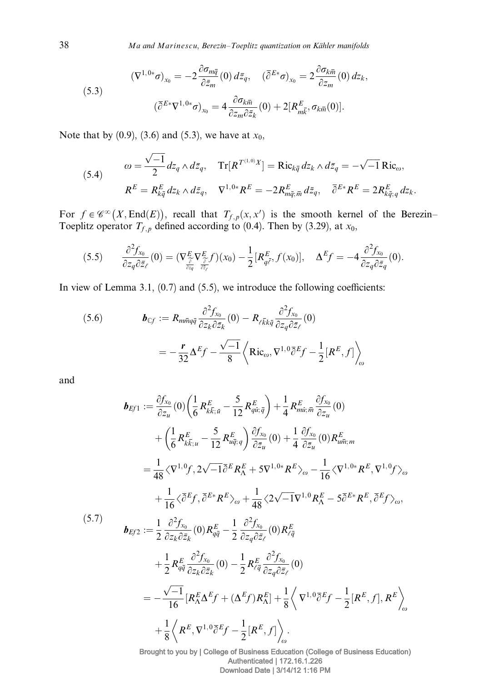38 Ma and Marinescu, Berezin–Toeplitz quantization on Kähler manifolds

(5.3)  
\n
$$
(\nabla^{1,0*}\sigma)_{x_0} = -2 \frac{\partial \sigma_{m\bar{q}}}{\partial \bar{z}_m} (0) d\bar{z}_q, \quad (\bar{\partial}^{E*}\sigma)_{x_0} = 2 \frac{\partial \sigma_{k\bar{m}}}{\partial z_m} (0) dz_k,
$$
\n
$$
(\bar{\partial}^{E*}\nabla^{1,0*}\sigma)_{x_0} = 4 \frac{\partial \sigma_{k\bar{m}}}{\partial z_m \partial \bar{z}_k} (0) + 2[R_{m\bar{k}}^E, \sigma_{k\bar{m}}(0)].
$$

Note that by  $(0.9)$ ,  $(3.6)$  and  $(5.3)$ , we have at  $x_0$ ,

(5.4) 
$$
\omega = \frac{\sqrt{-1}}{2} dz_q \wedge d\overline{z}_q, \quad \text{Tr}[R^{T^{(1,0)}X}] = \text{Ric}_{k\overline{q}} dz_k \wedge d\overline{z}_q = -\sqrt{-1} \text{Ric}_{\omega},
$$

$$
R^E = R^E_{k\overline{q}} dz_k \wedge d\overline{z}_q, \quad \nabla^{1,0*} R^E = -2R^E_{m\overline{q};\overline{m}} d\overline{z}_q, \quad \overline{\partial}^{E*} R^E = 2R^E_{k\overline{q};q} dz_k.
$$

For  $f \in \mathscr{C}^{\infty}(X, \text{End}(E))$ , recall that  $T_{f, p}(x, x')$  is the smooth kernel of the Berezin– Toeplitz operator  $T_{f, p}$  defined according to (0.4). Then by (3.29), at  $x_0$ ,

$$
(5.5) \qquad \frac{\partial^2 f_{x_0}}{\partial z_q \partial \bar{z}_\ell}(0) = (\nabla^E_{\frac{\partial}{\partial z_q}} \nabla^E_{\frac{\partial}{\partial \bar{z}_\ell}} f)(x_0) - \frac{1}{2} [R^E_{q\bar{\ell}}, f(x_0)], \quad \Delta^E f = -4 \frac{\partial^2 f_{x_0}}{\partial z_q \partial \bar{z}_q}(0).
$$

In view of Lemma 3.1,  $(0.7)$  and  $(5.5)$ , we introduce the following coefficients:

(5.6) 
$$
\boldsymbol{b}_{\mathbb{C}f} := R_{m\bar{m}q\bar{q}} \frac{\partial^2 f_{x_0}}{\partial z_k \partial \bar{z}_k} (0) - R_{\ell \bar{k}k\bar{q}} \frac{\partial^2 f_{x_0}}{\partial z_q \partial \bar{z}_\ell} (0)
$$

$$
= -\frac{\boldsymbol{r}}{32} \Delta^E f - \frac{\sqrt{-1}}{8} \left\langle \text{Ric}_{\omega}, \nabla^{1,0} \bar{\partial}^E f - \frac{1}{2} [R^E, f] \right\rangle_{\omega}
$$

and

$$
\mathbf{b}_{Ef1} := \frac{\partial f_{x_0}}{\partial z_u}(0) \left( \frac{1}{6} R_{k\bar{k};\bar{u}}^E - \frac{5}{12} R_{q\bar{u};\bar{q}}^E \right) + \frac{1}{4} R_{mi;\bar{m}}^E \frac{\partial f_{x_0}}{\partial z_u}(0) \n+ \left( \frac{1}{6} R_{k\bar{k};u}^E - \frac{5}{12} R_{u\bar{q};q}^E \right) \frac{\partial f_{x_0}}{\partial \bar{z}_u}(0) + \frac{1}{4} \frac{\partial f_{x_0}}{\partial \bar{z}_u}(0) R_{u\bar{m};m}^E \n= \frac{1}{48} \langle \nabla^{1,0} f, 2\sqrt{-1} \bar{\partial}^E R_K^E + 5\nabla^{1,0*} R^E \rangle_{\omega} - \frac{1}{16} \langle \nabla^{1,0*} R^E, \nabla^{1,0} f \rangle_{\omega} \n+ \frac{1}{16} \langle \bar{\partial}^E f, \bar{\partial}^{E*} R^E \rangle_{\omega} + \frac{1}{48} \langle 2\sqrt{-1} \nabla^{1,0} R_K^E - 5 \bar{\partial}^{E*} R^E, \bar{\partial}^E f \rangle_{\omega}, \n(5.7)
$$
\n
$$
\mathbf{b}_{Ef2} := \frac{1}{2} \frac{\partial^2 f_{x_0}}{\partial z_k \partial \bar{z}_k}(0) R_{q\bar{q}}^E - \frac{1}{2} \frac{\partial^2 f_{x_0}}{\partial z_q \partial \bar{z}_\ell}(0) R_{\bar{c}\bar{q}}^E \n+ \frac{1}{2} R_{q\bar{q}}^E \frac{\partial^2 f_{x_0}}{\partial z_k \partial \bar{z}_\ell}(0) - \frac{1}{2} R_{\bar{c}\bar{q}}^E \frac{\partial^2 f_{x_0}}{\partial z_q \partial \bar{z}_\ell}(0) \n= -\frac{\sqrt{-1}}{16} [R_K^E \Delta^E f + (\Delta^E f) R_K^E] + \frac{1}{8} \langle \nabla^{1,0} \bar{\partial}^E f - \frac{1}{2} [R^E, f], R^E \rangle_{\omega} \n+ \frac{1}{8} \langle R^E
$$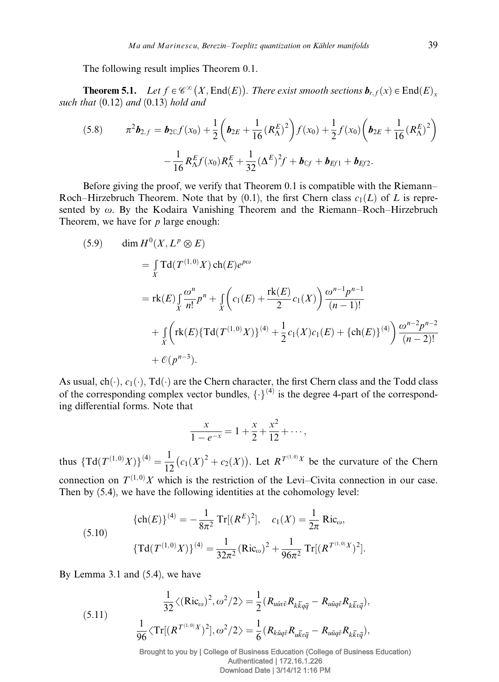The following result implies Theorem 0.1.

**Theorem 5.1.** Let  $f \in \mathscr{C}^{\infty}(X, \text{End}(E))$ . There exist smooth sections  $\mathbf{b}_{r,f}(x) \in \text{End}(E)_x$ such that  $(0.12)$  and  $(0.13)$  hold and

(5.8) 
$$
\pi^2 \mathbf{b}_{2,f} = \mathbf{b}_{2\mathbb{C}} f(x_0) + \frac{1}{2} \left( \mathbf{b}_{2E} + \frac{1}{16} (R_{\Lambda}^E)^2 \right) f(x_0) + \frac{1}{2} f(x_0) \left( \mathbf{b}_{2E} + \frac{1}{16} (R_{\Lambda}^E)^2 \right) - \frac{1}{16} R_{\Lambda}^E f(x_0) R_{\Lambda}^E + \frac{1}{32} (\Delta^E)^2 f + \mathbf{b}_{\mathbb{C}f} + \mathbf{b}_{\mathbb{E}f1} + \mathbf{b}_{\mathbb{E}f2}.
$$

Before giving the proof, we verify that Theorem 0.1 is compatible with the Riemann– Roch–Hirzebruch Theorem. Note that by  $(0.1)$ , the first Chern class  $c_1(L)$  of L is represented by  $\omega$ . By the Kodaira Vanishing Theorem and the Riemann–Roch–Hirzebruch Theorem, we have for  $p$  large enough:

(5.9) 
$$
\dim H^{0}(X, L^{p} \otimes E)
$$
  
\n
$$
= \int_{X}^{R} \text{Id}(T^{(1,0)}X) \text{ch}(E)e^{p\omega}
$$
  
\n
$$
= \text{rk}(E) \int_{X}^{\infty} \frac{\omega^{n}}{n!} p^{n} + \int_{X}^{R} \left(c_{1}(E) + \frac{\text{rk}(E)}{2} c_{1}(X)\right) \frac{\omega^{n-1} p^{n-1}}{(n-1)!}
$$
  
\n
$$
+ \int_{X}^{R} \left(\text{rk}(E)\left\{\text{Td}(T^{(1,0)}X)\right\}^{(4)} + \frac{1}{2} c_{1}(X)c_{1}(E) + \left\{\text{ch}(E)\right\}^{(4)}\right) \frac{\omega^{n-2} p^{n-2}}{(n-2)!}
$$
  
\n
$$
+ \mathcal{O}(p^{n-3}).
$$

As usual,  $ch(\cdot)$ ,  $c_1(\cdot)$ ,  $Td(\cdot)$  are the Chern character, the first Chern class and the Todd class of the corresponding complex vector bundles,  $\{\cdot\}^{(4)}$  is the degree 4-part of the corresponding differential forms. Note that

$$
\frac{x}{1 - e^{-x}} = 1 + \frac{x}{2} + \frac{x^2}{12} + \cdots,
$$

thus  ${\rm Td}(T^{(1,0)}X)^{(4)} = \frac{1}{12}$  $(c_1(X)^2 + c_2(X))$ . Let  $R^{T^{(1,0)}X}$  be the curvature of the Chern connection on  $T^{(1,0)}X$  which is the restriction of the Levi–Civita connection in our case. Then by (5.4), we have the following identities at the cohomology level:

$$
\{\text{ch}(E)\}^{(4)} = -\frac{1}{8\pi^2} \operatorname{Tr}[(R^E)^2], \quad c_1(X) = \frac{1}{2\pi} \operatorname{Ric}_{\omega},
$$
  

$$
\{\operatorname{Td}(T^{(1,0)}X)\}^{(4)} = \frac{1}{32\pi^2} (\operatorname{Ric}_{\omega})^2 + \frac{1}{96\pi^2} \operatorname{Tr}[(R^{T^{(1,0)}X})^2].
$$

By Lemma 3.1 and (5.4), we have

(5.11) 
$$
\frac{1}{32}\langle (\text{Ric}_{\omega})^2, \omega^2/2 \rangle = \frac{1}{2}(R_{\text{u\ddot{u}v\ddot{v}}}R_{k\bar{k}q\bar{q}} - R_{\text{u\ddot{u}q\ddot{v}}}R_{k\bar{k}v\bar{q}}),
$$

$$
\frac{1}{96}\langle \text{Tr}[(R^{T^{(1,0)}X})^2], \omega^2/2 \rangle = \frac{1}{6}(R_{\text{kuq}\ddot{v}}R_{\text{u\ddot{k}v\bar{q}}} - R_{\text{u\ddot{u}q\ddot{v}}}R_{k\bar{k}v\bar{q}}),
$$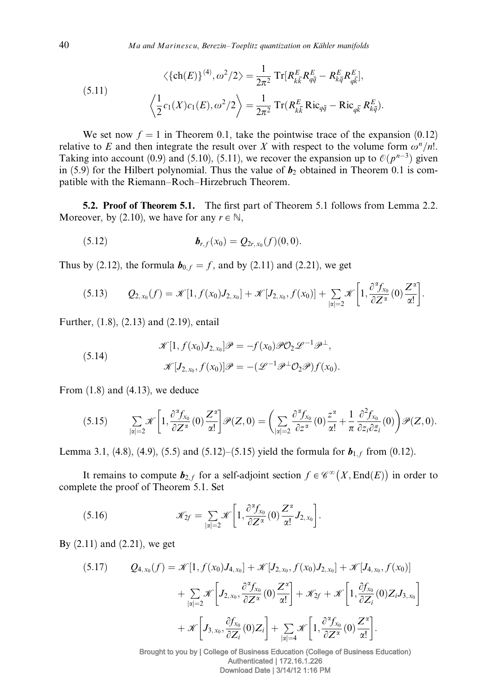(5.11) 
$$
\langle \{\text{ch}(E)\}^{(4)}, \omega^2/2 \rangle = \frac{1}{2\pi^2} \operatorname{Tr}[R_{k\overline{k}}^E R_{q\overline{q}}^E - R_{k\overline{q}}^E R_{q\overline{k}}^E],
$$

$$
\langle \frac{1}{2} c_1(X) c_1(E), \omega^2/2 \rangle = \frac{1}{2\pi^2} \operatorname{Tr}(R_{k\overline{k}}^E \operatorname{Ric}_{q\overline{q}} - \operatorname{Ric}_{q\overline{k}} R_{k\overline{q}}^E).
$$

We set now  $f = 1$  in Theorem 0.1, take the pointwise trace of the expansion (0.12) relative to E and then integrate the result over X with respect to the volume form  $\omega^n/n!$ . Taking into account (0.9) and (5.10), (5.11), we recover the expansion up to  $\mathcal{O}(p^{n-3})$  given in (5.9) for the Hilbert polynomial. Thus the value of  $b_2$  obtained in Theorem 0.1 is compatible with the Riemann–Roch–Hirzebruch Theorem.

**5.2. Proof of Theorem 5.1.** The first part of Theorem 5.1 follows from Lemma 2.2. Moreover, by (2.10), we have for any  $r \in \mathbb{N}$ ,

(5.12) 
$$
\boldsymbol{b}_{r,f}(x_0) = Q_{2r,x_0}(f)(0,0).
$$

Thus by (2.12), the formula  $\mathbf{b}_{0,f} = f$ , and by (2.11) and (2.21), we get

$$
(5.13) \tQ_{2,x_0}(f) = \mathscr{K}[1, f(x_0)J_{2,x_0}] + \mathscr{K}[J_{2,x_0}, f(x_0)] + \sum_{|\alpha|=2} \mathscr{K}\left[1, \frac{\partial^{\alpha} f_{x_0}}{\partial Z^{\alpha}}(0) \frac{Z^{\alpha}}{\alpha!}\right].
$$

Further, (1.8), (2.13) and (2.19), entail

(5.14) 
$$
\mathscr{K}[1, f(x_0)J_{2,x_0}]\mathscr{P} = -f(x_0)\mathscr{P}\mathcal{O}_2\mathscr{L}^{-1}\mathscr{P}^{\perp}, \mathscr{K}[J_{2,x_0}, f(x_0)]\mathscr{P} = -(\mathscr{L}^{-1}\mathscr{P}^{\perp}\mathcal{O}_2\mathscr{P})f(x_0).
$$

From (1.8) and (4.13), we deduce

$$
(5.15) \qquad \sum_{|\alpha|=2} \mathscr{K}\left[1, \frac{\partial^{\alpha} f_{x_0}}{\partial Z^{\alpha}}(0) \frac{Z^{\alpha}}{\alpha!}\right] \mathscr{P}(Z,0) = \left(\sum_{|\alpha|=2} \frac{\partial^{\alpha} f_{x_0}}{\partial z^{\alpha}}(0) \frac{z^{\alpha}}{\alpha!} + \frac{1}{\pi} \frac{\partial^2 f_{x_0}}{\partial z_i \partial \bar{z}_i}(0)\right) \mathscr{P}(Z,0).
$$

Lemma 3.1, (4.8), (4.9), (5.5) and (5.12)–(5.15) yield the formula for  $b_{1,f}$  from (0.12).

It remains to compute  $\mathbf{b}_{2,f}$  for a self-adjoint section  $f \in \mathscr{C}^{\infty}(X,\text{End}(E))$  in order to complete the proof of Theorem 5.1. Set

(5.16) 
$$
\mathscr{K}_{2f} = \sum_{|\alpha|=2} \mathscr{K} \left[ 1, \frac{\partial^{\alpha} f_{x_0}}{\partial Z^{\alpha}}(0) \frac{Z^{\alpha}}{\alpha!} J_{2,x_0} \right].
$$

By (2.11) and (2.21), we get

$$
(5.17) \qquad Q_{4,x_0}(f) = \mathcal{K}[1, f(x_0)J_{4,x_0}] + \mathcal{K}[J_{2,x_0}, f(x_0)J_{2,x_0}] + \mathcal{K}[J_{4,x_0}, f(x_0)]
$$

$$
+ \sum_{|\alpha|=2} \mathcal{K}\left[J_{2,x_0}, \frac{\partial^{\alpha} f_{x_0}}{\partial Z^{\alpha}}(0) \frac{Z^{\alpha}}{\alpha!}\right] + \mathcal{K}_{2f} + \mathcal{K}\left[1, \frac{\partial f_{x_0}}{\partial Z_i}(0)Z_iJ_{3,x_0}\right]
$$

$$
+ \mathcal{K}\left[J_{3,x_0}, \frac{\partial f_{x_0}}{\partial Z_i}(0)Z_i\right] + \sum_{|\alpha|=4} \mathcal{K}\left[1, \frac{\partial^{\alpha} f_{x_0}}{\partial Z^{\alpha}}(0) \frac{Z^{\alpha}}{\alpha!}\right].
$$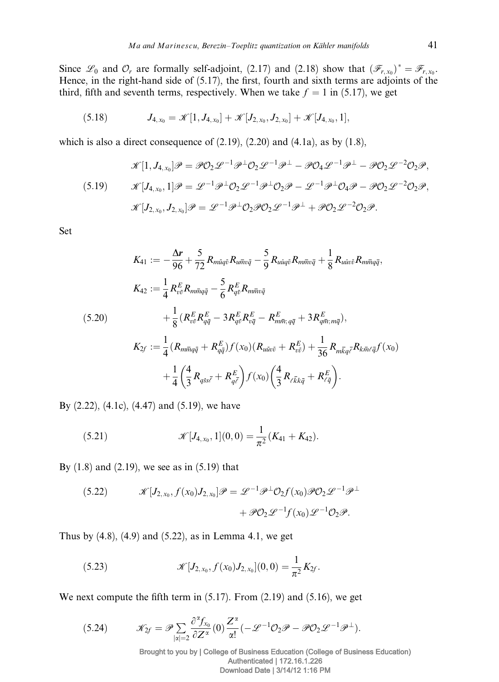Since  $\mathscr{L}_0$  and  $\mathcal{O}_r$  are formally self-adjoint, (2.17) and (2.18) show that  $(\mathscr{F}_{r,x_0})^* = \mathscr{F}_{r,x_0}$ . Hence, in the right-hand side of (5.17), the first, fourth and sixth terms are adjoints of the third, fifth and seventh terms, respectively. When we take  $f = 1$  in (5.17), we get

(5.18) 
$$
J_{4,x_0} = \mathscr{K}[1, J_{4,x_0}] + \mathscr{K}[J_{2,x_0}, J_{2,x_0}] + \mathscr{K}[J_{4,x_0}, 1],
$$

which is also a direct consequence of  $(2.19)$ ,  $(2.20)$  and  $(4.1a)$ , as by  $(1.8)$ ,

$$
\mathcal{K}[1, J_{4,x_0}]\mathscr{P} = \mathscr{P}\mathcal{O}_2 \mathscr{L}^{-1} \mathscr{P}^{\perp} \mathcal{O}_2 \mathscr{L}^{-1} \mathscr{P}^{\perp} - \mathscr{P}\mathcal{O}_4 \mathscr{L}^{-1} \mathscr{P}^{\perp} - \mathscr{P}\mathcal{O}_2 \mathscr{L}^{-2} \mathcal{O}_2 \mathscr{P},
$$
  
(5.19) 
$$
\mathcal{K}[J_{4,x_0}, 1] \mathscr{P} = \mathscr{L}^{-1} \mathscr{P}^{\perp} \mathcal{O}_2 \mathscr{L}^{-1} \mathscr{P}^{\perp} \mathcal{O}_2 \mathscr{P} - \mathscr{L}^{-1} \mathscr{P}^{\perp} \mathcal{O}_4 \mathscr{P} - \mathscr{P}\mathcal{O}_2 \mathscr{L}^{-2} \mathcal{O}_2 \mathscr{P},
$$
  

$$
\mathcal{K}[J_{2,x_0}, J_{2,x_0}] \mathscr{P} = \mathscr{L}^{-1} \mathscr{P}^{\perp} \mathcal{O}_2 \mathscr{P} \mathcal{O}_2 \mathscr{L}^{-1} \mathscr{P}^{\perp} + \mathscr{P}\mathcal{O}_2 \mathscr{L}^{-2} \mathcal{O}_2 \mathscr{P}.
$$

Set

$$
K_{41} := -\frac{\Delta r}{96} + \frac{5}{72} R_{m\bar{u}q\bar{v}} R_{u\bar{m}v\bar{q}} - \frac{5}{9} R_{u\bar{u}q\bar{v}} R_{m\bar{m}v\bar{q}} + \frac{1}{8} R_{u\bar{u}v\bar{v}} R_{m\bar{m}q\bar{q}},
$$
  
\n
$$
K_{42} := \frac{1}{4} R_{v\bar{v}}^E R_{m\bar{m}q\bar{q}} - \frac{5}{6} R_{q\bar{v}}^E R_{m\bar{m}v\bar{q}} + 3 R_{q\bar{v};m\bar{q}}^E \quad (5.20)
$$
  
\n
$$
+ \frac{1}{8} (R_{v\bar{v}}^E R_{q\bar{q}}^E - 3 R_{q\bar{v}}^E R_{v\bar{q}}^E - R_{m\bar{m};q\bar{q}}^E + 3 R_{q\bar{m};m\bar{q}}^E),
$$
  
\n
$$
K_{2f} := \frac{1}{4} (R_{m\bar{m}q\bar{q}} + R_{q\bar{q}}^E) f(x_0) (R_{u\bar{u}v\bar{v}} + R_{v\bar{v}}^E) + \frac{1}{36} R_{m\bar{k}q\bar{c}} R_{k\bar{m}\ell\bar{q}} f(x_0)
$$
  
\n
$$
+ \frac{1}{4} (\frac{4}{3} R_{q\bar{s}s\bar{\ell}} + R_{q\bar{\ell}}^E) f(x_0) (\frac{4}{3} R_{\ell\bar{k}k\bar{q}} + R_{\ell\bar{q}}^E).
$$

By (2.22), (4.1c), (4.47) and (5.19), we have

(5.21) 
$$
\mathscr{K}[J_{4,x_0},1](0,0)=\frac{1}{\pi^2}(K_{41}+K_{42}).
$$

By (1.8) and (2.19), we see as in (5.19) that

(5.22) 
$$
\mathcal{K}[J_{2,x_0}, f(x_0)J_{2,x_0}]\mathcal{P} = \mathcal{L}^{-1}\mathcal{P}^{\perp}\mathcal{O}_2f(x_0)\mathcal{P}\mathcal{O}_2\mathcal{L}^{-1}\mathcal{P}^{\perp} + \mathcal{P}\mathcal{O}_2\mathcal{L}^{-1}f(x_0)\mathcal{L}^{-1}\mathcal{O}_2\mathcal{P}.
$$

Thus by  $(4.8)$ ,  $(4.9)$  and  $(5.22)$ , as in Lemma 4.1, we get

(5.23) 
$$
\mathscr{K}[J_{2,x_0}, f(x_0)J_{2,x_0}](0,0) = \frac{1}{\pi^2}K_{2f}.
$$

We next compute the fifth term in (5.17). From (2.19) and (5.16), we get

$$
(5.24) \t\t \mathscr{K}_{2f}=\mathscr{P}_{\sum_{|\alpha|=2}}\frac{\partial^{\alpha} f_{x_0}}{\partial Z^{\alpha}}(0)\frac{Z^{\alpha}}{\alpha!}(-\mathscr{L}^{-1}\mathcal{O}_2\mathscr{P}-\mathscr{P}\mathcal{O}_2\mathscr{L}^{-1}\mathscr{P}^{\perp}).
$$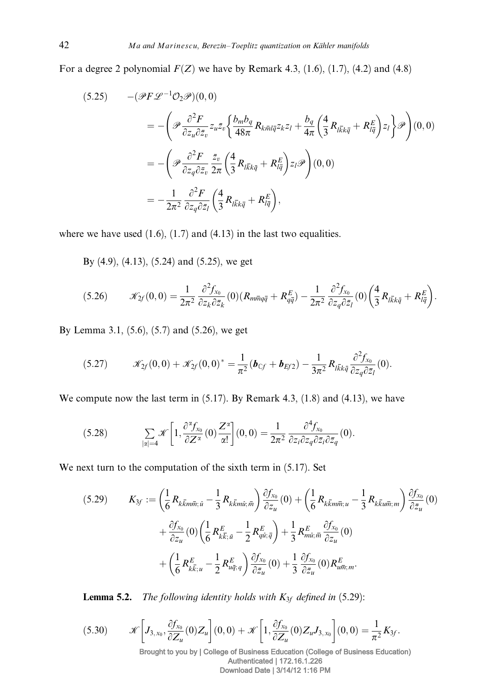For a degree 2 polynomial  $F(Z)$  we have by Remark 4.3, (1.6), (1.7), (4.2) and (4.8)

$$
(5.25) \qquad -(\mathscr{P}F\mathscr{L}^{-1}\mathcal{O}_2\mathscr{P})(0,0)
$$
\n
$$
= -\left(\mathscr{P}\frac{\partial^2 F}{\partial z_u \partial \bar{z}_v} z_u \bar{z}_v \left\{\frac{b_m b_q}{48\pi} R_{k\bar{m}l\bar{q}} z_k z_l + \frac{b_q}{4\pi} \left(\frac{4}{3} R_{l\bar{k}k\bar{q}} + R_{l\bar{q}}^E\right) z_l \right\} \mathscr{P}\right) (0,0)
$$
\n
$$
= -\left(\mathscr{P}\frac{\partial^2 F}{\partial z_q \partial \bar{z}_v} \frac{\bar{z}_v}{2\pi} \left(\frac{4}{3} R_{l\bar{k}k\bar{q}} + R_{l\bar{q}}^E\right) z_l \mathscr{P}\right) (0,0)
$$
\n
$$
= -\frac{1}{2\pi^2} \frac{\partial^2 F}{\partial z_q \partial \bar{z}_l} \left(\frac{4}{3} R_{l\bar{k}k\bar{q}} + R_{l\bar{q}}^E\right),
$$

where we have used  $(1.6)$ ,  $(1.7)$  and  $(4.13)$  in the last two equalities.

By (4.9), (4.13), (5.24) and (5.25), we get

$$
(5.26) \t \mathscr{K}_{2f}(0,0) = \frac{1}{2\pi^2} \frac{\partial^2 f_{x_0}}{\partial z_k \partial \bar{z}_k} (0) (R_{m\bar{m}q\bar{q}} + R_{q\bar{q}}^E) - \frac{1}{2\pi^2} \frac{\partial^2 f_{x_0}}{\partial z_q \partial \bar{z}_l} (0) \left(\frac{4}{3} R_{l\bar{k}k\bar{q}} + R_{l\bar{q}}^E\right).
$$

By Lemma 3.1, (5.6), (5.7) and (5.26), we get

$$
(5.27) \t\t \mathscr{K}_{2f}(0,0) + \mathscr{K}_{2f}(0,0)^{*} = \frac{1}{\pi^{2}} \left( \boldsymbol{b}_{\mathbb{C}f} + \boldsymbol{b}_{\mathbb{E}f2} \right) - \frac{1}{3\pi^{2}} R_{l\bar{k}k\bar{q}} \frac{\partial^{2} f_{x_{0}}}{\partial z_{q} \partial \bar{z}_{l}}(0).
$$

We compute now the last term in  $(5.17)$ . By Remark 4.3,  $(1.8)$  and  $(4.13)$ , we have

(5.28) 
$$
\sum_{|\alpha|=4} \mathcal{K}\left[1, \frac{\partial^{\alpha} f_{x_0}}{\partial Z^{\alpha}}(0) \frac{Z^{\alpha}}{\alpha!}\right](0,0) = \frac{1}{2\pi^2} \frac{\partial^4 f_{x_0}}{\partial z_i \partial z_q \partial \bar{z}_i \partial \bar{z}_q}(0).
$$

We next turn to the computation of the sixth term in (5.17). Set

$$
(5.29) \qquad K_{3f} := \left(\frac{1}{6}R_{k\overline{k}m\overline{m};\bar{u}} - \frac{1}{3}R_{k\overline{k}m\overline{u};\bar{m}}\right)\frac{\partial f_{x_0}}{\partial z_u}(0) + \left(\frac{1}{6}R_{k\overline{k}m\overline{m};u} - \frac{1}{3}R_{k\overline{k}u\overline{m};m}\right)\frac{\partial f_{x_0}}{\partial \overline{z}_u}(0) + \frac{\partial f_{x_0}}{\partial z_u}(0)\left(\frac{1}{6}R_{k\overline{k};\bar{u}} - \frac{1}{2}R_{q\overline{u};\bar{q}}\right) + \frac{1}{3}R_{m\overline{u};\bar{m}}^E\frac{\partial f_{x_0}}{\partial z_u}(0) + \left(\frac{1}{6}R_{k\overline{k};u}^E - \frac{1}{2}R_{u\overline{q};q}^E\right)\frac{\partial f_{x_0}}{\partial \overline{z}_u}(0) + \frac{1}{3}\frac{\partial f_{x_0}}{\partial \overline{z}_u}(0)R_{u\overline{m};m}^E.
$$

**Lemma 5.2.** The following identity holds with  $K_{3f}$  defined in (5.29):

$$
(5.30) \t\t \mathscr{K}\left[J_{3,x_0},\frac{\partial f_{x_0}}{\partial Z_u}(0)Z_u\right](0,0)+\mathscr{K}\left[1,\frac{\partial f_{x_0}}{\partial Z_u}(0)Z_uJ_{3,x_0}\right](0,0)=\frac{1}{\pi^2}K_{3f}.
$$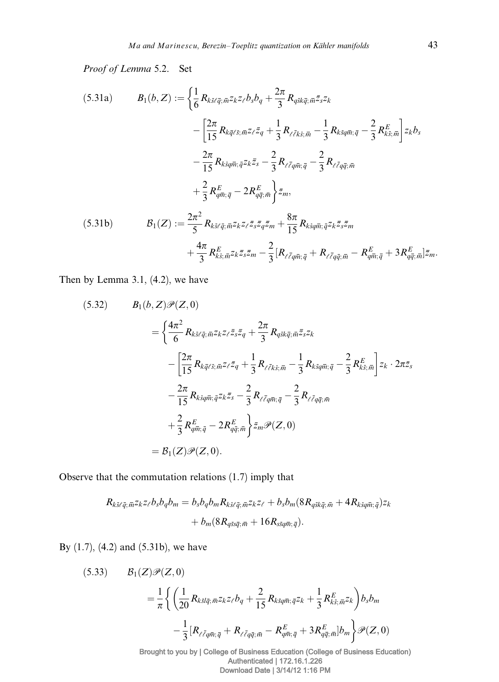Proof of Lemma 5.2. Set

(5.31a) 
$$
B_{1}(b, Z) := \left\{ \frac{1}{6} R_{k\bar{s}\ell\bar{q}; \bar{m}} z_{k} z_{\ell} b_{s} b_{q} + \frac{2\pi}{3} R_{q\bar{s}k\bar{q}; \bar{m}} \bar{z}_{s} z_{k} - \frac{2\pi}{15} R_{k\bar{q}\ell\bar{s}; \bar{m}} z_{\ell} \bar{z}_{q} + \frac{1}{3} R_{\ell\bar{\ell}k\bar{s}; \bar{m}} - \frac{1}{3} R_{k\bar{s}q\bar{m}; \bar{q}} - \frac{2}{3} R_{k\bar{s}; \bar{m}}^{E} \right\} z_{k} b_{s} - \frac{2\pi}{15} R_{k\bar{s}q\bar{m}; \bar{q}} z_{k} z_{s} - \frac{2}{3} R_{\ell\bar{\ell}q\bar{m}; \bar{q}} - \frac{2}{3} R_{\ell\bar{\ell}q\bar{q}; \bar{m}} + \frac{2}{3} R_{q\bar{m}; \bar{q}}^{E} - 2 R_{q\bar{q}; \bar{m}}^{E} \right\} \bar{z}_{m},
$$
\n(5.31b) 
$$
B_{1}(Z) := \frac{2\pi^{2}}{5} R_{k\bar{s}\ell\bar{q}; \bar{m}} z_{k} z_{\ell} \bar{z}_{s} \bar{z}_{q} \bar{z}_{m} + \frac{8\pi}{15} R_{k\bar{s}q\bar{m}; \bar{q}} z_{k} z_{s} \bar{z}_{s} \bar{z}_{m} + \frac{4\pi}{3} R_{k\bar{s}; \bar{m}} z_{k} z_{s} \bar{z}_{s} \bar{z}_{m} - \frac{2}{3} [R_{\ell\bar{\ell}q\bar{m}; \bar{q}} + R_{\ell\bar{\ell}q\bar{q}; \bar{m}} - R_{q\bar{m}; \bar{q}}^{E} + 3 R_{q\bar{q}; \bar{m}}^{E}] \bar{z}_{m}.
$$

Then by Lemma 3.1, (4.2), we have

(5.32) 
$$
B_1(b, Z)\mathscr{P}(Z, 0)
$$

$$
= \left\{ \frac{4\pi^2}{6} R_{k\bar{s}\ell\bar{q};\bar{m}} z_{k} z_{\ell} \bar{z}_{s} \bar{z}_{q} + \frac{2\pi}{3} R_{q\bar{s}k\bar{q};\bar{m}} \bar{z}_{s} z_{k} - \left[ \frac{2\pi}{15} R_{k\bar{q}\ell\bar{s};\bar{m}} z_{\ell} \bar{z}_{q} + \frac{1}{3} R_{\ell\bar{\ell}k\bar{s};\bar{m}} - \frac{1}{3} R_{k\bar{s}q\bar{m};\bar{q}} - \frac{2}{3} R_{k\bar{s};\bar{m}} \right] z_{k} \cdot 2\pi \bar{z}_{s}
$$

$$
- \frac{2\pi}{15} R_{k\bar{s}q\bar{m};\bar{q}} z_{k} \bar{z}_{s} - \frac{2}{3} R_{\ell\bar{\ell}q\bar{m};\bar{q}} - \frac{2}{3} R_{\ell\bar{\ell}q\bar{q};\bar{m}}
$$

$$
+ \frac{2}{3} R_{q\bar{m};\bar{q}}^E - 2 R_{q\bar{q};\bar{m}}^E \right\} \bar{z}_{m} \mathscr{P}(Z, 0)
$$

$$
= B_1(Z) \mathscr{P}(Z, 0).
$$

Observe that the commutation relations (1.7) imply that

$$
R_{k\bar{s}\ell\bar{q};\bar{m}}z_{k}z_{\ell}b_{s}b_{q}b_{m}=b_{s}b_{q}b_{m}R_{k\bar{s}\ell\bar{q};\bar{m}}z_{k}z_{\ell}+b_{s}b_{m}(8R_{q\bar{s}k\bar{q};\bar{m}}+4R_{k\bar{s}q\bar{m};\bar{q}})z_{k}+b_{m}(8R_{q\bar{s}s\bar{q};\bar{m}}+16R_{s\bar{s}q\bar{m};\bar{q}}).
$$

By (1.7), (4.2) and (5.31b), we have

(5.33) 
$$
\mathcal{B}_{1}(Z)\mathcal{P}(Z,0) = \frac{1}{\pi} \left\{ \left( \frac{1}{20} R_{k\bar{s}l\bar{q};\bar{m}^{Z}k^{Z}\ell} b_{q} + \frac{2}{15} R_{k\bar{s}q\bar{m};\bar{q}^{Z}k} + \frac{1}{3} R_{k\bar{s};\bar{m}^{Z}k}^{E} \right) b_{s} b_{m} - \frac{1}{3} [R_{\ell\bar{\ell}q\bar{q};\bar{m}} + R_{\ell\bar{\ell}q\bar{q};\bar{m}} - R_{q\bar{m};\bar{q}}^{E} + 3 R_{q\bar{q};\bar{m}}^{E}] b_{m} \right\} \mathcal{P}(Z,0)
$$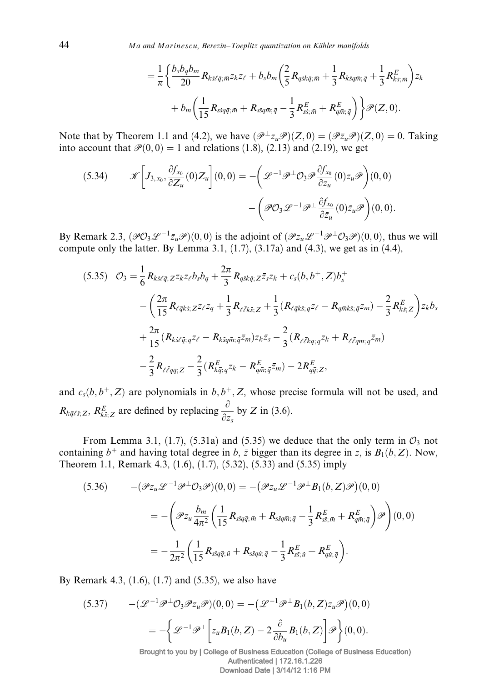$$
= \frac{1}{\pi} \left\{ \frac{b_s b_q b_m}{20} R_{k\bar{s}\ell\bar{q};\bar{m}^Z k^Z \ell} + b_s b_m \left( \frac{2}{5} R_{q\bar{s}k\bar{q};\bar{m}} + \frac{1}{3} R_{k\bar{s}q\bar{m};\bar{q}} + \frac{1}{3} R_{k\bar{s};\bar{m}}^E \right) z_k + b_m \left( \frac{1}{15} R_{s\bar{s}q\bar{q};\bar{m}} + R_{s\bar{s}q\bar{m};\bar{q}} - \frac{1}{3} R_{s\bar{s};\bar{m}}^E + R_{q\bar{m};\bar{q}}^E \right) \right\} \mathscr{P}(Z,0).
$$

Note that by Theorem 1.1 and (4.2), we have  $(\mathcal{P}^{\perp} z_u \mathcal{P})(Z, 0) = (\mathcal{P} \bar{z}_u \mathcal{P})(Z, 0) = 0$ . Taking into account that  $\mathcal{P}(0,0) = 1$  and relations (1.8), (2.13) and (2.19), we get

(5.34) 
$$
\mathcal{K}\left[J_{3,x_0}, \frac{\partial f_{x_0}}{\partial Z_u}(0)Z_u\right](0,0) = -\left(\mathcal{L}^{-1}\mathcal{P}^{\perp}\mathcal{O}_3\mathcal{P}\frac{\partial f_{x_0}}{\partial z_u}(0)z_u\mathcal{P}\right)(0,0) -\left(\mathcal{P}\mathcal{O}_3\mathcal{L}^{-1}\mathcal{P}^{\perp}\frac{\partial f_{x_0}}{\partial \bar{z}_u}(0)\bar{z}_u\mathcal{P}\right)(0,0).
$$

By Remark 2.3,  $(\mathscr{P}O_3\mathscr{L}^{-1}\bar{z}_u\mathscr{P})(0,0)$  is the adjoint of  $(\mathscr{P}z_u\mathscr{L}^{-1}\mathscr{P}^{\perp}O_3\mathscr{P})(0,0)$ , thus we will compute only the latter. By Lemma 3.1,  $(1.7)$ ,  $(3.17a)$  and  $(4.3)$ , we get as in  $(4.4)$ ,

$$
(5.35) \quad \mathcal{O}_{3} = \frac{1}{6} R_{k\bar{s}\ell\bar{q}; Z} z_{k} z_{\ell} b_{s} b_{q} + \frac{2\pi}{3} R_{q\bar{s}k\bar{q}; Z} \bar{z}_{s} z_{k} + c_{s}(b, b^{+}, Z) b_{s}^{+} - \left( \frac{2\pi}{15} R_{\ell\bar{q}k\bar{s}; Z} z_{\ell} \bar{z}_{q} + \frac{1}{3} R_{\ell\bar{\ell}k\bar{s}; Z} + \frac{1}{3} (R_{\ell\bar{q}k\bar{s}; q} z_{\ell} - R_{q\bar{m}k\bar{s}; \bar{q}} \bar{z}_{m}) - \frac{2}{3} R_{k\bar{s}; Z}^{E} \right) z_{k} b_{s} + \frac{2\pi}{15} (R_{k\bar{s}\ell\bar{q}; q} z_{\ell} - R_{k\bar{s}q\bar{m}; \bar{q}} \bar{z}_{m}) z_{k} \bar{z}_{s} - \frac{2}{3} (R_{\ell\bar{\ell}k\bar{q}; q} z_{k} + R_{\ell\bar{\ell}q\bar{m}; \bar{q}} \bar{z}_{m}) - \frac{2}{3} R_{\ell\bar{\ell}q\bar{q}; Z} - \frac{2}{3} (R_{k\bar{q}; q}^{E} z_{k} - R_{q\bar{m}; \bar{q}}^{E} \bar{z}_{m}) - 2 R_{q\bar{q}; Z}^{E},
$$

and  $c_s(b, b^+, Z)$  are polynomials in  $b, b^+, Z$ , whose precise formula will not be used, and  $R_{k\bar{q}\ell\bar{s};Z}, R_{k\bar{s};Z}^E$  are defined by replacing  $\frac{\partial}{\partial z_s}$  by Z in (3.6).

From Lemma 3.1, (1.7), (5.31a) and (5.35) we deduce that the only term in  $\mathcal{O}_3$  not containing  $b^+$  and having total degree in b, z bigger than its degree in z, is  $B_1(b, Z)$ . Now, Theorem 1.1, Remark 4.3, (1.6), (1.7), (5.32), (5.33) and (5.35) imply

$$
(5.36) \qquad -(\mathscr{P}z_{u}\mathscr{L}^{-1}\mathscr{P}^{\perp}\mathcal{O}_{3}\mathscr{P})(0,0) = -(\mathscr{P}z_{u}\mathscr{L}^{-1}\mathscr{P}^{\perp}B_{1}(b,Z)\mathscr{P})(0,0)
$$

$$
= -\left(\mathscr{P}z_{u}\frac{b_{m}}{4\pi^{2}}\left(\frac{1}{15}R_{s\bar{s}q\bar{q};\bar{m}} + R_{s\bar{s}q\bar{m};\bar{q}} - \frac{1}{3}R_{s\bar{s};\bar{m}}^{E} + R_{q\bar{m};\bar{q}}^{E}\right)\mathscr{P}\right)(0,0)
$$

$$
= -\frac{1}{2\pi^{2}}\left(\frac{1}{15}R_{s\bar{s}q\bar{q};\bar{u}} + R_{s\bar{s}q\bar{u};\bar{q}} - \frac{1}{3}R_{s\bar{s};\bar{u}}^{E} + R_{q\bar{u};\bar{q}}^{E}\right).
$$

By Remark 4.3, (1.6), (1.7) and (5.35), we also have

(5.37) 
$$
-(\mathcal{L}^{-1}\mathcal{P}^{\perp}\mathcal{O}_{3}\mathcal{P}z_{u}\mathcal{P})(0,0) = -(\mathcal{L}^{-1}\mathcal{P}^{\perp}B_{1}(b,Z)z_{u}\mathcal{P})(0,0)
$$

$$
= -\left\{\mathcal{L}^{-1}\mathcal{P}^{\perp}\left[z_{u}B_{1}(b,Z)-2\frac{\partial}{\partial b_{u}}B_{1}(b,Z)\right]\mathcal{P}\right\}(0,0).
$$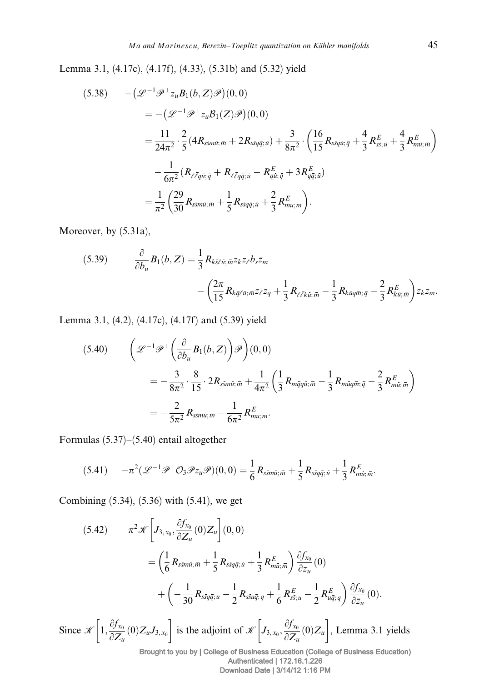Lemma 3.1, (4.17c), (4.17f), (4.33), (5.31b) and (5.32) yield

$$
(5.38) \quad -(\mathcal{L}^{-1}\mathcal{P}^{\perp}z_{u}B_{1}(b,Z)\mathcal{P})(0,0)
$$
\n
$$
= -(\mathcal{L}^{-1}\mathcal{P}^{\perp}z_{u}B_{1}(Z)\mathcal{P})(0,0)
$$
\n
$$
= \frac{11}{24\pi^{2}} \cdot \frac{2}{5} (4R_{ssmu;\bar{m}} + 2R_{ssq\bar{q};\bar{u}}) + \frac{3}{8\pi^{2}} \cdot \left(\frac{16}{15}R_{ssqu;\bar{q}} + \frac{4}{3}R_{ss;\bar{u}}^{E} + \frac{4}{3}R_{mi;\bar{m}}^{E}\right)
$$
\n
$$
- \frac{1}{6\pi^{2}} (R_{\ell\bar{\ell}q\bar{u};\bar{q}} + R_{\ell\bar{\ell}q\bar{q};\bar{u}} - R_{qu;\bar{q}}^{E} + 3R_{q\bar{q};\bar{u}}^{E})
$$
\n
$$
= \frac{1}{\pi^{2}} \left(\frac{29}{30}R_{ssmu;\bar{m}} + \frac{1}{5}R_{ssq\bar{q};\bar{u}} + \frac{2}{3}R_{mi;\bar{m}}^{E}\right).
$$

Moreover, by (5.31a),

(5.39) 
$$
\frac{\partial}{\partial b_u} B_1(b, Z) = \frac{1}{3} R_{k\bar{s}\ell\bar{u}; \bar{m}^2 k^2 \ell} b_s \bar{z}_m - \left( \frac{2\pi}{15} R_{k\bar{q}\ell\bar{u}; \bar{m}^2 \ell} \bar{z}_q + \frac{1}{3} R_{\ell\bar{\ell}k\bar{u}; \bar{m}} - \frac{1}{3} R_{k\bar{u}q\bar{m}; \bar{q}} - \frac{2}{3} R_{k\bar{u}; \bar{m}}^E \right) z_k \bar{z}_m.
$$

Lemma 3.1, (4.2), (4.17c), (4.17f) and (5.39) yield

$$
(5.40) \qquad \left(\mathcal{L}^{-1}\mathcal{P}^{\perp}\left(\frac{\partial}{\partial b_u}B_1(b,Z)\right)\mathcal{P}\right)(0,0)
$$

$$
= -\frac{3}{8\pi^2} \cdot \frac{8}{15} \cdot 2R_{ss\overline{m}\overline{u};\overline{m}} + \frac{1}{4\pi^2} \left(\frac{1}{3}R_{m\overline{q}q\overline{u};\overline{m}} - \frac{1}{3}R_{m\overline{u}q\overline{m};\overline{q}} - \frac{2}{3}R_{m\overline{u};\overline{m}}^E\right)
$$

$$
= -\frac{2}{5\pi^2}R_{ss\overline{m}\overline{u};\overline{m}} - \frac{1}{6\pi^2}R_{m\overline{u};\overline{m}}^E.
$$

Formulas (5.37)–(5.40) entail altogether

$$
(5.41) \qquad -\pi^2(\mathscr{L}^{-1}\mathscr{P}^\perp\mathcal{O}_3\mathscr{P}z_u\mathscr{P})(0,0)=\frac{1}{6}R_{ssmi;\,\overline{m}}+\frac{1}{5}R_{ssq\overline{q};\,\overline{u}}+\frac{1}{3}R_{mi;\,\overline{m}}^E.
$$

Combining (5.34), (5.36) with (5.41), we get

(5.42) 
$$
\pi^{2}\mathcal{K}\left[J_{3,x_{0}},\frac{\partial f_{x_{0}}}{\partial Z_{u}}(0)Z_{u}\right](0,0)
$$

$$
=\left(\frac{1}{6}R_{s\bar{s}mi;\bar{m}}+\frac{1}{5}R_{s\bar{s}q\bar{q};\bar{u}}+\frac{1}{3}R_{mi;\bar{m}}^{E}\right)\frac{\partial f_{x_{0}}}{\partial z_{u}}(0)
$$

$$
+\left(-\frac{1}{30}R_{s\bar{s}q\bar{q};u}-\frac{1}{2}R_{s\bar{s}u\bar{q};q}+\frac{1}{6}R_{s\bar{s};u}^{E}-\frac{1}{2}R_{u\bar{q};q}^{E}\right)\frac{\partial f_{x_{0}}}{\partial \bar{z}_{u}}(0).
$$
Since  $\mathcal{K}\left[1,\frac{\partial f_{x_{0}}}{\partial Z_{u}}(0)Z_{u}J_{3,x_{0}}\right]$  is the adjoint of  $\mathcal{K}\left[J_{3,x_{0}},\frac{\partial f_{x_{0}}}{\partial Z_{u}}(0)Z_{u}\right]$ , Lemma 3.1 yields  
Brought to you by | College of Business Education (College of Business Education)  
Authentication | 172.16.1.226  
Download Date | 3/14/12 1:16 PM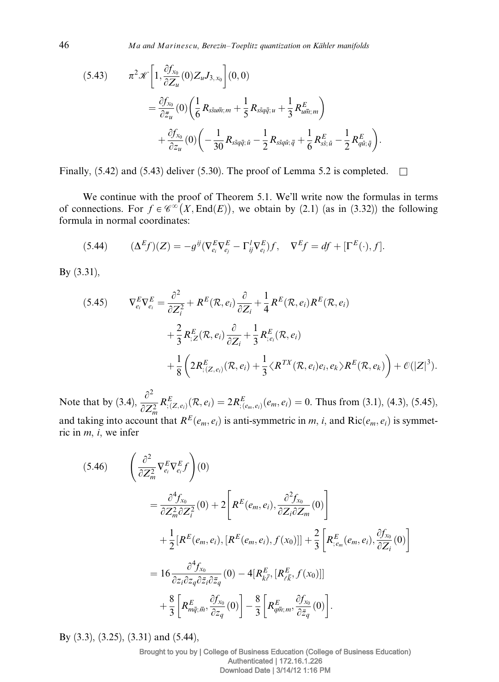$$
(5.43) \qquad \pi^2 \mathcal{K} \left[ 1, \frac{\partial f_{x_0}}{\partial Z_u} (0) Z_u J_{3,x_0} \right] (0,0)
$$
  

$$
= \frac{\partial f_{x_0}}{\partial \bar{z}_u} (0) \left( \frac{1}{6} R_{s\bar{s}u\bar{m};m} + \frac{1}{5} R_{s\bar{s}q\bar{q};u} + \frac{1}{3} R_{u\bar{m};m}^E \right)
$$
  

$$
+ \frac{\partial f_{x_0}}{\partial z_u} (0) \left( -\frac{1}{30} R_{s\bar{s}q\bar{q};\bar{u}} - \frac{1}{2} R_{s\bar{s}q\bar{u};\bar{q}} + \frac{1}{6} R_{s\bar{s};\bar{u}}^E - \frac{1}{2} R_{q\bar{u};\bar{q}}^E \right).
$$

Finally, (5.42) and (5.43) deliver (5.30). The proof of Lemma 5.2 is completed.  $\square$ 

We continue with the proof of Theorem 5.1. We'll write now the formulas in terms of connections. For  $f \in \mathcal{C}^{\infty}(X, \text{End}(E))$ , we obtain by (2.1) (as in (3.32)) the following formula in normal coordinates:

(5.44) 
$$
(\Delta^E f)(Z) = -g^{ij}(\nabla_{e_i}^E \nabla_{e_j}^E - \Gamma_{ij}^I \nabla_{e_l}^E) f, \quad \nabla^E f = df + [\Gamma^E(\cdot), f].
$$

By (3.31),

$$
(5.45) \qquad \nabla_{e_i}^E \nabla_{e_i}^E = \frac{\partial^2}{\partial Z_i^2} + R^E(\mathcal{R}, e_i) \frac{\partial}{\partial Z_i} + \frac{1}{4} R^E(\mathcal{R}, e_i) R^E(\mathcal{R}, e_i)
$$
\n
$$
+ \frac{2}{3} R_{;Z}^E(\mathcal{R}, e_i) \frac{\partial}{\partial Z_i} + \frac{1}{3} R_{;e_i}^E(\mathcal{R}, e_i)
$$
\n
$$
+ \frac{1}{8} \left( 2R_{; (Z, e_i)}^E(\mathcal{R}, e_i) + \frac{1}{3} \langle R^{TX}(\mathcal{R}, e_i) e_i, e_k \rangle R^E(\mathcal{R}, e_k) \right) + \mathcal{O}(|Z|^3).
$$

Note that by (3.4),  $\frac{\partial^2}{\partial Z_m^2}$  $R_{; (Z, e_i)}^E(\mathcal{R}, e_i) = 2R_{; (e_m, e_i)}^E(e_m, e_i) = 0$ . Thus from (3.1), (4.3), (5.45), and taking into account that  $R^E(e_m, e_i)$  is anti-symmetric in m, i, and  $Ric(e_m, e_i)$  is symmetric in  $m$ , *i*, we infer

$$
(5.46) \qquad \left(\frac{\partial^2}{\partial Z_m^2} \nabla_{e_i}^E \nabla_{e_i}^E f\right)(0) \n= \frac{\partial^4 f_{x_0}}{\partial Z_m^2 \partial Z_i^2}(0) + 2 \left[ R^E(e_m, e_i), \frac{\partial^2 f_{x_0}}{\partial Z_i \partial Z_m}(0) \right] \n+ \frac{1}{2} \left[ R^E(e_m, e_i), \left[ R^E(e_m, e_i), f(x_0) \right] \right] + \frac{2}{3} \left[ R^E_{;e_m}(e_m, e_i), \frac{\partial f_{x_0}}{\partial Z_i}(0) \right] \n= 16 \frac{\partial^4 f_{x_0}}{\partial z_i \partial z_q \partial \bar{z}_i \partial \bar{z}_q}(0) - 4 \left[ R^E_{k\bar{\ell}}, \left[ R^E_{\ell\bar{k}}, f(x_0) \right] \right] \n+ \frac{8}{3} \left[ R^E_{m\bar{q};\bar{m}}, \frac{\partial f_{x_0}}{\partial z_q}(0) \right] - \frac{8}{3} \left[ R^E_{q\bar{m};m}, \frac{\partial f_{x_0}}{\partial \bar{z}_q}(0) \right].
$$

By (3.3), (3.25), (3.31) and (5.44),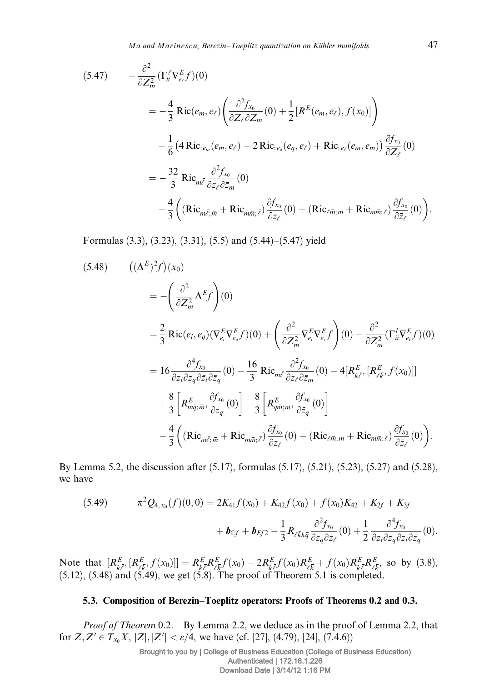$$
(5.47) \qquad -\frac{\partial^2}{\partial Z_m^2} (\Gamma_{ii}^{\ell} \nabla_{e_{\ell}}^E f)(0)
$$
\n
$$
= -\frac{4}{3} \text{Ric}(e_m, e_{\ell}) \left( \frac{\partial^2 f_{x_0}}{\partial Z_{\ell} \partial Z_m}(0) + \frac{1}{2} [R^E(e_m, e_{\ell}), f(x_0)] \right)
$$
\n
$$
- \frac{1}{6} \left( 4 \text{Ric}_{;e_m}(e_m, e_{\ell}) - 2 \text{Ric}_{;e_q}(e_q, e_{\ell}) + \text{Ric}_{;e_{\ell}}(e_m, e_m) \right) \frac{\partial f_{x_0}}{\partial Z_{\ell}}(0)
$$
\n
$$
= -\frac{32}{3} \text{Ric}_{m\overline{\ell}} \frac{\partial^2 f_{x_0}}{\partial z_{\ell} \partial \overline{z}_m}(0)
$$
\n
$$
- \frac{4}{3} \left( (\text{Ric}_{m\overline{\ell};\overline{m}} + \text{Ric}_{m\overline{m};\overline{\ell}}) \frac{\partial f_{x_0}}{\partial z_{\ell}}(0) + (\text{Ric}_{\ell\overline{m};m} + \text{Ric}_{m\overline{m};\ell}) \frac{\partial f_{x_0}}{\partial \overline{z}_{\ell}}(0) \right).
$$

Formulas (3.3), (3.23), (3.31), (5.5) and (5.44)–(5.47) yield

$$
(5.48) \qquad ((\Delta^{E})^{2} f)(x_{0})
$$
\n
$$
= -\left(\frac{\partial^{2}}{\partial Z_{m}^{2}} \Delta^{E} f\right)(0)
$$
\n
$$
= \frac{2}{3} \text{Ric}(e_{i}, e_{q})(\nabla_{e_{i}}^{E} \nabla_{e_{q}}^{E} f)(0) + \left(\frac{\partial^{2}}{\partial Z_{m}^{2}} \nabla_{e_{i}}^{E} \nabla_{e_{i}}^{E} f\right)(0) - \frac{\partial^{2}}{\partial Z_{m}^{2}} (\Gamma_{ii}^{I} \nabla_{e_{i}}^{E} f)(0)
$$
\n
$$
= 16 \frac{\partial^{4} f_{x_{0}}}{\partial z_{i} \partial z_{q} \partial \bar{z}_{i} \partial \bar{z}_{q}} (0) - \frac{16}{3} \text{Ric}_{m\bar{\ell}} \frac{\partial^{2} f_{x_{0}}}{\partial z_{\ell} \partial \bar{z}_{m}} (0) - 4[R_{k\bar{\ell}}^{E}, [R_{\ell\bar{k}}^{E}, f(x_{0})]]
$$
\n
$$
+ \frac{8}{3} \left[R_{m\bar{q};\bar{m}}^{E}, \frac{\partial f_{x_{0}}}{\partial z_{q}} (0)\right] - \frac{8}{3} \left[R_{q\bar{m};m}^{E}, \frac{\partial f_{x_{0}}}{\partial \bar{z}_{q}} (0)\right]
$$
\n
$$
- \frac{4}{3} \left( (\text{Ric}_{m\bar{\ell};\bar{m}} + \text{Ric}_{m\bar{m};\bar{\ell}}) \frac{\partial f_{x_{0}}}{\partial z_{\ell}} (0) + (\text{Ric}_{\ell\bar{m};m} + \text{Ric}_{m\bar{m};\ell}) \frac{\partial f_{x_{0}}}{\partial \bar{z}_{\ell}} (0) \right).
$$

By Lemma 5.2, the discussion after (5.17), formulas (5.17), (5.21), (5.23), (5.27) and (5.28), we have

(5.49) 
$$
\pi^2 Q_{4,x_0}(f)(0,0) = 2K_{41}f(x_0) + K_{42}f(x_0) + f(x_0)K_{42} + K_{2f} + K_{3f}
$$

$$
+ \boldsymbol{b}_{\mathbb{C}f} + \boldsymbol{b}_{\mathbb{E}f2} - \frac{1}{3}R_{\ell\bar{k}k\bar{q}}\frac{\partial^2 f_{x_0}}{\partial z_q \partial \bar{z}_\ell}(0) + \frac{1}{2}\frac{\partial^4 f_{x_0}}{\partial z_i \partial z_q \partial \bar{z}_i \partial \bar{z}_q}(0).
$$

Note that  $[R_{k\bar{\ell}}^E, [R_{\ell\bar{k}}^E, f(x_0)]] = R_{k\bar{\ell}}^E R_{\ell\bar{k}}^E f(x_0) - 2R_{k\bar{\ell}}^E f(x_0) R_{\ell\bar{k}}^E + f(x_0) R_{k\bar{\ell}}^E R_{\ell\bar{k}}^E$  so by (3.8),  $(5.12)$ ,  $(5.48)$  and  $(5.49)$ , we get  $(5.8)$ . The proof of Theorem 5.1 is completed.

## 5.3. Composition of Berezin–Toeplitz operators: Proofs of Theorems 0.2 and 0.3.

Proof of Theorem 0.2. By Lemma 2.2, we deduce as in the proof of Lemma 2.2, that for  $Z, Z' \in T_{x_0}X, |Z|, |Z'| < \varepsilon/4$ , we have (cf. [27], (4.79), [24], (7.4.6))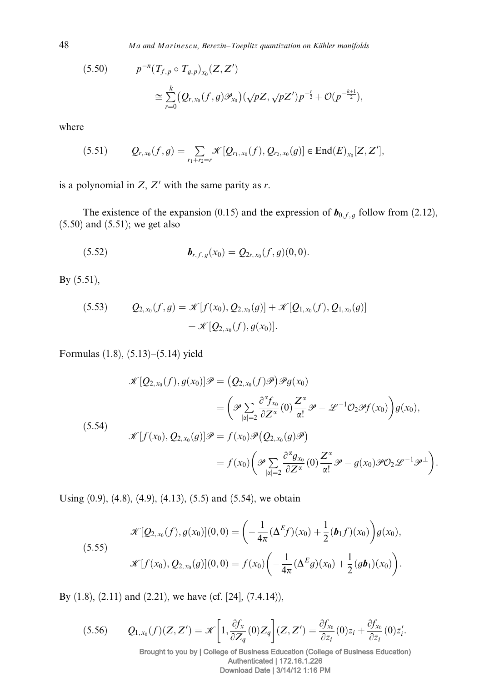48 Ma and Marinescu, Berezin–Toeplitz quantization on Kähler manifolds

$$
(5.50) \t p^{-n} (T_{f,p} \circ T_{g,p})_{x_0}(Z, Z')
$$
  
\n
$$
\cong \sum_{r=0}^k (Q_{r,x_0}(f,g) \mathcal{P}_{x_0}) (\sqrt{p} Z, \sqrt{p} Z') p^{-\frac{r}{2}} + \mathcal{O}(p^{-\frac{k+1}{2}}),
$$

where

$$
(5.51) \tQ_{r,x_0}(f,g) = \sum_{r_1+r_2=r} \mathscr{K}[Q_{r_1,x_0}(f), Q_{r_2,x_0}(g)] \in \text{End}(E)_{x_0}[Z, Z'],
$$

is a polynomial in  $Z, Z'$  with the same parity as r.

The existence of the expansion (0.15) and the expression of  $\mathbf{b}_{0,f,g}$  follow from (2.12), (5.50) and (5.51); we get also

(5.52) 
$$
\boldsymbol{b}_{r,f,g}(x_0) = Q_{2r,x_0}(f,g)(0,0).
$$

By (5.51),

(5.53) 
$$
Q_{2,x_0}(f,g) = \mathscr{K}[f(x_0), Q_{2,x_0}(g)] + \mathscr{K}[Q_{1,x_0}(f), Q_{1,x_0}(g)] + \mathscr{K}[Q_{2,x_0}(f), g(x_0)].
$$

Formulas (1.8), (5.13)–(5.14) yield

$$
\mathcal{K}[Q_{2,x_0}(f), g(x_0)]\mathcal{P} = (Q_{2,x_0}(f)\mathcal{P})\mathcal{P}g(x_0)
$$
\n
$$
= \left(\mathcal{P}\sum_{|\alpha|=2} \frac{\partial^{\alpha} f_{x_0}}{\partial Z^{\alpha}}(0) \frac{Z^{\alpha}}{\alpha!} \mathcal{P} - \mathcal{L}^{-1}\mathcal{O}_2\mathcal{P}f(x_0)\right)g(x_0),
$$
\n(5.54)\n
$$
\mathcal{K}[f(x_0), Q_{2,x_0}(g)]\mathcal{P} = f(x_0)\mathcal{P}(Q_{2,x_0}(g)\mathcal{P})
$$
\n
$$
= f(x_0)\left(\mathcal{P}\sum_{|\alpha|=2} \frac{\partial^{\alpha} g_{x_0}}{\partial Z^{\alpha}}(0) \frac{Z^{\alpha}}{\alpha!} \mathcal{P} - g(x_0)\mathcal{P}\mathcal{O}_2\mathcal{L}^{-1}\mathcal{P}^{\perp}\right).
$$

Using  $(0.9)$ ,  $(4.8)$ ,  $(4.9)$ ,  $(4.13)$ ,  $(5.5)$  and  $(5.54)$ , we obtain

(5.55)  

$$
\mathcal{K}[Q_{2,x_0}(f), g(x_0)](0,0) = \left(-\frac{1}{4\pi}(\Delta^E f)(x_0) + \frac{1}{2}(\boldsymbol{b}_1 f)(x_0)\right)g(x_0),
$$

$$
\mathcal{K}[f(x_0), Q_{2,x_0}(g)](0,0) = f(x_0)\left(-\frac{1}{4\pi}(\Delta^E g)(x_0) + \frac{1}{2}(g\boldsymbol{b}_1)(x_0)\right).
$$

By (1.8), (2.11) and (2.21), we have (cf. [24], (7.4.14)),

$$
(5.56) \qquad Q_{1,x_0}(f)(Z,Z')=\mathscr{K}\bigg[1,\frac{\partial f_x}{\partial Z_q}(0)Z_q\bigg](Z,Z')=\frac{\partial f_{x_0}}{\partial z_i}(0)z_i+\frac{\partial f_{x_0}}{\partial \bar{z}_i}(0)\bar{z}_i'.
$$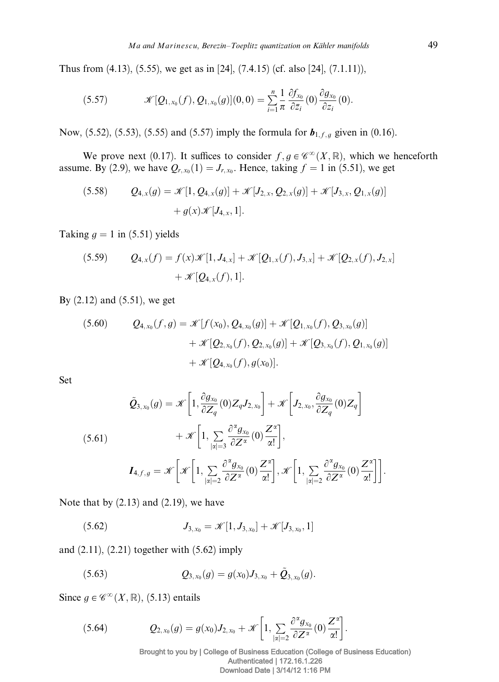Thus from (4.13), (5.55), we get as in [24], (7.4.15) (cf. also [24], (7.1.11)),

(5.57) 
$$
\mathscr{K}[Q_{1,x_0}(f), Q_{1,x_0}(g)](0,0) = \sum_{i=1}^n \frac{1}{\pi} \frac{\partial f_{x_0}}{\partial \bar{z}_i}(0) \frac{\partial g_{x_0}}{\partial z_i}(0).
$$

Now, (5.52), (5.53), (5.55) and (5.57) imply the formula for  $b_{1,f,g}$  given in (0.16).

We prove next (0.17). It suffices to consider  $f, g \in \mathscr{C}^{\infty}(X,\mathbb{R})$ , which we henceforth assume. By (2.9), we have  $Q_{r,x_0}(1) = J_{r,x_0}$ . Hence, taking  $f = 1$  in (5.51), we get

(5.58) 
$$
Q_{4,x}(g) = \mathcal{K}[1, Q_{4,x}(g)] + \mathcal{K}[J_{2,x}, Q_{2,x}(g)] + \mathcal{K}[J_{3,x}, Q_{1,x}(g)] + g(x)\mathcal{K}[J_{4,x}, 1].
$$

Taking  $q = 1$  in (5.51) yields

(5.59) 
$$
Q_{4,x}(f) = f(x)\mathcal{K}[1, J_{4,x}] + \mathcal{K}[Q_{1,x}(f), J_{3,x}] + \mathcal{K}[Q_{2,x}(f), J_{2,x}] + \mathcal{K}[Q_{4,x}(f), 1].
$$

By (2.12) and (5.51), we get

(5.60) 
$$
Q_{4,x_0}(f,g) = \mathscr{K}[f(x_0), Q_{4,x_0}(g)] + \mathscr{K}[Q_{1,x_0}(f), Q_{3,x_0}(g)] + \mathscr{K}[Q_{2,x_0}(f), Q_{2,x_0}(g)] + \mathscr{K}[Q_{4,x_0}(f), g(x_0)].
$$

Set

$$
\tilde{Q}_{3,x_0}(g) = \mathcal{K}\left[1, \frac{\partial g_{x_0}}{\partial Z_q}(0)Z_qJ_{2,x_0}\right] + \mathcal{K}\left[J_{2,x_0}, \frac{\partial g_{x_0}}{\partial Z_q}(0)Z_q\right] \n+ \mathcal{K}\left[1, \sum_{|\alpha|=3} \frac{\partial^{\alpha} g_{x_0}}{\partial Z^{\alpha}}(0) \frac{Z^{\alpha}}{\alpha!}\right],
$$
\n
$$
I_{4,f,g} = \mathcal{K}\left[\mathcal{K}\left[1, \sum_{|\alpha|=2} \frac{\partial^{\alpha} g_{x_0}}{\partial Z^{\alpha}}(0) \frac{Z^{\alpha}}{\alpha!}\right], \mathcal{K}\left[1, \sum_{|\alpha|=2} \frac{\partial^{\alpha} g_{x_0}}{\partial Z^{\alpha}}(0) \frac{Z^{\alpha}}{\alpha!}\right]\right].
$$

Note that by  $(2.13)$  and  $(2.19)$ , we have

(5.62) 
$$
J_{3,x_0} = \mathscr{K}[1, J_{3,x_0}] + \mathscr{K}[J_{3,x_0}, 1]
$$

and (2.11), (2.21) together with (5.62) imply

(5.63) 
$$
Q_{3,x_0}(g) = g(x_0)J_{3,x_0} + \tilde{Q}_{3,x_0}(g).
$$

Since  $g \in \mathscr{C}^{\infty}(X,\mathbb{R})$ , (5.13) entails

(5.64) 
$$
Q_{2,x_0}(g) = g(x_0)J_{2,x_0} + \mathscr{K}\bigg[1,\sum_{|\alpha|=2}\frac{\partial^{\alpha}g_{x_0}}{\partial Z^{\alpha}}(0)\frac{Z^{\alpha}}{\alpha!}\bigg].
$$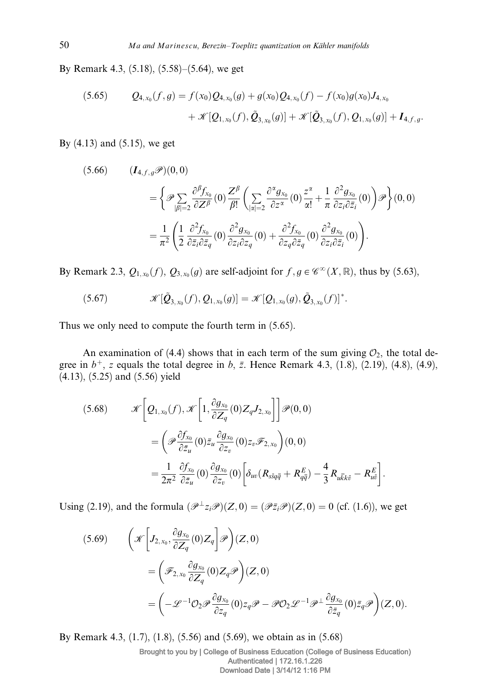By Remark 4.3, (5.18), (5.58)–(5.64), we get

(5.65) 
$$
Q_{4,x_0}(f,g) = f(x_0)Q_{4,x_0}(g) + g(x_0)Q_{4,x_0}(f) - f(x_0)g(x_0)J_{4,x_0} + \mathcal{K}[Q_{1,x_0}(f), \tilde{Q}_{3,x_0}(g)] + \mathcal{K}[\tilde{Q}_{3,x_0}(f), Q_{1,x_0}(g)] + I_{4,f,g}.
$$

By  $(4.13)$  and  $(5.15)$ , we get

$$
(5.66) \qquad (I_{4,f,g}\mathscr{P})(0,0)
$$
  
= 
$$
\left\{\mathscr{P}\sum_{|\beta|=2}\frac{\partial^{\beta}f_{x_{0}}}{\partial Z^{\beta}}(0)\frac{Z^{\beta}}{\beta!}\left(\sum_{|\alpha|=2}\frac{\partial^{\alpha}g_{x_{0}}}{\partial z^{\alpha}}(0)\frac{z^{\alpha}}{\alpha!}+\frac{1}{\pi}\frac{\partial^{2}g_{x_{0}}}{\partial z_{i}\partial\bar{z}_{i}}(0)\right)\mathscr{P}\right\}(0,0)
$$
  
= 
$$
\frac{1}{\pi^{2}}\left(\frac{1}{2}\frac{\partial^{2}f_{x_{0}}}{\partial\bar{z}_{i}\partial\bar{z}_{q}}(0)\frac{\partial^{2}g_{x_{0}}}{\partial z_{i}\partial z_{q}}(0)+\frac{\partial^{2}f_{x_{0}}}{\partial z_{q}\partial\bar{z}_{q}}(0)\frac{\partial^{2}g_{x_{0}}}{\partial z_{i}\partial\bar{z}_{i}}(0)\right).
$$

By Remark 2.3,  $Q_{1,x_0}(f)$ ,  $Q_{3,x_0}(g)$  are self-adjoint for  $f, g \in \mathscr{C}^\infty(X,\mathbb{R})$ , thus by (5.63),

$$
(5.67) \t\t \mathscr{K}[\tilde{\mathcal{Q}}_{3,x_0}(f),\mathcal{Q}_{1,x_0}(g)] = \mathscr{K}[\mathcal{Q}_{1,x_0}(g),\tilde{\mathcal{Q}}_{3,x_0}(f)]^*.
$$

Thus we only need to compute the fourth term in (5.65).

An examination of (4.4) shows that in each term of the sum giving  $\mathcal{O}_2$ , the total degree in  $b^{+}$ , z equals the total degree in b, z. Hence Remark 4.3, (1.8), (2.19), (4.8), (4.9), (4.13), (5.25) and (5.56) yield

(5.68) 
$$
\mathcal{K}\left[Q_{1,x_0}(f), \mathcal{K}\left[1, \frac{\partial g_{x_0}}{\partial Z_q}(0)Z_qJ_{2,x_0}\right]\right] \mathcal{P}(0,0)
$$

$$
= \left(\mathcal{P}\frac{\partial f_{x_0}}{\partial \bar{z}_u}(0)\bar{z}_u \frac{\partial g_{x_0}}{\partial z_v}(0)z_v\mathcal{F}_{2,x_0}\right)(0,0)
$$

$$
= \frac{1}{2\pi^2} \frac{\partial f_{x_0}}{\partial \bar{z}_u}(0) \frac{\partial g_{x_0}}{\partial z_v}(0)\left[\delta_{uv}(R_{s\bar{s}q\bar{q}} + R_{q\bar{q}}^E) - \frac{4}{3}R_{u\bar{k}k\bar{v}} - R_{u\bar{v}}^E\right].
$$

Using (2.19), and the formula  $(\mathscr{P}^{\perp}z_i\mathscr{P})(Z,0) = (\mathscr{P}\bar{z}_i\mathscr{P})(Z,0) = 0$  (cf. (1.6)), we get

(5.69) 
$$
\left(\mathcal{K}\left[J_{2,x_{0}}, \frac{\partial g_{x_{0}}}{\partial Z_{q}}(0)Z_{q}\right]\mathcal{P}\right)(Z,0)
$$

$$
=\left(\mathcal{F}_{2,x_{0}}\frac{\partial g_{x_{0}}}{\partial Z_{q}}(0)Z_{q}\mathcal{P}\right)(Z,0)
$$

$$
=\left(-\mathcal{L}^{-1}\mathcal{O}_{2}\mathcal{P}\frac{\partial g_{x_{0}}}{\partial Z_{q}}(0)z_{q}\mathcal{P}-\mathcal{P}\mathcal{O}_{2}\mathcal{L}^{-1}\mathcal{P}^{\perp}\frac{\partial g_{x_{0}}}{\partial \bar{z}_{q}}(0)\bar{z}_{q}\mathcal{P}\right)(Z,0).
$$

By Remark 4.3, (1.7), (1.8), (5.56) and (5.69), we obtain as in (5.68)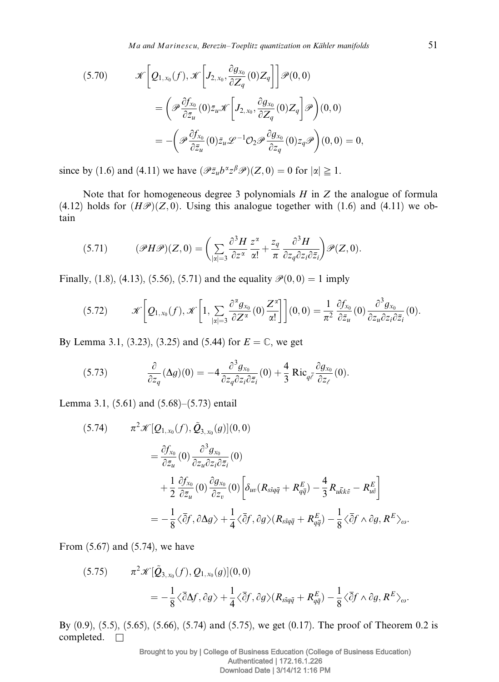(5.70) 
$$
\mathcal{K}\left[\mathcal{Q}_{1,x_0}(f),\mathcal{K}\left[J_{2,x_0},\frac{\partial g_{x_0}}{\partial Z_q}(0)Z_q\right]\right]\mathcal{P}(0,0)
$$

$$
=\left(\mathcal{P}\frac{\partial f_{x_0}}{\partial \bar{z}_u}(0)\bar{z}_u\mathcal{K}\left[J_{2,x_0},\frac{\partial g_{x_0}}{\partial Z_q}(0)Z_q\right]\mathcal{P}\right)(0,0)
$$

$$
=-\left(\mathcal{P}\frac{\partial f_{x_0}}{\partial \bar{z}_u}(0)\bar{z}_u\mathcal{L}^{-1}\mathcal{O}_2\mathcal{P}\frac{\partial g_{x_0}}{\partial z_q}(0)z_q\mathcal{P}\right)(0,0)=0,
$$

since by (1.6) and (4.11) we have  $(\mathcal{P}_{z}^{\perp} b^{\alpha} z^{\beta} \mathcal{P})(Z, 0) = 0$  for  $|\alpha| \geq 1$ .

Note that for homogeneous degree 3 polynomials  $H$  in  $Z$  the analogue of formula (4.12) holds for  $(H\mathscr{P})(Z,0)$ . Using this analogue together with (1.6) and (4.11) we obtain

$$
(5.71) \qquad (\mathscr{P}H\mathscr{P})(Z,0) = \left(\sum_{|\alpha|=3} \frac{\partial^3 H}{\partial z^{\alpha}} \frac{z^{\alpha}}{\alpha!} + \frac{z_q}{\pi} \frac{\partial^3 H}{\partial z_q \partial z_i \partial \bar{z}_i}\right) \mathscr{P}(Z,0).
$$

Finally, (1.8), (4.13), (5.56), (5.71) and the equality  $\mathcal{P}(0,0) = 1$  imply

$$
(5.72) \t\t \mathscr{K}\bigg[Q_{1,x_0}(f),\mathscr{K}\bigg[1,\sum_{|\alpha|=3}\frac{\partial^{\alpha}g_{x_0}}{\partial Z^{\alpha}}(0)\frac{Z^{\alpha}}{\alpha!}\bigg]\bigg](0,0)=\frac{1}{\pi^2}\frac{\partial f_{x_0}}{\partial \bar{z}_u}(0)\frac{\partial^3 g_{x_0}}{\partial z_u \partial z_i \partial \bar{z}_i}(0).
$$

By Lemma 3.1, (3.23), (3.25) and (5.44) for  $E = \mathbb{C}$ , we get

(5.73) 
$$
\frac{\partial}{\partial z_q}(\Delta g)(0) = -4 \frac{\partial^3 g_{x_0}}{\partial z_q \partial z_i \partial \bar{z}_i}(0) + \frac{4}{3} \text{Ric}_{q\bar{c}} \frac{\partial g_{x_0}}{\partial z_{\ell}}(0).
$$

Lemma 3.1, (5.61) and (5.68)–(5.73) entail

$$
(5.74) \qquad \pi^2 \mathcal{K}[Q_{1,x_0}(f), \tilde{Q}_{3,x_0}(g)](0,0)
$$
  

$$
= \frac{\partial f_{x_0}}{\partial \bar{z}_u}(0) \frac{\partial^3 g_{x_0}}{\partial z_u \partial z_i \partial \bar{z}_i}(0)
$$
  

$$
+ \frac{1}{2} \frac{\partial f_{x_0}}{\partial \bar{z}_u}(0) \frac{\partial g_{x_0}}{\partial z_v}(0) \left[ \delta_{uv}(R_{s\bar{s}q\bar{q}} + R_{q\bar{q}}^E) - \frac{4}{3} R_{u\bar{k}k\bar{v}} - R_{u\bar{v}}^E \right]
$$
  

$$
= -\frac{1}{8} \langle \bar{\partial} f, \partial \Delta g \rangle + \frac{1}{4} \langle \bar{\partial} f, \partial g \rangle (R_{s\bar{s}q\bar{q}} + R_{q\bar{q}}^E) - \frac{1}{8} \langle \bar{\partial} f \wedge \partial g, R^E \rangle_{\omega}.
$$

From (5.67) and (5.74), we have

(5.75) 
$$
\pi^2 \mathscr{K}[\tilde{\mathcal{Q}}_{3,x_0}(f), \mathcal{Q}_{1,x_0}(g)](0,0)
$$
  
=  $-\frac{1}{8}\langle \bar{\partial}\Delta f, \partial g \rangle + \frac{1}{4}\langle \bar{\partial} f, \partial g \rangle (R_{ssq\bar{q}} + R_{q\bar{q}}^E) - \frac{1}{8}\langle \bar{\partial} f \wedge \partial g, R^E \rangle_{\omega}.$ 

By (0.9), (5.5), (5.65), (5.66), (5.74) and (5.75), we get (0.17). The proof of Theorem 0.2 is completed.  $\square$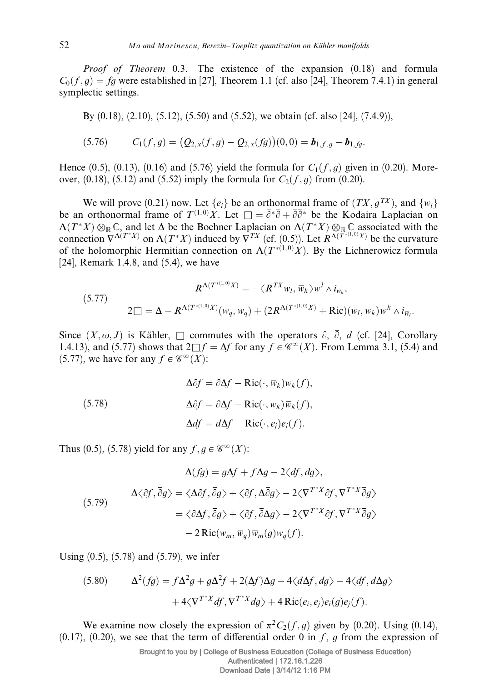Proof of Theorem 0.3. The existence of the expansion (0.18) and formula  $C_0(f, q) = fa$  were established in [27], Theorem 1.1 (cf. also [24], Theorem 7.4.1) in general symplectic settings.

By (0.18), (2.10), (5.12), (5.50) and (5.52), we obtain (cf. also [24], (7.4.9)),

$$
(5.76) \t C1(f,g) = (Q2,x(f,g) - Q2,x(fg))(0,0) = b1,f,g - b1,fg.
$$

Hence (0.5), (0.13), (0.16) and (5.76) yield the formula for  $C_1(f, g)$  given in (0.20). Moreover, (0.18), (5.12) and (5.52) imply the formula for  $C_2(f, g)$  from (0.20).

We will prove (0.21) now. Let  $\{e_i\}$  be an orthonormal frame of  $(TX, g^{TX})$ , and  $\{w_i\}$ be an orthonormal frame of  $T^{(1,0)}X$ . Let  $\Box = \overline{\partial}^*\overline{\partial} + \overline{\partial}\overline{\partial}^*$  be the Kodaira Laplacian on  $\Lambda(T^*X)\otimes_{\mathbb{R}}\mathbb{C}$ , and let  $\Delta$  be the Bochner Laplacian on  $\Lambda(T^*X)\otimes_{\mathbb{R}}\mathbb{C}$  associated with the connection  $\overline{V}^{\Lambda(T^*X)}$  on  $\Lambda(T^*X)$  induced by  $\overline{V}^{TX}$  (cf. (0.5)). Let  $R^{\Lambda(T^{*(1,0)}X)}$  be the curvature of the holomorphic Hermitian connection on  $\Lambda(T^{*(1,0)}X)$ . By the Lichnerowicz formula [24], Remark 1.4.8, and (5.4), we have

$$
R^{\Lambda(T^{*(1,0)}X)} = -\langle R^{TX}w_l, \overline{w}_k \rangle w^l \wedge i_{w_k},
$$
  
(5.77)  

$$
2\square = \Delta - R^{\Lambda(T^{*(1,0)}X)}(w_q, \overline{w}_q) + (2R^{\Lambda(T^{*(1,0)}X)} + \text{Ric})(w_l, \overline{w}_k)\overline{w}^k \wedge i_{\overline{w}_l}.
$$

Since  $(X, \omega, J)$  is Kähler,  $\Box$  commutes with the operators  $\partial$ ,  $\overline{\partial}$ , d (cf. [24], Corollary 1.4.13), and (5.77) shows that  $2 \Box f = \Delta f$  for any  $f \in \mathscr{C}^{\infty}(X)$ . From Lemma 3.1, (5.4) and (5.77), we have for any  $f \in \mathscr{C}^{\infty}(X)$ :

(5.78)  
\n
$$
\Delta \partial f = \partial \Delta f - \text{Ric}(\cdot, \overline{w}_k) w_k(f),
$$
\n
$$
\Delta \overline{\partial} f = \overline{\partial} \Delta f - \text{Ric}(\cdot, w_k) \overline{w}_k(f),
$$
\n
$$
\Delta df = d\Delta f - \text{Ric}(\cdot, e_j) e_j(f).
$$

Thus (0.5), (5.78) yield for any  $f, g \in \mathscr{C}^{\infty}(X)$ :

$$
\Delta(fg) = g\Delta f + f\Delta g - 2\langle df, dg \rangle,
$$
  
\n
$$
\Delta \langle \partial f, \overline{\partial} g \rangle = \langle \Delta \partial f, \overline{\partial} g \rangle + \langle \partial f, \Delta \overline{\partial} g \rangle - 2\langle \nabla^{T^*X} \partial f, \nabla^{T^*X} \overline{\partial} g \rangle
$$
  
\n
$$
= \langle \partial \Delta f, \overline{\partial} g \rangle + \langle \partial f, \overline{\partial} \Delta g \rangle - 2\langle \nabla^{T^*X} \partial f, \nabla^{T^*X} \overline{\partial} g \rangle
$$
  
\n
$$
- 2 \text{Ric}(w_m, \overline{w}_q) \overline{w}_m(g) w_q(f).
$$

Using (0.5), (5.78) and (5.79), we infer

(5.80) 
$$
\Delta^2(fg) = f\Delta^2 g + g\Delta^2 f + 2(\Delta f)\Delta g - 4\langle d\Delta f, dg \rangle - 4\langle df, d\Delta g \rangle
$$

$$
+ 4\langle \nabla^{T^*X} df, \nabla^{T^*X} dg \rangle + 4 \operatorname{Ric}(e_i, e_j) e_i(g) e_j(f).
$$

We examine now closely the expression of  $\pi^2C_2(f, g)$  given by (0.20). Using (0.14), (0.17), (0.20), we see that the term of differential order 0 in f, g from the expression of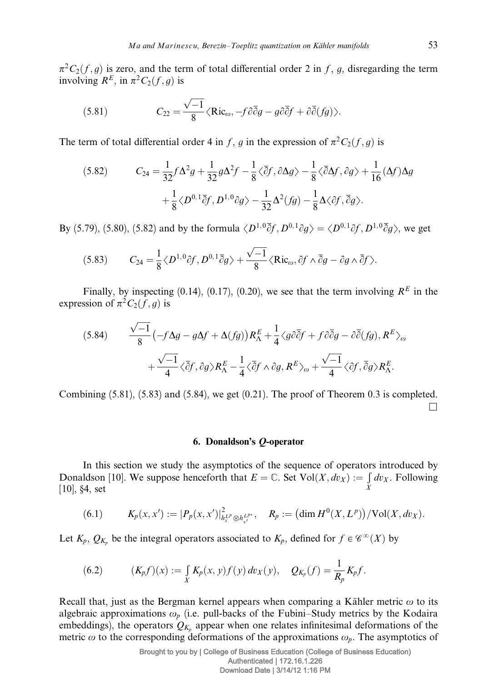$\pi^2C_2(f,g)$  is zero, and the term of total differential order 2 in f, g, disregarding the term involving  $R^E$ , in  $\pi^2C_2(f,g)$  is

(5.81) 
$$
C_{22} = \frac{\sqrt{-1}}{8} \langle \text{Ric}_{\omega}, -f \partial \overline{\partial} g - g \partial \overline{\partial} f + \partial \overline{\partial} (fg) \rangle.
$$

The term of total differential order 4 in f, g in the expression of  $\pi^2C_2(f,g)$  is

$$
(5.82) \t C_{24} = \frac{1}{32} f \Delta^2 g + \frac{1}{32} g \Delta^2 f - \frac{1}{8} \langle \overline{\partial} f, \partial \Delta g \rangle - \frac{1}{8} \langle \overline{\partial} \Delta f, \partial g \rangle + \frac{1}{16} (\Delta f) \Delta g
$$

$$
+ \frac{1}{8} \langle D^{0,1} \overline{\partial} f, D^{1,0} \partial g \rangle - \frac{1}{32} \Delta^2 (fg) - \frac{1}{8} \Delta \langle \partial f, \overline{\partial} g \rangle.
$$

By (5.79), (5.80), (5.82) and by the formula  $\langle D^{1,0}\overline{\partial} f, D^{0,1}\partial q \rangle = \langle D^{0,1}\partial f, D^{1,0}\overline{\partial} q \rangle$ , we get

(5.83) 
$$
C_{24} = \frac{1}{8} \langle D^{1,0} \partial f, D^{0,1} \overline{\partial} g \rangle + \frac{\sqrt{-1}}{8} \langle \text{Ric}_{\omega}, \partial f \wedge \overline{\partial} g - \partial g \wedge \overline{\partial} f \rangle.
$$

Finally, by inspecting (0.14), (0.17), (0.20), we see that the term involving  $R<sup>E</sup>$  in the expression of  $\pi^2C_2(f,g)$  is

(5.84) 
$$
\frac{\sqrt{-1}}{8} \left( -f \Delta g - g \Delta f + \Delta (fg) \right) R_{\Lambda}^{E} + \frac{1}{4} \langle g \partial \overline{\partial} f + f \partial \overline{\partial} g - \partial \overline{\partial} (fg), R^{E} \rangle_{\omega} + \frac{\sqrt{-1}}{4} \langle \overline{\partial} f, \partial g \rangle R_{\Lambda}^{E} - \frac{1}{4} \langle \overline{\partial} f \wedge \partial g, R^{E} \rangle_{\omega} + \frac{\sqrt{-1}}{4} \langle \partial f, \overline{\partial} g \rangle R_{\Lambda}^{E}.
$$

Combining  $(5.81)$ ,  $(5.83)$  and  $(5.84)$ , we get  $(0.21)$ . The proof of Theorem 0.3 is completed.  $\Box$ 

## 6. Donaldson's Q-operator

In this section we study the asymptotics of the sequence of operators introduced by Donaldson [10]. We suppose henceforth that  $E = \mathbb{C}$ . Set  $Vol(X, dy_X) := \int$ X  $dv_X$ . Following [10], §4, set

(6.1) 
$$
K_p(x,x') := |P_p(x,x')|_{h_x^{L^p} \otimes h_{x'}^{L^{p*}}}, \quad R_p := \big(\dim H^0(X,L^p)\big)/\mathrm{Vol}(X,dv_X).
$$

Let  $K_p$ ,  $Q_{K_p}$  be the integral operators associated to  $K_p$ , defined for  $f \in \mathscr{C}^{\infty}(X)$  by

(6.2) 
$$
(K_p f)(x) := \int\limits_X K_p(x, y) f(y) \, dv_X(y), \quad Q_{K_p}(f) = \frac{1}{R_p} K_p f.
$$

Recall that, just as the Bergman kernel appears when comparing a Kähler metric  $\omega$  to its algebraic approximations  $\omega_p$  (i.e. pull-backs of the Fubini–Study metrics by the Kodaira embeddings), the operators  $Q_{K_p}$  appear when one relates infinitesimal deformations of the metric  $\omega$  to the corresponding deformations of the approximations  $\omega_p$ . The asymptotics of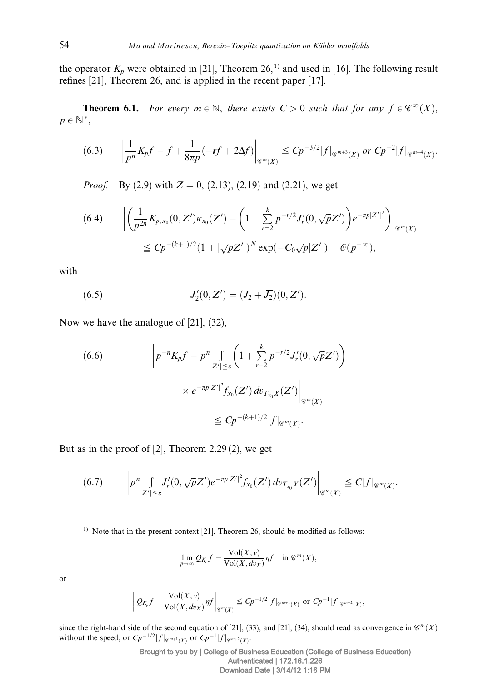the operator  $K_p$  were obtained in [21], Theorem 26,<sup>1)</sup> and used in [16]. The following result refines [21], Theorem 26, and is applied in the recent paper [17].

**Theorem 6.1.** For every  $m \in \mathbb{N}$ , there exists  $C > 0$  such that for any  $f \in \mathscr{C}^{\infty}(X)$ ,  $p \in \mathbb{N}^*,$ 

$$
(6.3) \qquad \left|\frac{1}{p^n}K_p f - f + \frac{1}{8\pi p}(-rf + 2\Delta f)\right|_{\mathscr{C}^m(X)} \leq C p^{-3/2} |f|_{\mathscr{C}^{m+3}(X)} \text{ or } C p^{-2} |f|_{\mathscr{C}^{m+4}(X)}.
$$

*Proof.* By (2.9) with  $Z = 0$ , (2.13), (2.19) and (2.21), we get

$$
(6.4) \qquad \left| \left( \frac{1}{p^{2n}} K_{p,x_0}(0,Z') \kappa_{x_0}(Z') - \left( 1 + \sum_{r=2}^k p^{-r/2} J_r'(0,\sqrt{p} Z') \right) e^{-\pi p |Z'|^2} \right) \right|_{\mathscr{C}^m(X)} \leq C p^{-(k+1)/2} (1 + |\sqrt{p} Z'|)^N \exp(-C_0 \sqrt{p} |Z'|) + \mathcal{O}(p^{-\infty}),
$$

with

(6.5) 
$$
J'_{2}(0, Z') = (J_{2} + \overline{J_{2}})(0, Z').
$$

Now we have the analogue of [21], (32),

$$
(6.6) \qquad \left| p^{-n} K_p f - p^n \int\limits_{|Z'| \leq \varepsilon} \left( 1 + \sum_{r=2}^k p^{-r/2} J'_r(0, \sqrt{p} Z') \right) \right|
$$
  
 
$$
\times e^{-\pi p |Z'|^2} f_{x_0}(Z') dv_{T_{x_0} X}(Z') \Big|_{\mathscr{C}^m(X)}
$$
  
 
$$
\leq C p^{-(k+1)/2} |f|_{\mathscr{C}^m(X)}.
$$

But as in the proof of  $[2]$ , Theorem 2.29 $(2)$ , we get

Ï I ł I

$$
(6.7) \qquad \left| p^{n} \int\limits_{|Z'| \leq \varepsilon} J'_{r}(0, \sqrt{p}Z') e^{-\pi p |Z'|^{2}} f_{x_{0}}(Z') dv_{T_{x_{0}}X}(Z') \right|_{\mathscr{C}^{m}(X)} \leq C|f|_{\mathscr{C}^{m}(X)}.
$$

<sup>1)</sup> Note that in the present context [21], Theorem 26, should be modified as follows:

$$
\lim_{p \to \infty} Q_{K_p} f = \frac{\text{Vol}(X, v)}{\text{Vol}(X, dv_X)} \eta f \quad \text{in } \mathcal{C}^m(X),
$$

or

$$
Q_{K_p}f - \frac{\text{Vol}(X,v)}{\text{Vol}(X,dv_X)} \eta f \bigg|_{\mathscr{C}^{m}(X)} \leq C p^{-1/2} |f|_{\mathscr{C}^{m+1}(X)} \text{ or } C p^{-1} |f|_{\mathscr{C}^{m+2}(X)},
$$

since the right-hand side of the second equation of [21], (33), and [21], (34), should read as convergence in  $\mathcal{C}^m(X)$ without the speed, or  $C p^{-1/2} |f|_{\mathscr{C}^{m+1}(X)}$  or  $C p^{-1} |f|_{\mathscr{C}^{m+2}(X)}$ .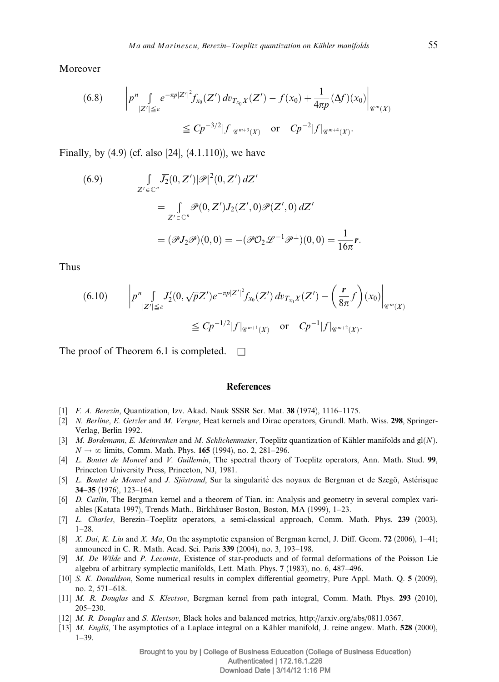Moreover

$$
(6.8) \qquad \left| p^{n} \int\limits_{|Z'| \leq \varepsilon} e^{-\pi p |Z'|^{2}} f_{x_{0}}(Z') \, dv_{T_{x_{0}}X}(Z') - f(x_{0}) + \frac{1}{4\pi p} (\Delta f)(x_{0}) \right|_{\mathscr{C}^{m}(X)}
$$

$$
\leq C p^{-3/2} |f|_{\mathscr{C}^{m+3}(X)} \quad \text{or} \quad C p^{-2} |f|_{\mathscr{C}^{m+4}(X)}.
$$

Finally, by  $(4.9)$  (cf. also  $[24]$ ,  $(4.1.110)$ ), we have

(6.9)  
\n
$$
\int_{Z' \in \mathbb{C}^n} \overline{J_2}(0, Z') |\mathscr{P}|^2(0, Z') dZ'
$$
\n
$$
= \int_{Z' \in \mathbb{C}^n} \mathscr{P}(0, Z') J_2(Z', 0) \mathscr{P}(Z', 0) dZ'
$$
\n
$$
= (\mathscr{P} J_2 \mathscr{P})(0, 0) = -(\mathscr{P} O_2 \mathscr{L}^{-1} \mathscr{P}^{\perp})(0, 0) = \frac{1}{16\pi} \mathbf{r}.
$$

Thus

$$
(6.10) \qquad \left| p^{n} \int\limits_{|Z'| \leq \varepsilon} J'_{2}(0, \sqrt{p}Z') e^{-\pi p |Z'|^{2}} f_{x_{0}}(Z') dv_{T_{x_{0}}X}(Z') - \left(\frac{\mathbf{r}}{8\pi} f\right)(x_{0}) \right|_{\mathscr{C}^{m}(X)} \leq C p^{-1/2} |f|_{\mathscr{C}^{m+1}(X)} \quad \text{or} \quad C p^{-1} |f|_{\mathscr{C}^{m+2}(X)}.
$$

The proof of Theorem 6.1 is completed.  $\Box$ 

#### **References**

- [1] F. A. Berezin, Quantization, Izv. Akad. Nauk SSSR Ser. Mat. 38 (1974), 1116–1175.
- [2] N. Berline, E. Getzler and M. Vergne, Heat kernels and Dirac operators, Grundl. Math. Wiss. 298, Springer-Verlag, Berlin 1992.
- [3] M. Bordemann, E. Meinrenken and M. Schlichenmaier, Toeplitz quantization of Kähler manifolds and  $gl(N)$ ,  $N \to \infty$  limits, Comm. Math. Phys. 165 (1994), no. 2, 281–296.
- [4] L. Boutet de Monvel and V. Guillemin, The spectral theory of Toeplitz operators, Ann. Math. Stud. 99, Princeton University Press, Princeton, NJ, 1981.
- [5] L. Boutet de Monvel and J. Sjöstrand, Sur la singularité des noyaux de Bergman et de Szegö, Astérisque 34–35 (1976), 123–164.
- [6] D. Catlin, The Bergman kernel and a theorem of Tian, in: Analysis and geometry in several complex variables (Katata 1997), Trends Math., Birkha¨user Boston, Boston, MA (1999), 1–23.
- [7] L. Charles, Berezin–Toeplitz operators, a semi-classical approach, Comm. Math. Phys. 239 (2003), 1–28.
- [8] X. Dai, K. Liu and X. Ma, On the asymptotic expansion of Bergman kernel, J. Diff. Geom. 72 (2006),  $1-41$ ; announced in C. R. Math. Acad. Sci. Paris 339 (2004), no. 3, 193–198.
- [9] M. De Wilde and P. Lecomte, Existence of star-products and of formal deformations of the Poisson Lie algebra of arbitrary symplectic manifolds, Lett. Math. Phys. 7 (1983), no. 6, 487–496.
- [10] S. K. Donaldson, Some numerical results in complex differential geometry, Pure Appl. Math. Q. 5 (2009), no. 2, 571–618.
- [11] M. R. Douglas and S. Klevtsov, Bergman kernel from path integral, Comm. Math. Phys. 293 (2010), 205–230.
- [12] M. R. Douglas and S. Klevtsov, Black holes and balanced metrics, http://arxiv.org/abs/0811.0367.
- [13] M. Englis̃, The asymptotics of a Laplace integral on a Kähler manifold, J. reine angew. Math. 528 (2000), 1–39.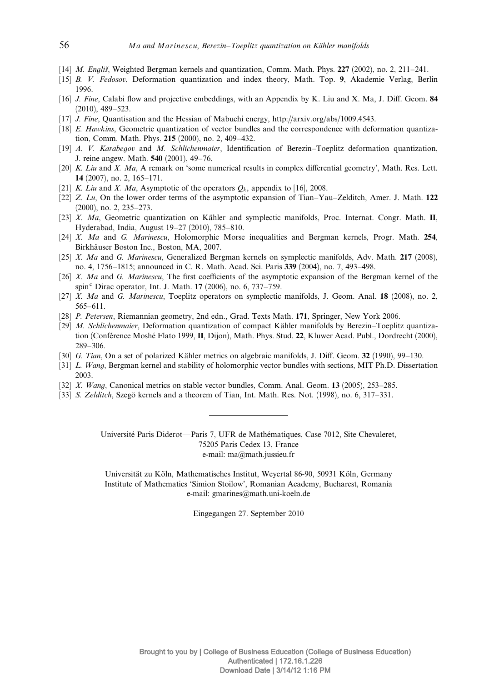- [14] *M. Englis*, Weighted Bergman kernels and quantization, Comm. Math. Phys. 227 (2002), no. 2, 211–241.
- [15] B. V. Fedosov, Deformation quantization and index theory, Math. Top. 9, Akademie Verlag, Berlin 1996.
- [16] J. Fine, Calabi flow and projective embeddings, with an Appendix by K. Liu and X. Ma, J. Diff. Geom. 84 (2010), 489–523.
- [17] J. Fine, Quantisation and the Hessian of Mabuchi energy, http://arxiv.org/abs/1009.4543.
- [18] E. Hawkins, Geometric quantization of vector bundles and the correspondence with deformation quantization, Comm. Math. Phys. 215 (2000), no. 2, 409–432.
- [19] A. V. Karabegov and M. Schlichenmaier, Identification of Berezin–Toeplitz deformation quantization, J. reine angew. Math. 540 (2001), 49–76.
- [20] K. Liu and X. Ma, A remark on 'some numerical results in complex differential geometry'. Math. Res. Lett. 14 (2007), no. 2, 165–171.
- [21] K. Liu and X. Ma, Asymptotic of the operators  $Q_k$ , appendix to [16], 2008.
- [22] Z. Lu, On the lower order terms of the asymptotic expansion of Tian–Yau–Zelditch, Amer. J. Math. 122 (2000), no. 2, 235–273.
- [23] X. Ma, Geometric quantization on Kähler and symplectic manifolds, Proc. Internat. Congr. Math. II, Hyderabad, India, August 19–27 (2010), 785–810.
- [24] X. Ma and G. Marinescu, Holomorphic Morse inequalities and Bergman kernels, Progr. Math. 254, Birkhäuser Boston Inc., Boston, MA, 2007.
- [25] *X. Ma* and *G. Marinescu*, Generalized Bergman kernels on symplectic manifolds, Adv. Math. 217 (2008), no. 4, 1756–1815; announced in C. R. Math. Acad. Sci. Paris 339 (2004), no. 7, 493–498.
- [26] X. Ma and G. Marinescu, The first coefficients of the asymptotic expansion of the Bergman kernel of the spin<sup>c</sup> Dirac operator, Int. J. Math.  $17$  (2006), no. 6, 737–759.
- [27] X. Ma and G. Marinescu, Toeplitz operators on symplectic manifolds, J. Geom. Anal. 18 (2008), no. 2, 565–611.
- [28] P. Petersen, Riemannian geometry, 2nd edn., Grad. Texts Math. 171, Springer, New York 2006.
- [29] *M. Schlichenmaier*, Deformation quantization of compact Kähler manifolds by Berezin–Toeplitz quantization (Conférence Moshé Flato 1999, II, Dijon), Math. Phys. Stud. 22, Kluwer Acad. Publ., Dordrecht (2000), 289–306.
- [30] G. Tian, On a set of polarized Kähler metrics on algebraic manifolds, J. Diff. Geom.  $32$  (1990), 99–130.
- [31] L. Wang, Bergman kernel and stability of holomorphic vector bundles with sections, MIT Ph.D. Dissertation 2003.
- [32] X. Wang, Canonical metrics on stable vector bundles, Comm. Anal. Geom. 13 (2005), 253–285.
- [33] S. Zelditch, Szegö kernels and a theorem of Tian, Int. Math. Res. Not. (1998), no. 6, 317–331.

Université Paris Diderot—Paris 7, UFR de Mathématiques, Case 7012, Site Chevaleret, 75205 Paris Cedex 13, France e-mail: ma@math.jussieu.fr

Universität zu Köln, Mathematisches Institut, Weyertal 86-90, 50931 Köln, Germany Institute of Mathematics 'Simion Stoilow', Romanian Academy, Bucharest, Romania e-mail: gmarines@math.uni-koeln.de

Eingegangen 27. September 2010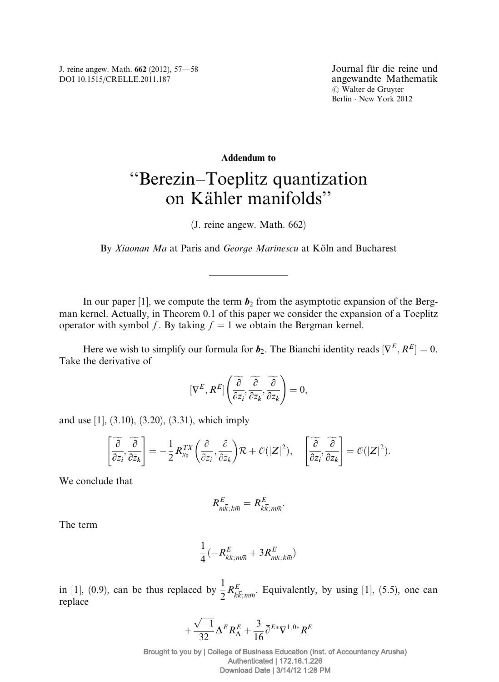J. reine angew. Math. 662 (2012), 57—58 DOI 10.1515/CRELLE.2011.187

# Addendum to ''Berezin–Toeplitz quantization on Kähler manifolds"

(J. reine angew. Math. 662)

By Xiaonan Ma at Paris and George Marinescu at Köln and Bucharest

In our paper [1], we compute the term  $b_2$  from the asymptotic expansion of the Bergman kernel. Actually, in Theorem 0.1 of this paper we consider the expansion of a Toeplitz operator with symbol f. By taking  $f = 1$  we obtain the Bergman kernel.

Here we wish to simplify our formula for  $b_2$ . The Bianchi identity reads  $[\nabla^E, R^E] = 0$ . Take the derivative of

$$
[\nabla^{E}, R^{E}]\left(\overline{\frac{\partial}{\partial z_{i}}, \frac{\partial}{\partial z_{k}}, \frac{\partial}{\partial \bar{z}_{k}}}\right) = 0,
$$

and use [1], (3.10), (3.20), (3.31), which imply

$$
\left[\frac{\widetilde{\partial}}{\partial z_i}, \frac{\widetilde{\partial}}{\partial \bar{z}_k}\right] = -\frac{1}{2} R_{x_0}^{TX} \left(\frac{\partial}{\partial z_i}, \frac{\partial}{\partial \bar{z}_k}\right) \mathcal{R} + \mathcal{O}(|Z|^2), \quad \left[\frac{\widetilde{\partial}}{\partial z_i}, \frac{\widetilde{\partial}}{\partial z_k}\right] = \mathcal{O}(|Z|^2).
$$

We conclude that

$$
R_{m\overline{k};\,k\overline{m}}^{E}=R_{k\overline{k};\,m\overline{m}}^{E}.
$$

The term

$$
\frac{1}{4}(-R^E_{k\overline{k};m\overline{m}}+3R^E_{m\overline{k};k\overline{m}})
$$

in [1], (0.9), can be thus replaced by  $\frac{1}{2} R_{k\bar{k};m\bar{m}}^E$ . Equivalently, by using [1], (5.5), one can replace

$$
+\frac{\sqrt{-1}}{32}\Delta^E R_{\Lambda}^E+\frac{3}{16}\overline{\partial}^{E*}\nabla^{1,0*}R^E
$$

Brought to you by | College of Business Education (Inst. of Accountancy Arusha) Authenticated | 172.16.1.226 Download Date | 3/14/12 1:28 PM